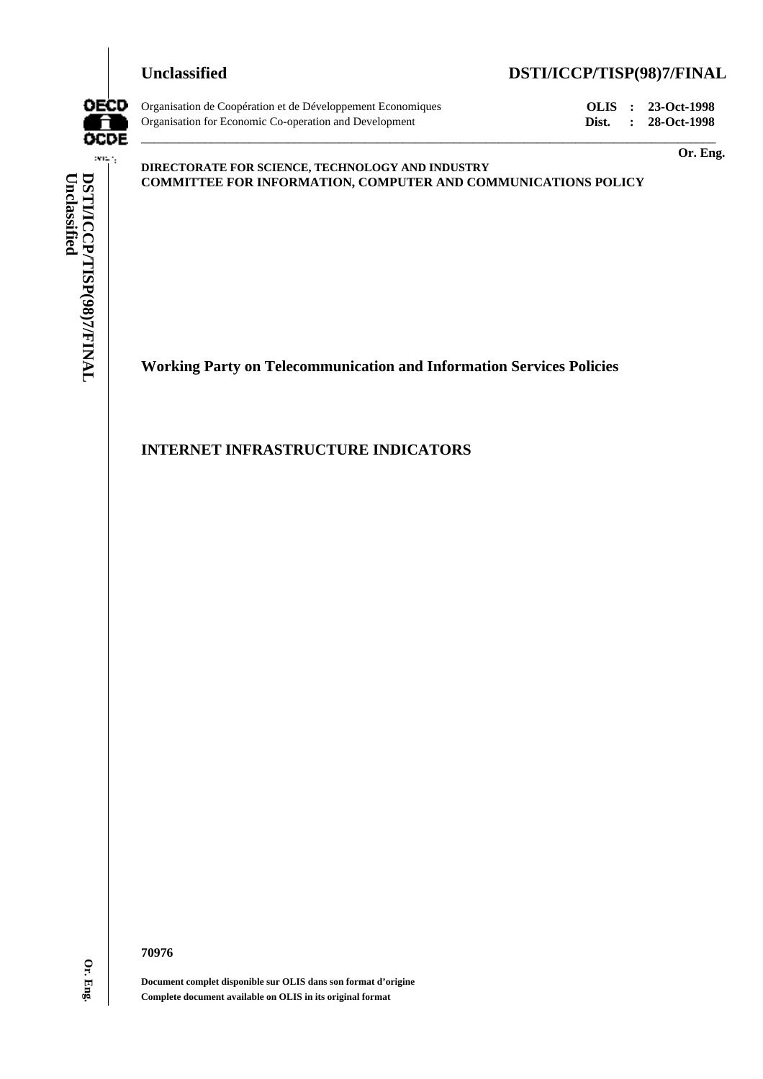

**Unclassified DSTI/ICCP/TISP(98)7/FINAL**



Organisation de Coopération et de Développement Economiques **OLIS : 23-Oct-1998** Organisation for Economic Co-operation and Development **Dist. : 28-Oct-1998**

**Or. Eng.**

**DIRECTORATE FOR SCIENCE, TECHNOLOGY AND INDUSTRY COMMITTEE FOR INFORMATION, COMPUTER AND COMMUNICATIONS POLICY**

\_\_\_\_\_\_\_\_\_\_\_\_\_\_\_\_\_\_\_\_\_\_\_\_\_\_\_\_\_\_\_\_\_\_\_\_\_\_\_\_\_\_\_\_\_\_\_\_\_\_\_\_\_\_\_\_\_\_\_\_\_\_\_\_\_\_\_\_\_\_\_\_\_\_\_\_\_\_\_\_\_\_\_\_\_\_\_\_\_\_

**Working Party on Telecommunication and Information Services Policies**

## **INTERNET INFRASTRUCTURE INDICATORS**

**70976**

**Document complet disponible sur OLIS dans son format d'origine Complete document available on OLIS in its original format**

Or. Eng.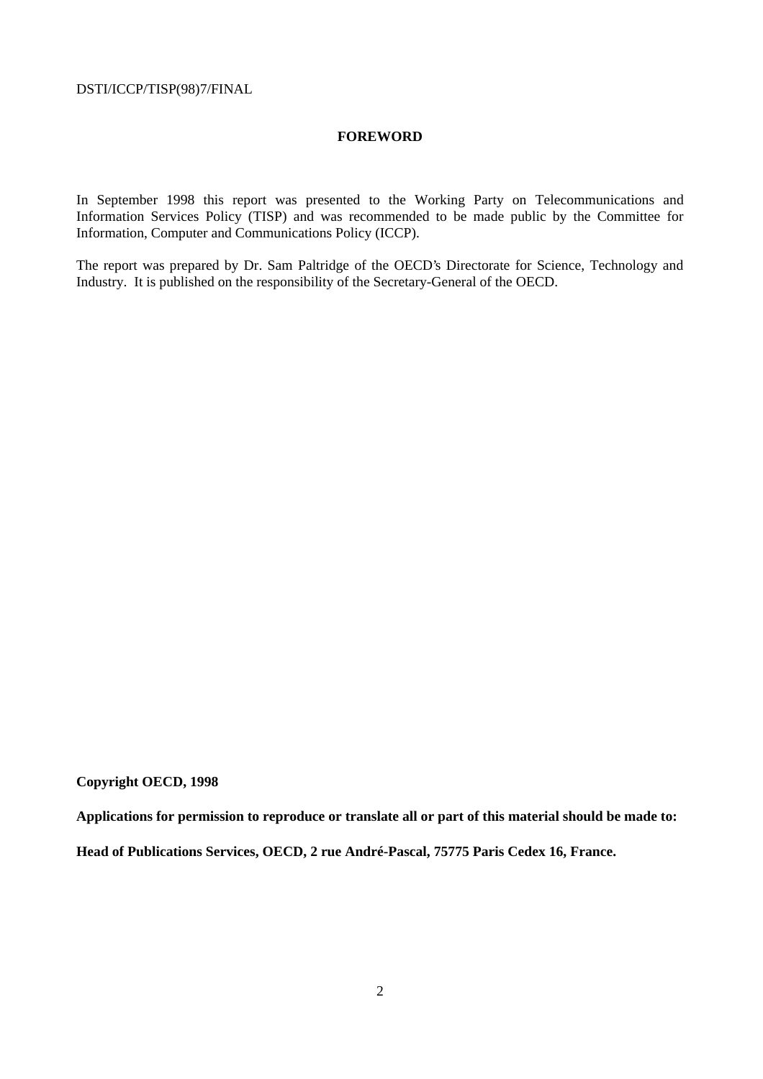### **FOREWORD**

In September 1998 this report was presented to the Working Party on Telecommunications and Information Services Policy (TISP) and was recommended to be made public by the Committee for Information, Computer and Communications Policy (ICCP).

The report was prepared by Dr. Sam Paltridge of the OECD's Directorate for Science, Technology and Industry. It is published on the responsibility of the Secretary-General of the OECD.

## **Copyright OECD, 1998**

**Applications for permission to reproduce or translate all or part of this material should be made to: Head of Publications Services, OECD, 2 rue André-Pascal, 75775 Paris Cedex 16, France.**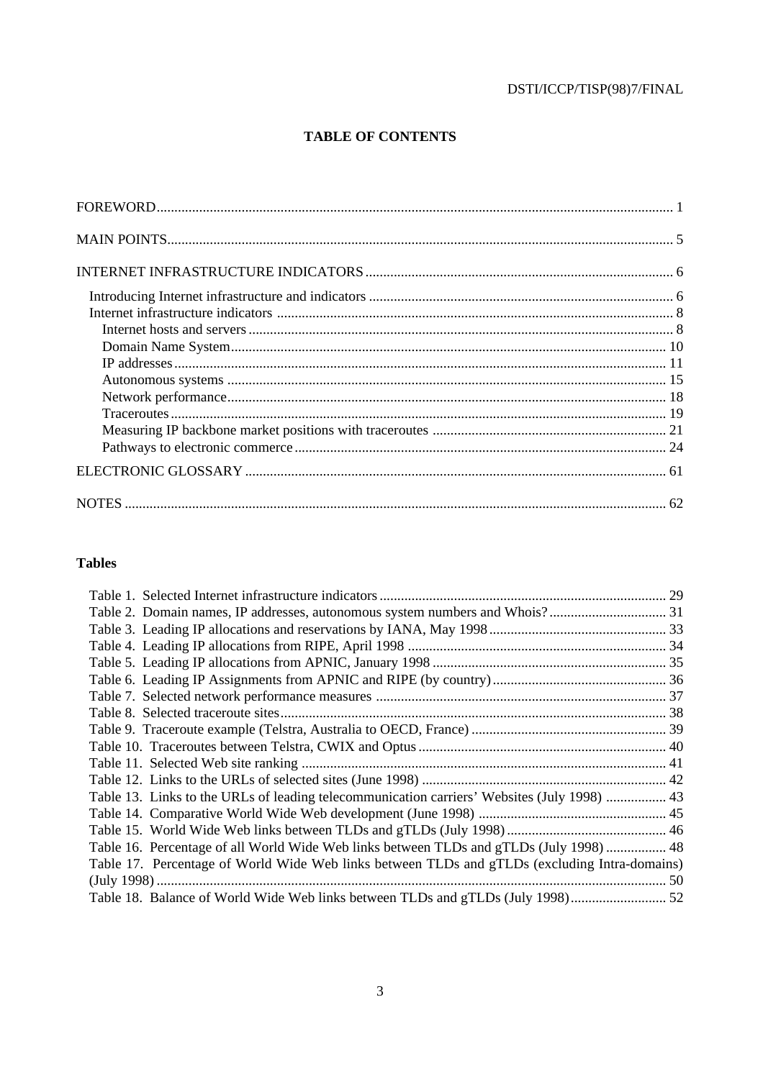# **TABLE OF CONTENTS**

## **Tables**

| Table 13. Links to the URLs of leading telecommunication carriers' Websites (July 1998)  43   |  |
|-----------------------------------------------------------------------------------------------|--|
|                                                                                               |  |
|                                                                                               |  |
| Table 16. Percentage of all World Wide Web links between TLDs and gTLDs (July 1998)  48       |  |
| Table 17. Percentage of World Wide Web links between TLDs and gTLDs (excluding Intra-domains) |  |
|                                                                                               |  |
|                                                                                               |  |
|                                                                                               |  |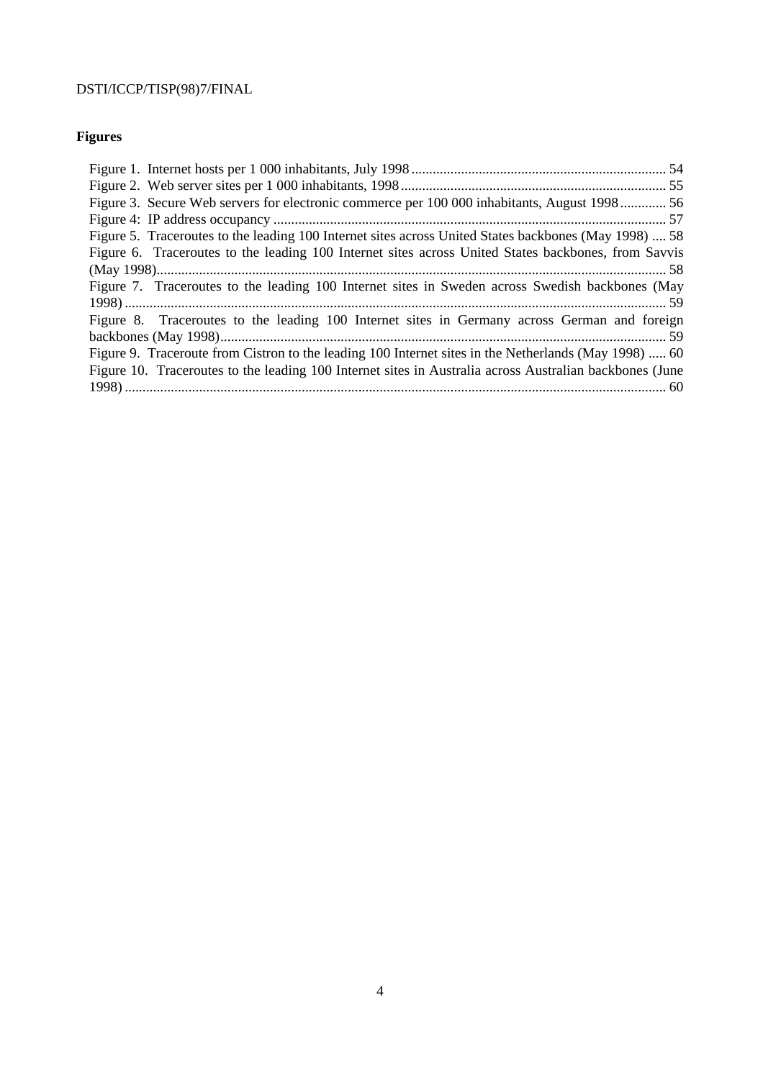# **Figures**

| Figure 3. Secure Web servers for electronic commerce per 100 000 inhabitants, August 1998 56            |  |
|---------------------------------------------------------------------------------------------------------|--|
|                                                                                                         |  |
| Figure 5. Traceroutes to the leading 100 Internet sites across United States backbones (May 1998)  58   |  |
| Figure 6. Traceroutes to the leading 100 Internet sites across United States backbones, from Savvis     |  |
|                                                                                                         |  |
| Figure 7. Traceroutes to the leading 100 Internet sites in Sweden across Swedish backbones (May         |  |
|                                                                                                         |  |
| Figure 8. Traceroutes to the leading 100 Internet sites in Germany across German and foreign            |  |
|                                                                                                         |  |
| Figure 9. Traceroute from Cistron to the leading 100 Internet sites in the Netherlands (May 1998)  60   |  |
| Figure 10. Traceroutes to the leading 100 Internet sites in Australia across Australian backbones (June |  |
|                                                                                                         |  |
|                                                                                                         |  |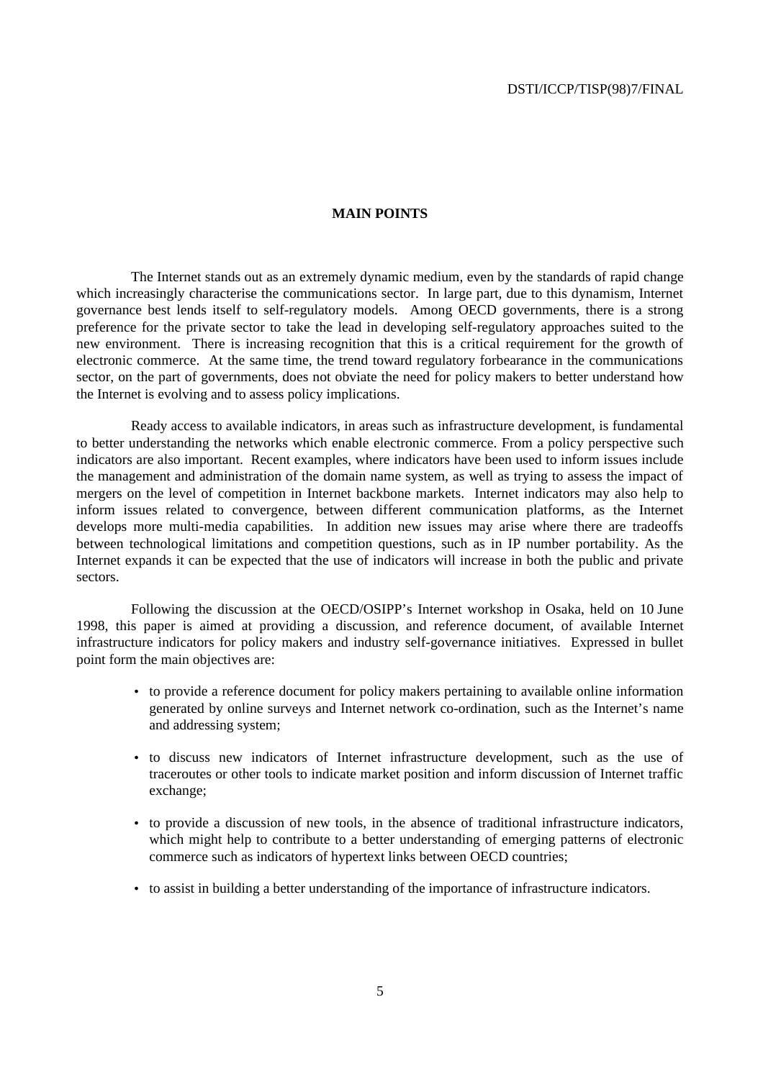#### **MAIN POINTS**

The Internet stands out as an extremely dynamic medium, even by the standards of rapid change which increasingly characterise the communications sector. In large part, due to this dynamism, Internet governance best lends itself to self-regulatory models. Among OECD governments, there is a strong preference for the private sector to take the lead in developing self-regulatory approaches suited to the new environment. There is increasing recognition that this is a critical requirement for the growth of electronic commerce. At the same time, the trend toward regulatory forbearance in the communications sector, on the part of governments, does not obviate the need for policy makers to better understand how the Internet is evolving and to assess policy implications.

Ready access to available indicators, in areas such as infrastructure development, is fundamental to better understanding the networks which enable electronic commerce. From a policy perspective such indicators are also important. Recent examples, where indicators have been used to inform issues include the management and administration of the domain name system, as well as trying to assess the impact of mergers on the level of competition in Internet backbone markets. Internet indicators may also help to inform issues related to convergence, between different communication platforms, as the Internet develops more multi-media capabilities. In addition new issues may arise where there are tradeoffs between technological limitations and competition questions, such as in IP number portability. As the Internet expands it can be expected that the use of indicators will increase in both the public and private sectors.

Following the discussion at the OECD/OSIPP's Internet workshop in Osaka, held on 10 June 1998, this paper is aimed at providing a discussion, and reference document, of available Internet infrastructure indicators for policy makers and industry self-governance initiatives. Expressed in bullet point form the main objectives are:

- to provide a reference document for policy makers pertaining to available online information generated by online surveys and Internet network co-ordination, such as the Internet's name and addressing system;
- to discuss new indicators of Internet infrastructure development, such as the use of traceroutes or other tools to indicate market position and inform discussion of Internet traffic exchange;
- to provide a discussion of new tools, in the absence of traditional infrastructure indicators, which might help to contribute to a better understanding of emerging patterns of electronic commerce such as indicators of hypertext links between OECD countries;
- to assist in building a better understanding of the importance of infrastructure indicators.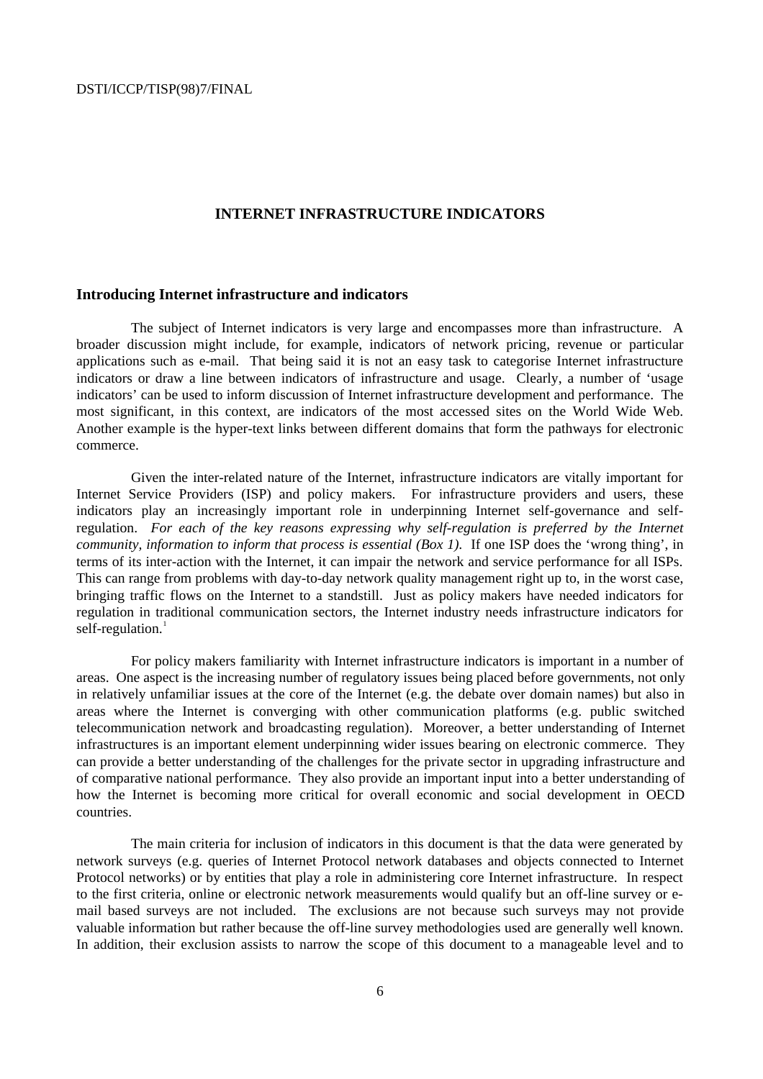### **INTERNET INFRASTRUCTURE INDICATORS**

### **Introducing Internet infrastructure and indicators**

The subject of Internet indicators is very large and encompasses more than infrastructure. A broader discussion might include, for example, indicators of network pricing, revenue or particular applications such as e-mail. That being said it is not an easy task to categorise Internet infrastructure indicators or draw a line between indicators of infrastructure and usage. Clearly, a number of 'usage indicators' can be used to inform discussion of Internet infrastructure development and performance. The most significant, in this context, are indicators of the most accessed sites on the World Wide Web. Another example is the hyper-text links between different domains that form the pathways for electronic commerce.

Given the inter-related nature of the Internet, infrastructure indicators are vitally important for Internet Service Providers (ISP) and policy makers. For infrastructure providers and users, these indicators play an increasingly important role in underpinning Internet self-governance and selfregulation. *For each of the key reasons expressing why self-regulation is preferred by the Internet community, information to inform that process is essential (Box 1).* If one ISP does the 'wrong thing', in terms of its inter-action with the Internet, it can impair the network and service performance for all ISPs. This can range from problems with day-to-day network quality management right up to, in the worst case, bringing traffic flows on the Internet to a standstill. Just as policy makers have needed indicators for regulation in traditional communication sectors, the Internet industry needs infrastructure indicators for self-regulation. $1$ 

For policy makers familiarity with Internet infrastructure indicators is important in a number of areas. One aspect is the increasing number of regulatory issues being placed before governments, not only in relatively unfamiliar issues at the core of the Internet (e.g. the debate over domain names) but also in areas where the Internet is converging with other communication platforms (e.g. public switched telecommunication network and broadcasting regulation). Moreover, a better understanding of Internet infrastructures is an important element underpinning wider issues bearing on electronic commerce. They can provide a better understanding of the challenges for the private sector in upgrading infrastructure and of comparative national performance. They also provide an important input into a better understanding of how the Internet is becoming more critical for overall economic and social development in OECD countries.

The main criteria for inclusion of indicators in this document is that the data were generated by network surveys (e.g. queries of Internet Protocol network databases and objects connected to Internet Protocol networks) or by entities that play a role in administering core Internet infrastructure. In respect to the first criteria, online or electronic network measurements would qualify but an off-line survey or email based surveys are not included. The exclusions are not because such surveys may not provide valuable information but rather because the off-line survey methodologies used are generally well known. In addition, their exclusion assists to narrow the scope of this document to a manageable level and to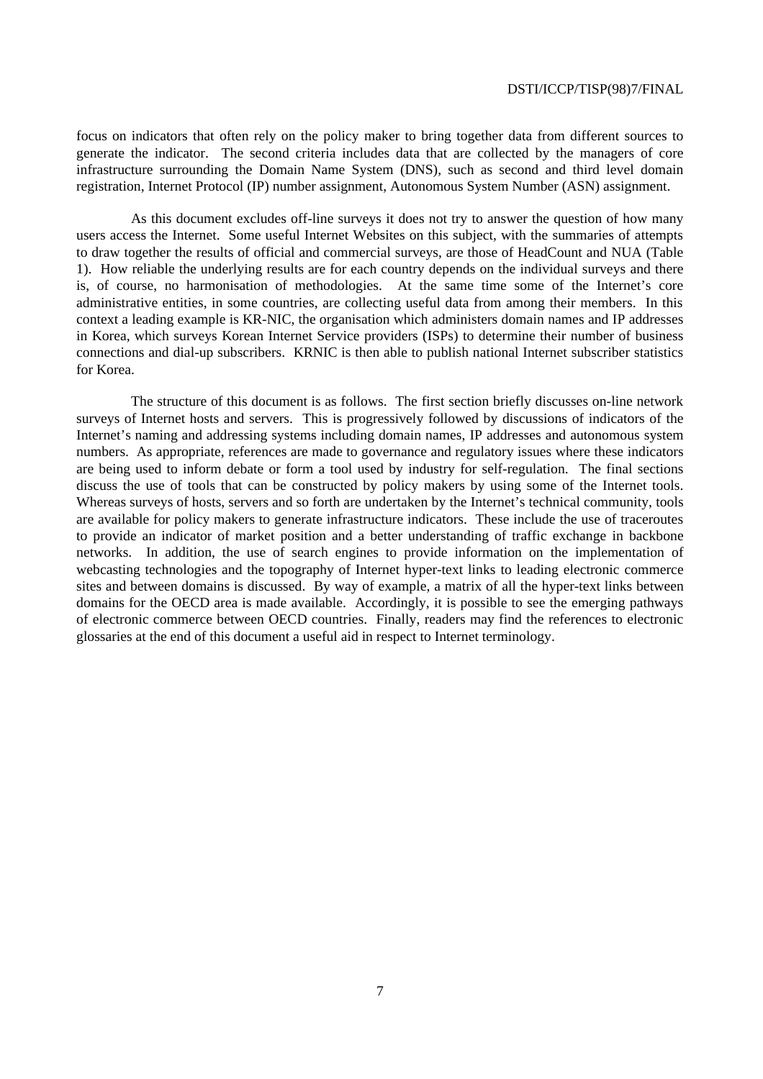focus on indicators that often rely on the policy maker to bring together data from different sources to generate the indicator. The second criteria includes data that are collected by the managers of core infrastructure surrounding the Domain Name System (DNS), such as second and third level domain registration, Internet Protocol (IP) number assignment, Autonomous System Number (ASN) assignment.

As this document excludes off-line surveys it does not try to answer the question of how many users access the Internet. Some useful Internet Websites on this subject, with the summaries of attempts to draw together the results of official and commercial surveys, are those of HeadCount and NUA (Table 1). How reliable the underlying results are for each country depends on the individual surveys and there is, of course, no harmonisation of methodologies. At the same time some of the Internet's core administrative entities, in some countries, are collecting useful data from among their members. In this context a leading example is KR-NIC, the organisation which administers domain names and IP addresses in Korea, which surveys Korean Internet Service providers (ISPs) to determine their number of business connections and dial-up subscribers. KRNIC is then able to publish national Internet subscriber statistics for Korea.

The structure of this document is as follows. The first section briefly discusses on-line network surveys of Internet hosts and servers. This is progressively followed by discussions of indicators of the Internet's naming and addressing systems including domain names, IP addresses and autonomous system numbers. As appropriate, references are made to governance and regulatory issues where these indicators are being used to inform debate or form a tool used by industry for self-regulation. The final sections discuss the use of tools that can be constructed by policy makers by using some of the Internet tools. Whereas surveys of hosts, servers and so forth are undertaken by the Internet's technical community, tools are available for policy makers to generate infrastructure indicators. These include the use of traceroutes to provide an indicator of market position and a better understanding of traffic exchange in backbone networks. In addition, the use of search engines to provide information on the implementation of webcasting technologies and the topography of Internet hyper-text links to leading electronic commerce sites and between domains is discussed. By way of example, a matrix of all the hyper-text links between domains for the OECD area is made available. Accordingly, it is possible to see the emerging pathways of electronic commerce between OECD countries. Finally, readers may find the references to electronic glossaries at the end of this document a useful aid in respect to Internet terminology.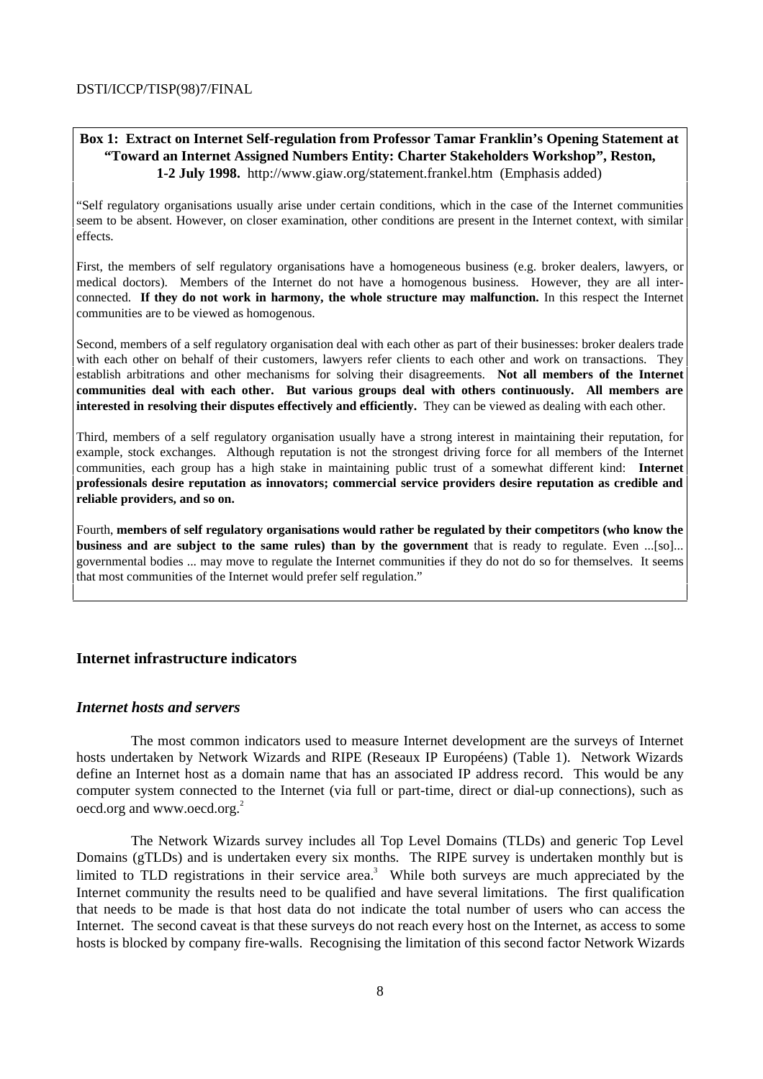### **Box 1: Extract on Internet Self-regulation from Professor Tamar Franklin's Opening Statement at "Toward an Internet Assigned Numbers Entity: Charter Stakeholders Workshop", Reston, 1-2 July 1998.** http://www.giaw.org/statement.frankel.htm (Emphasis added)

"Self regulatory organisations usually arise under certain conditions, which in the case of the Internet communities seem to be absent. However, on closer examination, other conditions are present in the Internet context, with similar effects.

First, the members of self regulatory organisations have a homogeneous business (e.g. broker dealers, lawyers, or medical doctors). Members of the Internet do not have a homogenous business. However, they are all interconnected. **If they do not work in harmony, the whole structure may malfunction.** In this respect the Internet communities are to be viewed as homogenous.

Second, members of a self regulatory organisation deal with each other as part of their businesses: broker dealers trade with each other on behalf of their customers, lawyers refer clients to each other and work on transactions. They establish arbitrations and other mechanisms for solving their disagreements. **Not all members of the Internet communities deal with each other. But various groups deal with others continuously. All members are interested in resolving their disputes effectively and efficiently.** They can be viewed as dealing with each other.

Third, members of a self regulatory organisation usually have a strong interest in maintaining their reputation, for example, stock exchanges. Although reputation is not the strongest driving force for all members of the Internet communities, each group has a high stake in maintaining public trust of a somewhat different kind: **Internet professionals desire reputation as innovators; commercial service providers desire reputation as credible and reliable providers, and so on.**

Fourth, **members of self regulatory organisations would rather be regulated by their competitors (who know the business and are subject to the same rules) than by the government** that is ready to regulate. Even ...[so]... governmental bodies ... may move to regulate the Internet communities if they do not do so for themselves. It seems that most communities of the Internet would prefer self regulation."

### **Internet infrastructure indicators**

### *Internet hosts and servers*

The most common indicators used to measure Internet development are the surveys of Internet hosts undertaken by Network Wizards and RIPE (Reseaux IP Européens) (Table 1). Network Wizards define an Internet host as a domain name that has an associated IP address record. This would be any computer system connected to the Internet (via full or part-time, direct or dial-up connections), such as oecd.org and www.oecd.org.<sup>2</sup>

The Network Wizards survey includes all Top Level Domains (TLDs) and generic Top Level Domains (gTLDs) and is undertaken every six months. The RIPE survey is undertaken monthly but is limited to TLD registrations in their service area.<sup>3</sup> While both surveys are much appreciated by the Internet community the results need to be qualified and have several limitations. The first qualification that needs to be made is that host data do not indicate the total number of users who can access the Internet. The second caveat is that these surveys do not reach every host on the Internet, as access to some hosts is blocked by company fire-walls. Recognising the limitation of this second factor Network Wizards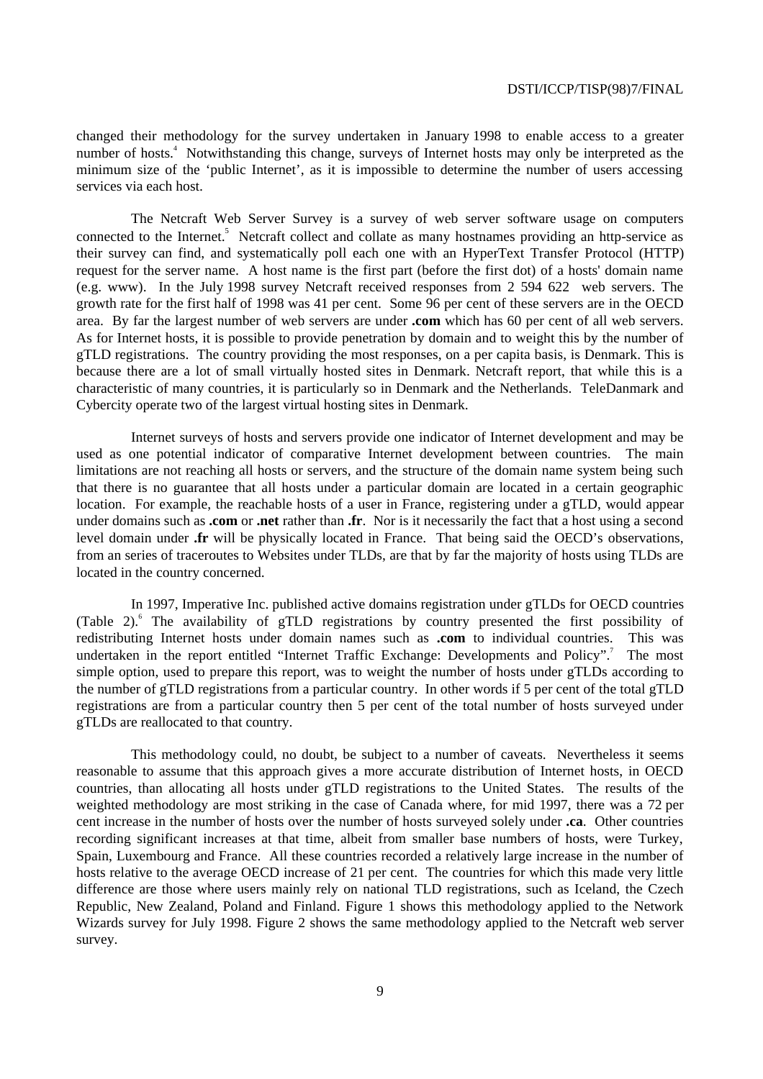changed their methodology for the survey undertaken in January 1998 to enable access to a greater number of hosts.<sup>4</sup> Notwithstanding this change, surveys of Internet hosts may only be interpreted as the minimum size of the 'public Internet', as it is impossible to determine the number of users accessing services via each host.

The Netcraft Web Server Survey is a survey of web server software usage on computers connected to the Internet.<sup>5</sup> Netcraft collect and collate as many hostnames providing an http-service as their survey can find, and systematically poll each one with an HyperText Transfer Protocol (HTTP) request for the server name. A host name is the first part (before the first dot) of a hosts' domain name (e.g. www). In the July 1998 survey Netcraft received responses from 2 594 622 web servers. The growth rate for the first half of 1998 was 41 per cent. Some 96 per cent of these servers are in the OECD area. By far the largest number of web servers are under **.com** which has 60 per cent of all web servers. As for Internet hosts, it is possible to provide penetration by domain and to weight this by the number of gTLD registrations. The country providing the most responses, on a per capita basis, is Denmark. This is because there are a lot of small virtually hosted sites in Denmark. Netcraft report, that while this is a characteristic of many countries, it is particularly so in Denmark and the Netherlands. TeleDanmark and Cybercity operate two of the largest virtual hosting sites in Denmark.

Internet surveys of hosts and servers provide one indicator of Internet development and may be used as one potential indicator of comparative Internet development between countries. The main limitations are not reaching all hosts or servers, and the structure of the domain name system being such that there is no guarantee that all hosts under a particular domain are located in a certain geographic location. For example, the reachable hosts of a user in France, registering under a gTLD, would appear under domains such as **.com** or **.net** rather than **.fr**. Nor is it necessarily the fact that a host using a second level domain under **.fr** will be physically located in France. That being said the OECD's observations, from an series of traceroutes to Websites under TLDs, are that by far the majority of hosts using TLDs are located in the country concerned.

In 1997, Imperative Inc. published active domains registration under gTLDs for OECD countries (Table 2).<sup>6</sup> The availability of gTLD registrations by country presented the first possibility of redistributing Internet hosts under domain names such as **.com** to individual countries. This was undertaken in the report entitled "Internet Traffic Exchange: Developments and Policy".<sup>7</sup> The most simple option, used to prepare this report, was to weight the number of hosts under gTLDs according to the number of gTLD registrations from a particular country. In other words if 5 per cent of the total gTLD registrations are from a particular country then 5 per cent of the total number of hosts surveyed under gTLDs are reallocated to that country.

This methodology could, no doubt, be subject to a number of caveats. Nevertheless it seems reasonable to assume that this approach gives a more accurate distribution of Internet hosts, in OECD countries, than allocating all hosts under gTLD registrations to the United States. The results of the weighted methodology are most striking in the case of Canada where, for mid 1997, there was a 72 per cent increase in the number of hosts over the number of hosts surveyed solely under **.ca**. Other countries recording significant increases at that time, albeit from smaller base numbers of hosts, were Turkey, Spain, Luxembourg and France. All these countries recorded a relatively large increase in the number of hosts relative to the average OECD increase of 21 per cent. The countries for which this made very little difference are those where users mainly rely on national TLD registrations, such as Iceland, the Czech Republic, New Zealand, Poland and Finland. Figure 1 shows this methodology applied to the Network Wizards survey for July 1998. Figure 2 shows the same methodology applied to the Netcraft web server survey.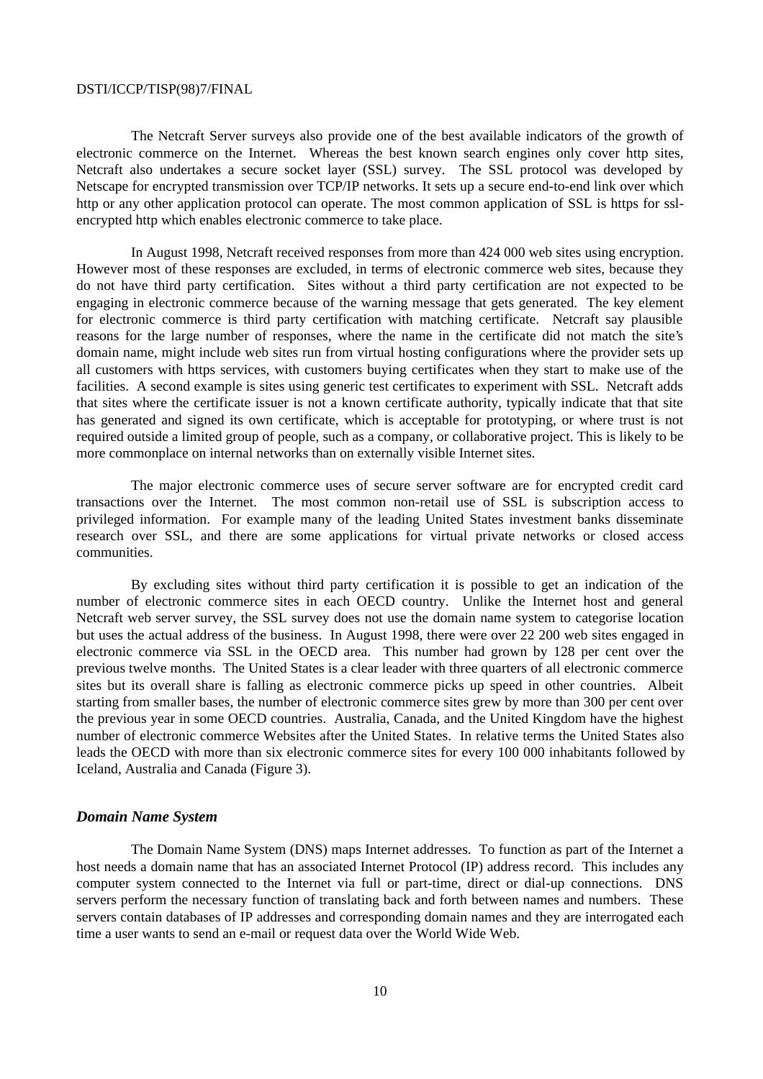The Netcraft Server surveys also provide one of the best available indicators of the growth of electronic commerce on the Internet. Whereas the best known search engines only cover http sites, Netcraft also undertakes a secure socket layer (SSL) survey. The SSL protocol was developed by Netscape for encrypted transmission over TCP/IP networks. It sets up a secure end-to-end link over which http or any other application protocol can operate. The most common application of SSL is https for sslencrypted http which enables electronic commerce to take place.

In August 1998, Netcraft received responses from more than 424 000 web sites using encryption. However most of these responses are excluded, in terms of electronic commerce web sites, because they do not have third party certification. Sites without a third party certification are not expected to be engaging in electronic commerce because of the warning message that gets generated. The key element for electronic commerce is third party certification with matching certificate. Netcraft say plausible reasons for the large number of responses, where the name in the certificate did not match the site's domain name, might include web sites run from virtual hosting configurations where the provider sets up all customers with https services, with customers buying certificates when they start to make use of the facilities. A second example is sites using generic test certificates to experiment with SSL. Netcraft adds that sites where the certificate issuer is not a known certificate authority, typically indicate that that site has generated and signed its own certificate, which is acceptable for prototyping, or where trust is not required outside a limited group of people, such as a company, or collaborative project. This is likely to be more commonplace on internal networks than on externally visible Internet sites.

The major electronic commerce uses of secure server software are for encrypted credit card transactions over the Internet. The most common non-retail use of SSL is subscription access to privileged information. For example many of the leading United States investment banks disseminate research over SSL, and there are some applications for virtual private networks or closed access communities.

By excluding sites without third party certification it is possible to get an indication of the number of electronic commerce sites in each OECD country. Unlike the Internet host and general Netcraft web server survey, the SSL survey does not use the domain name system to categorise location but uses the actual address of the business. In August 1998, there were over 22 200 web sites engaged in electronic commerce via SSL in the OECD area. This number had grown by 128 per cent over the previous twelve months. The United States is a clear leader with three quarters of all electronic commerce sites but its overall share is falling as electronic commerce picks up speed in other countries. Albeit starting from smaller bases, the number of electronic commerce sites grew by more than 300 per cent over the previous year in some OECD countries. Australia, Canada, and the United Kingdom have the highest number of electronic commerce Websites after the United States. In relative terms the United States also leads the OECD with more than six electronic commerce sites for every 100 000 inhabitants followed by Iceland, Australia and Canada (Figure 3).

#### *Domain Name System*

The Domain Name System (DNS) maps Internet addresses. To function as part of the Internet a host needs a domain name that has an associated Internet Protocol (IP) address record. This includes any computer system connected to the Internet via full or part-time, direct or dial-up connections. DNS servers perform the necessary function of translating back and forth between names and numbers. These servers contain databases of IP addresses and corresponding domain names and they are interrogated each time a user wants to send an e-mail or request data over the World Wide Web.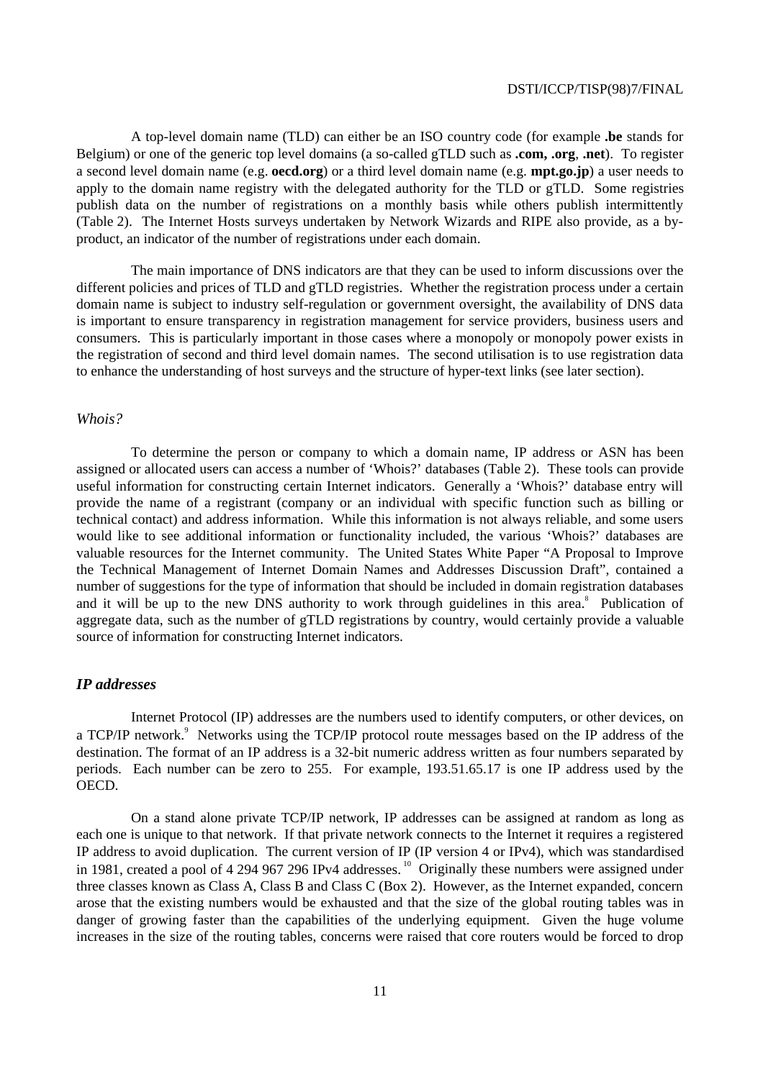A top-level domain name (TLD) can either be an ISO country code (for example **.be** stands for Belgium) or one of the generic top level domains (a so-called gTLD such as **.com, .org**, **.net**). To register a second level domain name (e.g. **oecd.org**) or a third level domain name (e.g. **mpt.go.jp**) a user needs to apply to the domain name registry with the delegated authority for the TLD or gTLD. Some registries publish data on the number of registrations on a monthly basis while others publish intermittently (Table 2). The Internet Hosts surveys undertaken by Network Wizards and RIPE also provide, as a byproduct, an indicator of the number of registrations under each domain.

The main importance of DNS indicators are that they can be used to inform discussions over the different policies and prices of TLD and gTLD registries. Whether the registration process under a certain domain name is subject to industry self-regulation or government oversight, the availability of DNS data is important to ensure transparency in registration management for service providers, business users and consumers. This is particularly important in those cases where a monopoly or monopoly power exists in the registration of second and third level domain names. The second utilisation is to use registration data to enhance the understanding of host surveys and the structure of hyper-text links (see later section).

### *Whois?*

To determine the person or company to which a domain name, IP address or ASN has been assigned or allocated users can access a number of 'Whois?' databases (Table 2). These tools can provide useful information for constructing certain Internet indicators. Generally a 'Whois?' database entry will provide the name of a registrant (company or an individual with specific function such as billing or technical contact) and address information. While this information is not always reliable, and some users would like to see additional information or functionality included, the various 'Whois?' databases are valuable resources for the Internet community. The United States White Paper "A Proposal to Improve the Technical Management of Internet Domain Names and Addresses Discussion Draft", contained a number of suggestions for the type of information that should be included in domain registration databases and it will be up to the new DNS authority to work through guidelines in this area.<sup>8</sup> Publication of aggregate data, such as the number of gTLD registrations by country, would certainly provide a valuable source of information for constructing Internet indicators.

### *IP addresses*

Internet Protocol (IP) addresses are the numbers used to identify computers, or other devices, on a TCP/IP network.<sup>9</sup> Networks using the TCP/IP protocol route messages based on the IP address of the destination. The format of an IP address is a 32-bit numeric address written as four numbers separated by periods. Each number can be zero to 255. For example, 193.51.65.17 is one IP address used by the OECD.

On a stand alone private TCP/IP network, IP addresses can be assigned at random as long as each one is unique to that network. If that private network connects to the Internet it requires a registered IP address to avoid duplication. The current version of IP (IP version 4 or IPv4), which was standardised in 1981, created a pool of 4 294 967 296 IPv4 addresses.<sup>10</sup> Originally these numbers were assigned under three classes known as Class A, Class B and Class C (Box 2). However, as the Internet expanded, concern arose that the existing numbers would be exhausted and that the size of the global routing tables was in danger of growing faster than the capabilities of the underlying equipment. Given the huge volume increases in the size of the routing tables, concerns were raised that core routers would be forced to drop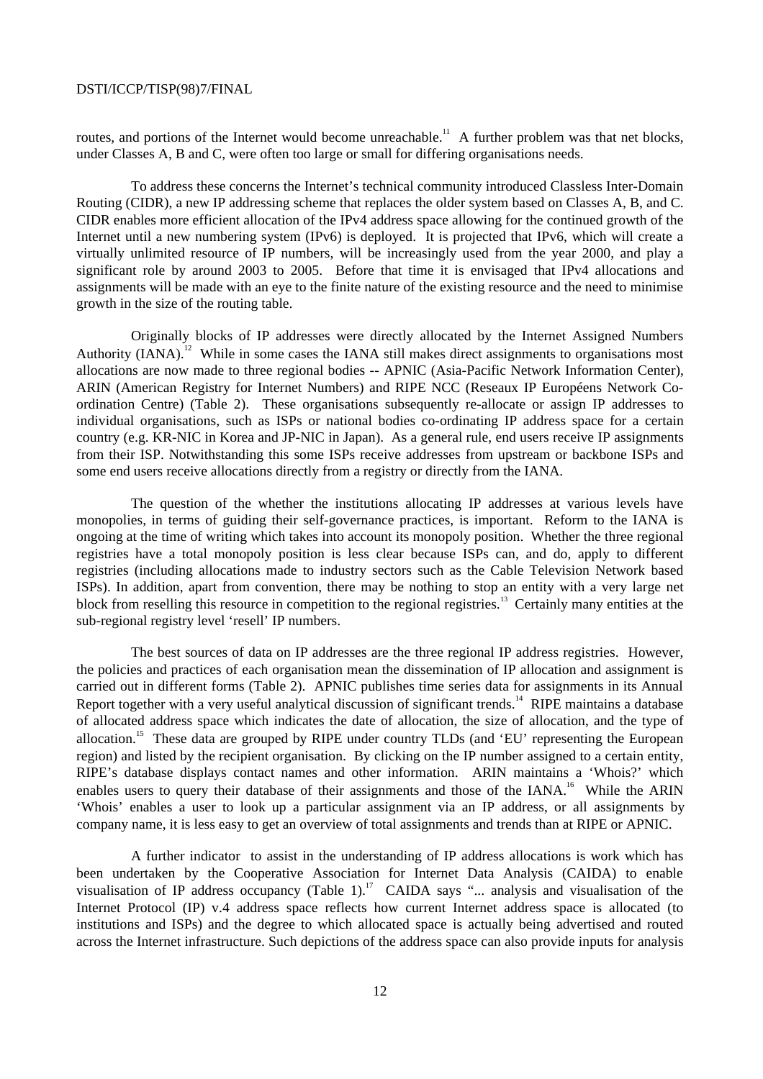routes, and portions of the Internet would become unreachable.<sup>11</sup> A further problem was that net blocks, under Classes A, B and C, were often too large or small for differing organisations needs.

To address these concerns the Internet's technical community introduced Classless Inter-Domain Routing (CIDR), a new IP addressing scheme that replaces the older system based on Classes A, B, and C. CIDR enables more efficient allocation of the IPv4 address space allowing for the continued growth of the Internet until a new numbering system (IPv6) is deployed. It is projected that IPv6, which will create a virtually unlimited resource of IP numbers, will be increasingly used from the year 2000, and play a significant role by around 2003 to 2005. Before that time it is envisaged that IPv4 allocations and assignments will be made with an eye to the finite nature of the existing resource and the need to minimise growth in the size of the routing table.

Originally blocks of IP addresses were directly allocated by the Internet Assigned Numbers Authority (IANA).<sup>12</sup> While in some cases the IANA still makes direct assignments to organisations most allocations are now made to three regional bodies -- APNIC (Asia-Pacific Network Information Center), ARIN (American Registry for Internet Numbers) and RIPE NCC (Reseaux IP Européens Network Coordination Centre) (Table 2). These organisations subsequently re-allocate or assign IP addresses to individual organisations, such as ISPs or national bodies co-ordinating IP address space for a certain country (e.g. KR-NIC in Korea and JP-NIC in Japan). As a general rule, end users receive IP assignments from their ISP. Notwithstanding this some ISPs receive addresses from upstream or backbone ISPs and some end users receive allocations directly from a registry or directly from the IANA.

The question of the whether the institutions allocating IP addresses at various levels have monopolies, in terms of guiding their self-governance practices, is important. Reform to the IANA is ongoing at the time of writing which takes into account its monopoly position. Whether the three regional registries have a total monopoly position is less clear because ISPs can, and do, apply to different registries (including allocations made to industry sectors such as the Cable Television Network based ISPs). In addition, apart from convention, there may be nothing to stop an entity with a very large net block from reselling this resource in competition to the regional registries.<sup>13</sup> Certainly many entities at the sub-regional registry level 'resell' IP numbers.

The best sources of data on IP addresses are the three regional IP address registries. However, the policies and practices of each organisation mean the dissemination of IP allocation and assignment is carried out in different forms (Table 2). APNIC publishes time series data for assignments in its Annual Report together with a very useful analytical discussion of significant trends.<sup>14</sup> RIPE maintains a database of allocated address space which indicates the date of allocation, the size of allocation, and the type of allocation.<sup>15</sup> These data are grouped by RIPE under country TLDs (and 'EU' representing the European region) and listed by the recipient organisation. By clicking on the IP number assigned to a certain entity, RIPE's database displays contact names and other information. ARIN maintains a 'Whois?' which enables users to query their database of their assignments and those of the IANA.<sup>16</sup> While the ARIN 'Whois' enables a user to look up a particular assignment via an IP address, or all assignments by company name, it is less easy to get an overview of total assignments and trends than at RIPE or APNIC.

A further indicator to assist in the understanding of IP address allocations is work which has been undertaken by the Cooperative Association for Internet Data Analysis (CAIDA) to enable visualisation of IP address occupancy (Table 1).<sup>17</sup> CAIDA says "... analysis and visualisation of the Internet Protocol (IP) v.4 address space reflects how current Internet address space is allocated (to institutions and ISPs) and the degree to which allocated space is actually being advertised and routed across the Internet infrastructure. Such depictions of the address space can also provide inputs for analysis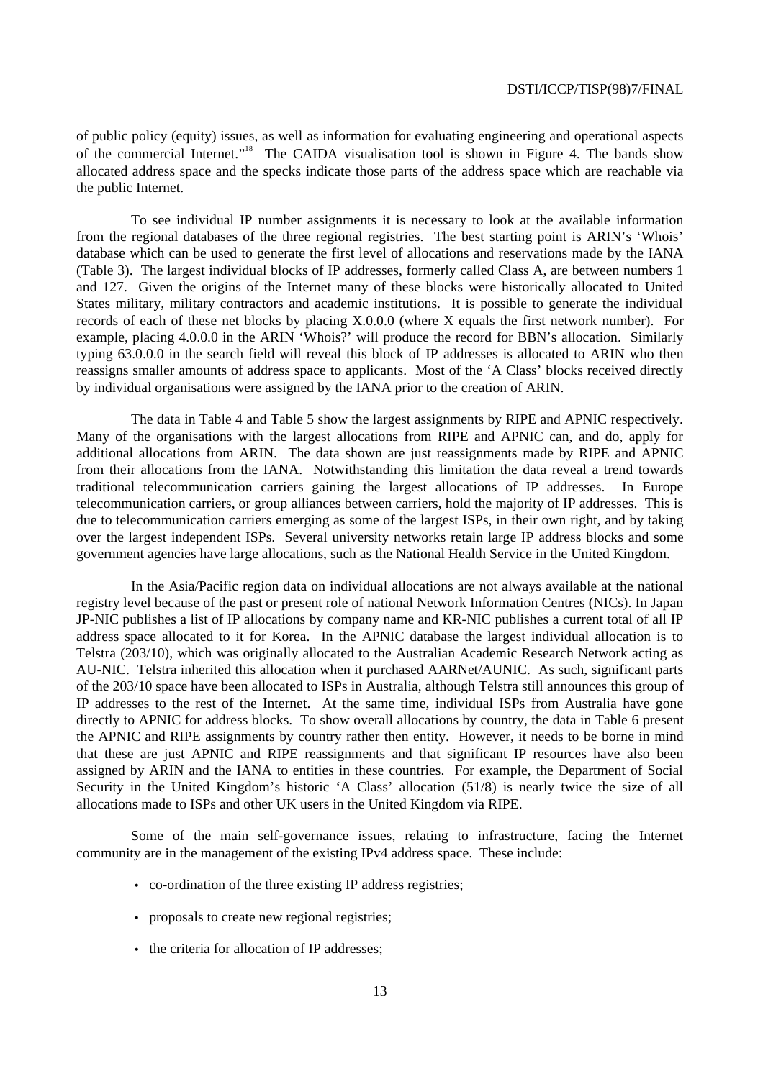of public policy (equity) issues, as well as information for evaluating engineering and operational aspects of the commercial Internet."<sup>18</sup> The CAIDA visualisation tool is shown in Figure 4. The bands show allocated address space and the specks indicate those parts of the address space which are reachable via the public Internet.

To see individual IP number assignments it is necessary to look at the available information from the regional databases of the three regional registries. The best starting point is ARIN's 'Whois' database which can be used to generate the first level of allocations and reservations made by the IANA (Table 3). The largest individual blocks of IP addresses, formerly called Class A, are between numbers 1 and 127. Given the origins of the Internet many of these blocks were historically allocated to United States military, military contractors and academic institutions. It is possible to generate the individual records of each of these net blocks by placing X.0.0.0 (where X equals the first network number). For example, placing 4.0.0.0 in the ARIN 'Whois?' will produce the record for BBN's allocation. Similarly typing 63.0.0.0 in the search field will reveal this block of IP addresses is allocated to ARIN who then reassigns smaller amounts of address space to applicants. Most of the 'A Class' blocks received directly by individual organisations were assigned by the IANA prior to the creation of ARIN.

The data in Table 4 and Table 5 show the largest assignments by RIPE and APNIC respectively. Many of the organisations with the largest allocations from RIPE and APNIC can, and do, apply for additional allocations from ARIN. The data shown are just reassignments made by RIPE and APNIC from their allocations from the IANA. Notwithstanding this limitation the data reveal a trend towards traditional telecommunication carriers gaining the largest allocations of IP addresses. In Europe telecommunication carriers, or group alliances between carriers, hold the majority of IP addresses. This is due to telecommunication carriers emerging as some of the largest ISPs, in their own right, and by taking over the largest independent ISPs. Several university networks retain large IP address blocks and some government agencies have large allocations, such as the National Health Service in the United Kingdom.

In the Asia/Pacific region data on individual allocations are not always available at the national registry level because of the past or present role of national Network Information Centres (NICs). In Japan JP-NIC publishes a list of IP allocations by company name and KR-NIC publishes a current total of all IP address space allocated to it for Korea. In the APNIC database the largest individual allocation is to Telstra (203/10), which was originally allocated to the Australian Academic Research Network acting as AU-NIC. Telstra inherited this allocation when it purchased AARNet/AUNIC. As such, significant parts of the 203/10 space have been allocated to ISPs in Australia, although Telstra still announces this group of IP addresses to the rest of the Internet. At the same time, individual ISPs from Australia have gone directly to APNIC for address blocks. To show overall allocations by country, the data in Table 6 present the APNIC and RIPE assignments by country rather then entity. However, it needs to be borne in mind that these are just APNIC and RIPE reassignments and that significant IP resources have also been assigned by ARIN and the IANA to entities in these countries. For example, the Department of Social Security in the United Kingdom's historic 'A Class' allocation (51/8) is nearly twice the size of all allocations made to ISPs and other UK users in the United Kingdom via RIPE.

Some of the main self-governance issues, relating to infrastructure, facing the Internet community are in the management of the existing IPv4 address space. These include:

- co-ordination of the three existing IP address registries;
- proposals to create new regional registries;
- the criteria for allocation of IP addresses: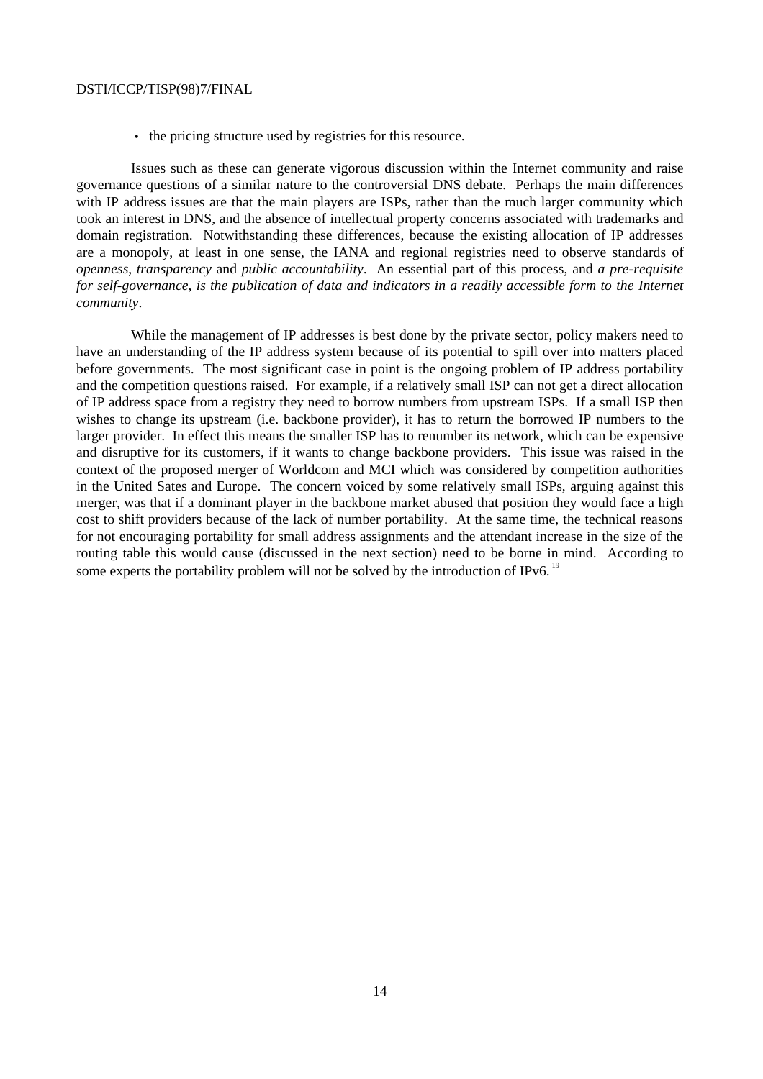• the pricing structure used by registries for this resource.

Issues such as these can generate vigorous discussion within the Internet community and raise governance questions of a similar nature to the controversial DNS debate. Perhaps the main differences with IP address issues are that the main players are ISPs, rather than the much larger community which took an interest in DNS, and the absence of intellectual property concerns associated with trademarks and domain registration. Notwithstanding these differences, because the existing allocation of IP addresses are a monopoly, at least in one sense, the IANA and regional registries need to observe standards of *openness*, *transparency* and *public accountability*. An essential part of this process, and *a pre-requisite for self-governance, is the publication of data and indicators in a readily accessible form to the Internet community*.

While the management of IP addresses is best done by the private sector, policy makers need to have an understanding of the IP address system because of its potential to spill over into matters placed before governments. The most significant case in point is the ongoing problem of IP address portability and the competition questions raised. For example, if a relatively small ISP can not get a direct allocation of IP address space from a registry they need to borrow numbers from upstream ISPs. If a small ISP then wishes to change its upstream (i.e. backbone provider), it has to return the borrowed IP numbers to the larger provider. In effect this means the smaller ISP has to renumber its network, which can be expensive and disruptive for its customers, if it wants to change backbone providers. This issue was raised in the context of the proposed merger of Worldcom and MCI which was considered by competition authorities in the United Sates and Europe. The concern voiced by some relatively small ISPs, arguing against this merger, was that if a dominant player in the backbone market abused that position they would face a high cost to shift providers because of the lack of number portability. At the same time, the technical reasons for not encouraging portability for small address assignments and the attendant increase in the size of the routing table this would cause (discussed in the next section) need to be borne in mind. According to some experts the portability problem will not be solved by the introduction of IPv6.  $^{19}$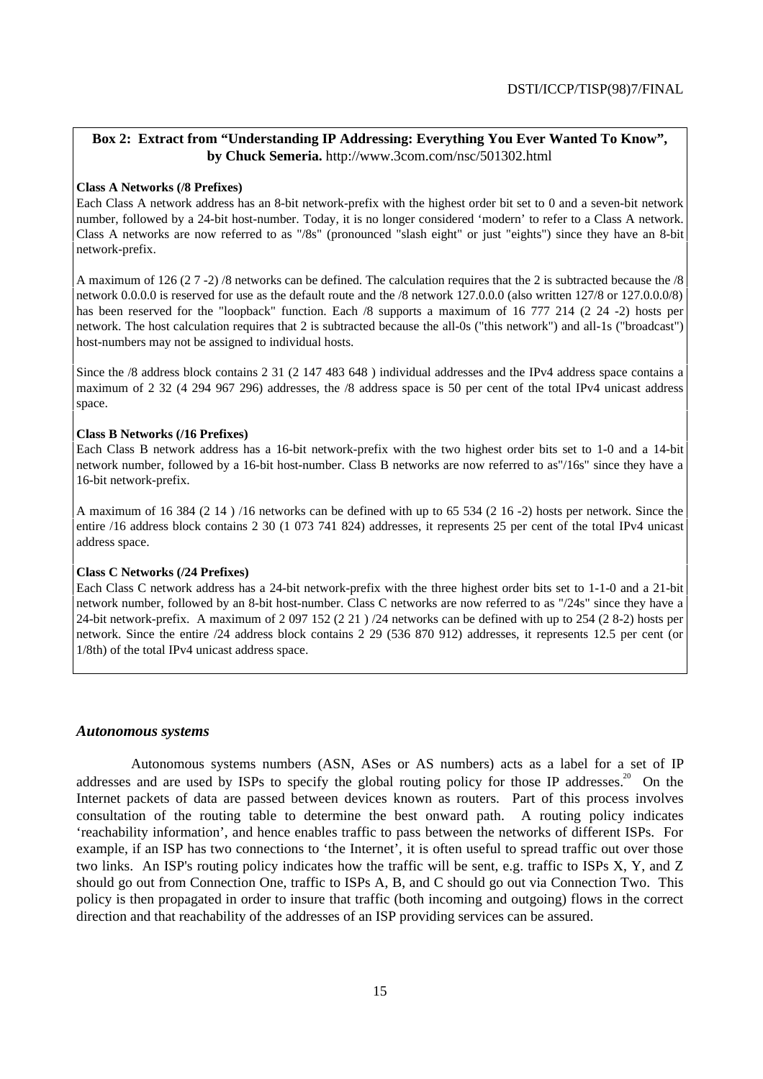## **Box 2: Extract from "Understanding IP Addressing: Everything You Ever Wanted To Know", by Chuck Semeria.** http://www.3com.com/nsc/501302.html

### **Class A Networks (/8 Prefixes)**

Each Class A network address has an 8-bit network-prefix with the highest order bit set to 0 and a seven-bit network number, followed by a 24-bit host-number. Today, it is no longer considered 'modern' to refer to a Class A network. Class A networks are now referred to as "/8s" (pronounced "slash eight" or just "eights") since they have an 8-bit network-prefix.

A maximum of 126 (2 7 -2) /8 networks can be defined. The calculation requires that the 2 is subtracted because the /8 network 0.0.0.0 is reserved for use as the default route and the /8 network 127.0.0.0 (also written 127/8 or 127.0.0.0/8) has been reserved for the "loopback" function. Each /8 supports a maximum of 16 777 214 (2 24 -2) hosts per network. The host calculation requires that 2 is subtracted because the all-0s ("this network") and all-1s ("broadcast") host-numbers may not be assigned to individual hosts.

Since the /8 address block contains 2 31 (2 147 483 648 ) individual addresses and the IPv4 address space contains a maximum of 2 32 (4 294 967 296) addresses, the /8 address space is 50 per cent of the total IPv4 unicast address space.

#### **Class B Networks (/16 Prefixes)**

Each Class B network address has a 16-bit network-prefix with the two highest order bits set to 1-0 and a 14-bit network number, followed by a 16-bit host-number. Class B networks are now referred to as"/16s" since they have a 16-bit network-prefix.

A maximum of 16 384 (2 14 ) /16 networks can be defined with up to 65 534 (2 16 -2) hosts per network. Since the entire /16 address block contains 2 30 (1 073 741 824) addresses, it represents 25 per cent of the total IPv4 unicast address space.

#### **Class C Networks (/24 Prefixes)**

Each Class C network address has a 24-bit network-prefix with the three highest order bits set to 1-1-0 and a 21-bit network number, followed by an 8-bit host-number. Class C networks are now referred to as "/24s" since they have a 24-bit network-prefix. A maximum of 2 097 152 (2 21 ) /24 networks can be defined with up to 254 (2 8-2) hosts per network. Since the entire /24 address block contains 2 29 (536 870 912) addresses, it represents 12.5 per cent (or 1/8th) of the total IPv4 unicast address space.

#### *Autonomous systems*

Autonomous systems numbers (ASN, ASes or AS numbers) acts as a label for a set of IP addresses and are used by ISPs to specify the global routing policy for those IP addresses.<sup>20</sup> On the Internet packets of data are passed between devices known as routers. Part of this process involves consultation of the routing table to determine the best onward path. A routing policy indicates 'reachability information', and hence enables traffic to pass between the networks of different ISPs. For example, if an ISP has two connections to 'the Internet', it is often useful to spread traffic out over those two links. An ISP's routing policy indicates how the traffic will be sent, e.g. traffic to ISPs X, Y, and Z should go out from Connection One, traffic to ISPs A, B, and C should go out via Connection Two. This policy is then propagated in order to insure that traffic (both incoming and outgoing) flows in the correct direction and that reachability of the addresses of an ISP providing services can be assured.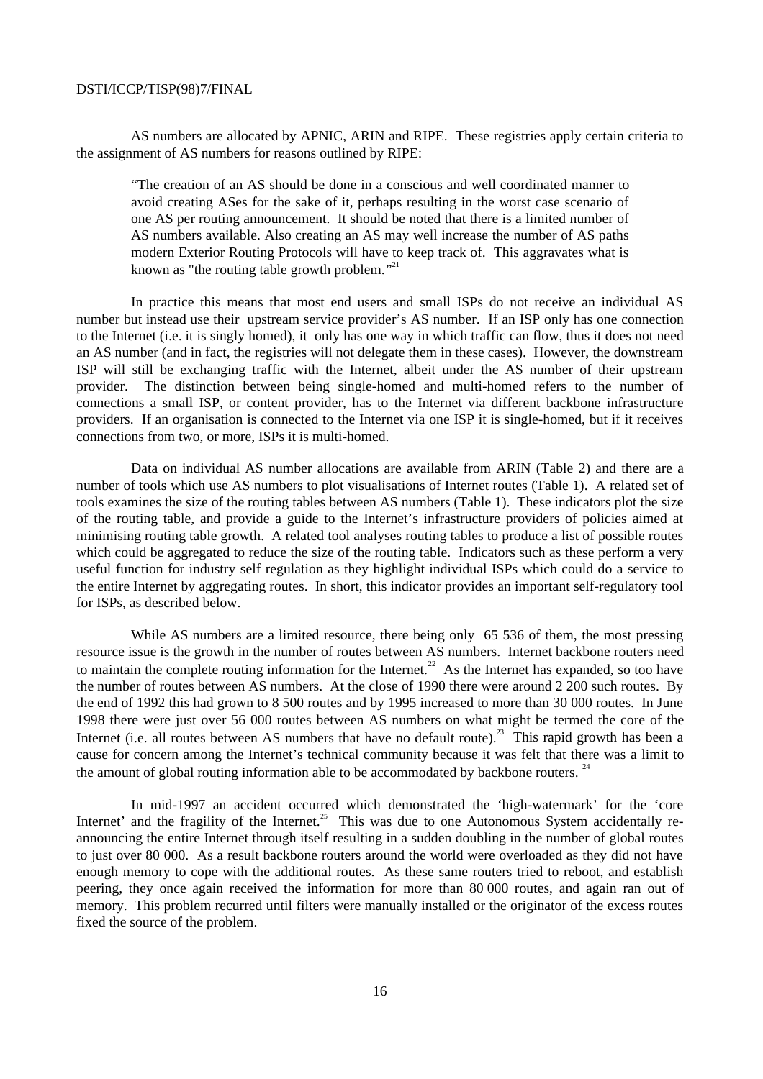AS numbers are allocated by APNIC, ARIN and RIPE. These registries apply certain criteria to the assignment of AS numbers for reasons outlined by RIPE:

"The creation of an AS should be done in a conscious and well coordinated manner to avoid creating ASes for the sake of it, perhaps resulting in the worst case scenario of one AS per routing announcement. It should be noted that there is a limited number of AS numbers available. Also creating an AS may well increase the number of AS paths modern Exterior Routing Protocols will have to keep track of. This aggravates what is known as "the routing table growth problem."<sup>21</sup>

In practice this means that most end users and small ISPs do not receive an individual AS number but instead use their upstream service provider's AS number. If an ISP only has one connection to the Internet (i.e. it is singly homed), it only has one way in which traffic can flow, thus it does not need an AS number (and in fact, the registries will not delegate them in these cases). However, the downstream ISP will still be exchanging traffic with the Internet, albeit under the AS number of their upstream provider. The distinction between being single-homed and multi-homed refers to the number of connections a small ISP, or content provider, has to the Internet via different backbone infrastructure providers. If an organisation is connected to the Internet via one ISP it is single-homed, but if it receives connections from two, or more, ISPs it is multi-homed.

Data on individual AS number allocations are available from ARIN (Table 2) and there are a number of tools which use AS numbers to plot visualisations of Internet routes (Table 1). A related set of tools examines the size of the routing tables between AS numbers (Table 1). These indicators plot the size of the routing table, and provide a guide to the Internet's infrastructure providers of policies aimed at minimising routing table growth. A related tool analyses routing tables to produce a list of possible routes which could be aggregated to reduce the size of the routing table. Indicators such as these perform a very useful function for industry self regulation as they highlight individual ISPs which could do a service to the entire Internet by aggregating routes. In short, this indicator provides an important self-regulatory tool for ISPs, as described below.

While AS numbers are a limited resource, there being only 65 536 of them, the most pressing resource issue is the growth in the number of routes between AS numbers. Internet backbone routers need to maintain the complete routing information for the Internet.<sup>22</sup> As the Internet has expanded, so too have the number of routes between AS numbers. At the close of 1990 there were around 2 200 such routes. By the end of 1992 this had grown to 8 500 routes and by 1995 increased to more than 30 000 routes. In June 1998 there were just over 56 000 routes between AS numbers on what might be termed the core of the Internet (i.e. all routes between AS numbers that have no default route).<sup>23</sup> This rapid growth has been a cause for concern among the Internet's technical community because it was felt that there was a limit to the amount of global routing information able to be accommodated by backbone routers.  $24$ 

In mid-1997 an accident occurred which demonstrated the 'high-watermark' for the 'core Internet' and the fragility of the Internet.<sup>25</sup> This was due to one Autonomous System accidentally reannouncing the entire Internet through itself resulting in a sudden doubling in the number of global routes to just over 80 000. As a result backbone routers around the world were overloaded as they did not have enough memory to cope with the additional routes. As these same routers tried to reboot, and establish peering, they once again received the information for more than 80 000 routes, and again ran out of memory. This problem recurred until filters were manually installed or the originator of the excess routes fixed the source of the problem.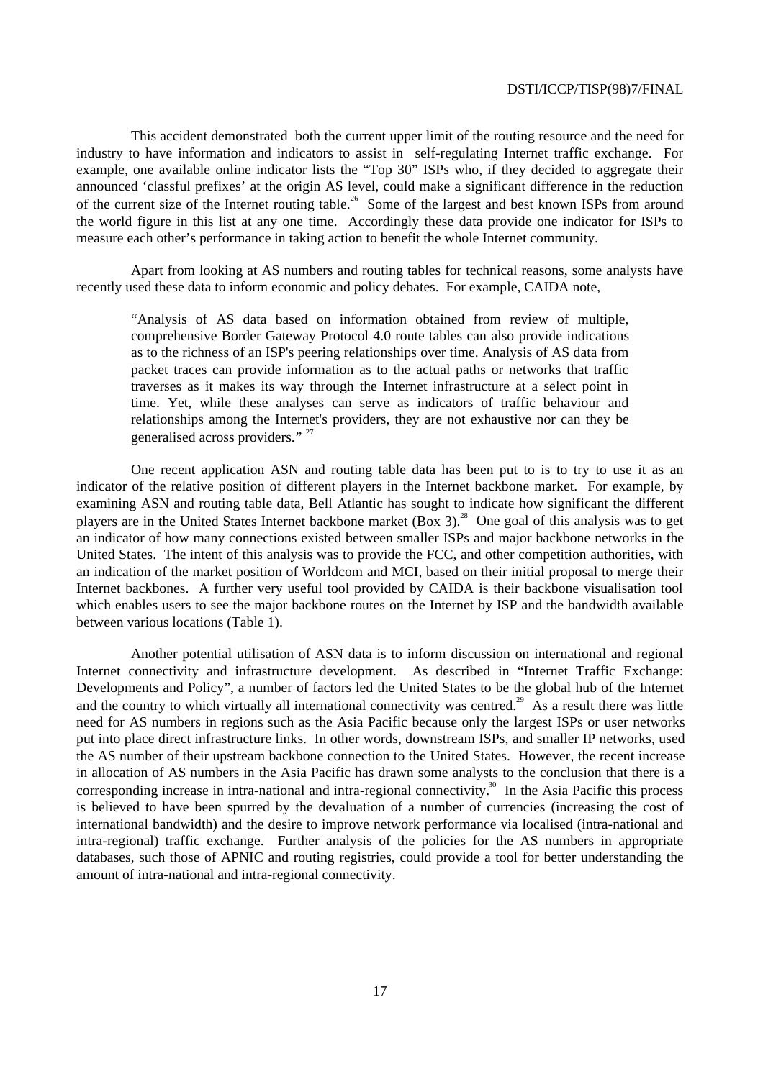This accident demonstrated both the current upper limit of the routing resource and the need for industry to have information and indicators to assist in self-regulating Internet traffic exchange. For example, one available online indicator lists the "Top 30" ISPs who, if they decided to aggregate their announced 'classful prefixes' at the origin AS level, could make a significant difference in the reduction of the current size of the Internet routing table.<sup>26</sup> Some of the largest and best known ISPs from around the world figure in this list at any one time. Accordingly these data provide one indicator for ISPs to measure each other's performance in taking action to benefit the whole Internet community.

Apart from looking at AS numbers and routing tables for technical reasons, some analysts have recently used these data to inform economic and policy debates. For example, CAIDA note,

"Analysis of AS data based on information obtained from review of multiple, comprehensive Border Gateway Protocol 4.0 route tables can also provide indications as to the richness of an ISP's peering relationships over time. Analysis of AS data from packet traces can provide information as to the actual paths or networks that traffic traverses as it makes its way through the Internet infrastructure at a select point in time. Yet, while these analyses can serve as indicators of traffic behaviour and relationships among the Internet's providers, they are not exhaustive nor can they be generalised across providers." <sup>27</sup>

One recent application ASN and routing table data has been put to is to try to use it as an indicator of the relative position of different players in the Internet backbone market. For example, by examining ASN and routing table data, Bell Atlantic has sought to indicate how significant the different players are in the United States Internet backbone market (Box 3).<sup>28</sup> One goal of this analysis was to get an indicator of how many connections existed between smaller ISPs and major backbone networks in the United States. The intent of this analysis was to provide the FCC, and other competition authorities, with an indication of the market position of Worldcom and MCI, based on their initial proposal to merge their Internet backbones. A further very useful tool provided by CAIDA is their backbone visualisation tool which enables users to see the major backbone routes on the Internet by ISP and the bandwidth available between various locations (Table 1).

Another potential utilisation of ASN data is to inform discussion on international and regional Internet connectivity and infrastructure development. As described in "Internet Traffic Exchange: Developments and Policy", a number of factors led the United States to be the global hub of the Internet and the country to which virtually all international connectivity was centred.<sup>29</sup> As a result there was little need for AS numbers in regions such as the Asia Pacific because only the largest ISPs or user networks put into place direct infrastructure links. In other words, downstream ISPs, and smaller IP networks, used the AS number of their upstream backbone connection to the United States. However, the recent increase in allocation of AS numbers in the Asia Pacific has drawn some analysts to the conclusion that there is a corresponding increase in intra-national and intra-regional connectivity.<sup>30</sup> In the Asia Pacific this process is believed to have been spurred by the devaluation of a number of currencies (increasing the cost of international bandwidth) and the desire to improve network performance via localised (intra-national and intra-regional) traffic exchange. Further analysis of the policies for the AS numbers in appropriate databases, such those of APNIC and routing registries, could provide a tool for better understanding the amount of intra-national and intra-regional connectivity.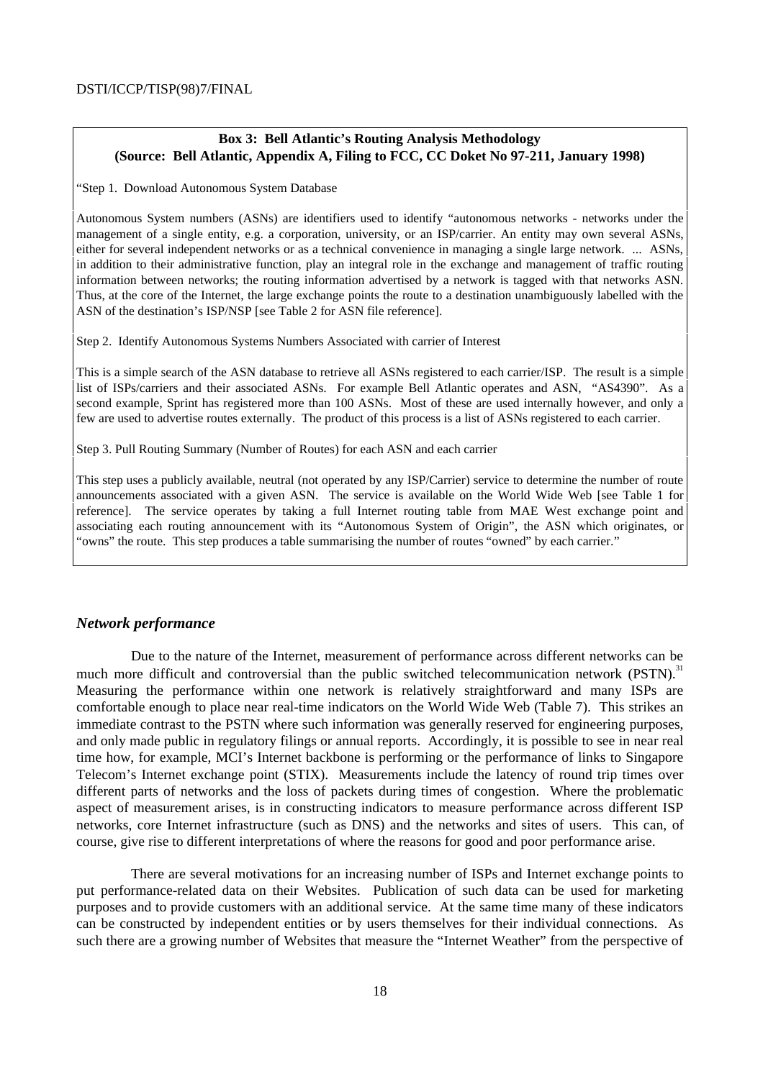## **Box 3: Bell Atlantic's Routing Analysis Methodology (Source: Bell Atlantic, Appendix A, Filing to FCC, CC Doket No 97-211, January 1998)**

"Step 1. Download Autonomous System Database

Autonomous System numbers (ASNs) are identifiers used to identify "autonomous networks - networks under the management of a single entity, e.g. a corporation, university, or an ISP/carrier. An entity may own several ASNs, either for several independent networks or as a technical convenience in managing a single large network. ... ASNs, in addition to their administrative function, play an integral role in the exchange and management of traffic routing information between networks; the routing information advertised by a network is tagged with that networks ASN. Thus, at the core of the Internet, the large exchange points the route to a destination unambiguously labelled with the ASN of the destination's ISP/NSP [see Table 2 for ASN file reference].

Step 2. Identify Autonomous Systems Numbers Associated with carrier of Interest

This is a simple search of the ASN database to retrieve all ASNs registered to each carrier/ISP. The result is a simple list of ISPs/carriers and their associated ASNs. For example Bell Atlantic operates and ASN, "AS4390". As a second example, Sprint has registered more than 100 ASNs. Most of these are used internally however, and only a few are used to advertise routes externally. The product of this process is a list of ASNs registered to each carrier.

Step 3. Pull Routing Summary (Number of Routes) for each ASN and each carrier

This step uses a publicly available, neutral (not operated by any ISP/Carrier) service to determine the number of route announcements associated with a given ASN. The service is available on the World Wide Web [see Table 1 for reference]. The service operates by taking a full Internet routing table from MAE West exchange point and associating each routing announcement with its "Autonomous System of Origin", the ASN which originates, or "owns" the route. This step produces a table summarising the number of routes "owned" by each carrier."

### *Network performance*

Due to the nature of the Internet, measurement of performance across different networks can be much more difficult and controversial than the public switched telecommunication network (PSTN).<sup>31</sup> Measuring the performance within one network is relatively straightforward and many ISPs are comfortable enough to place near real-time indicators on the World Wide Web (Table 7). This strikes an immediate contrast to the PSTN where such information was generally reserved for engineering purposes, and only made public in regulatory filings or annual reports. Accordingly, it is possible to see in near real time how, for example, MCI's Internet backbone is performing or the performance of links to Singapore Telecom's Internet exchange point (STIX). Measurements include the latency of round trip times over different parts of networks and the loss of packets during times of congestion. Where the problematic aspect of measurement arises, is in constructing indicators to measure performance across different ISP networks, core Internet infrastructure (such as DNS) and the networks and sites of users. This can, of course, give rise to different interpretations of where the reasons for good and poor performance arise.

There are several motivations for an increasing number of ISPs and Internet exchange points to put performance-related data on their Websites. Publication of such data can be used for marketing purposes and to provide customers with an additional service. At the same time many of these indicators can be constructed by independent entities or by users themselves for their individual connections. As such there are a growing number of Websites that measure the "Internet Weather" from the perspective of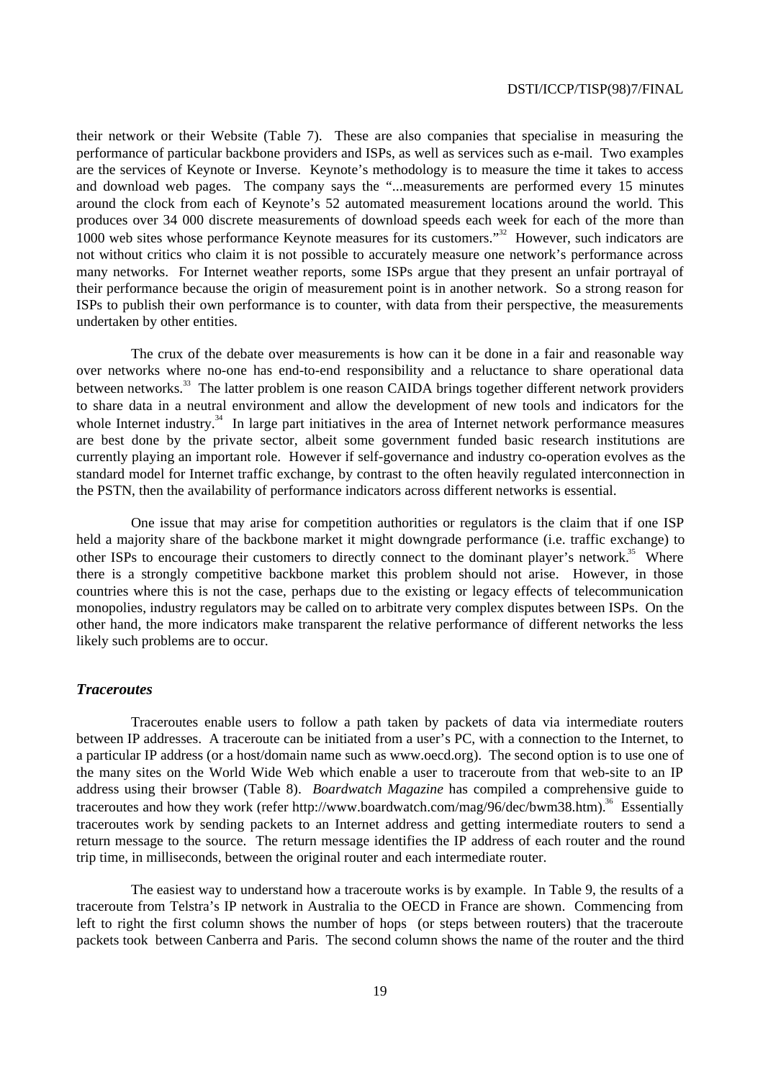their network or their Website (Table 7). These are also companies that specialise in measuring the performance of particular backbone providers and ISPs, as well as services such as e-mail. Two examples are the services of Keynote or Inverse. Keynote's methodology is to measure the time it takes to access and download web pages. The company says the "...measurements are performed every 15 minutes around the clock from each of Keynote's 52 automated measurement locations around the world. This produces over 34 000 discrete measurements of download speeds each week for each of the more than 1000 web sites whose performance Keynote measures for its customers.<sup>32</sup> However, such indicators are not without critics who claim it is not possible to accurately measure one network's performance across many networks. For Internet weather reports, some ISPs argue that they present an unfair portrayal of their performance because the origin of measurement point is in another network. So a strong reason for ISPs to publish their own performance is to counter, with data from their perspective, the measurements undertaken by other entities.

The crux of the debate over measurements is how can it be done in a fair and reasonable way over networks where no-one has end-to-end responsibility and a reluctance to share operational data between networks.<sup>33</sup> The latter problem is one reason CAIDA brings together different network providers to share data in a neutral environment and allow the development of new tools and indicators for the whole Internet industry.<sup>34</sup> In large part initiatives in the area of Internet network performance measures are best done by the private sector, albeit some government funded basic research institutions are currently playing an important role. However if self-governance and industry co-operation evolves as the standard model for Internet traffic exchange, by contrast to the often heavily regulated interconnection in the PSTN, then the availability of performance indicators across different networks is essential.

One issue that may arise for competition authorities or regulators is the claim that if one ISP held a majority share of the backbone market it might downgrade performance (i.e. traffic exchange) to other ISPs to encourage their customers to directly connect to the dominant player's network.<sup>35</sup> Where there is a strongly competitive backbone market this problem should not arise. However, in those countries where this is not the case, perhaps due to the existing or legacy effects of telecommunication monopolies, industry regulators may be called on to arbitrate very complex disputes between ISPs. On the other hand, the more indicators make transparent the relative performance of different networks the less likely such problems are to occur.

#### *Traceroutes*

Traceroutes enable users to follow a path taken by packets of data via intermediate routers between IP addresses. A traceroute can be initiated from a user's PC, with a connection to the Internet, to a particular IP address (or a host/domain name such as www.oecd.org). The second option is to use one of the many sites on the World Wide Web which enable a user to traceroute from that web-site to an IP address using their browser (Table 8). *Boardwatch Magazine* has compiled a comprehensive guide to traceroutes and how they work (refer http://www.boardwatch.com/mag/96/dec/bwm38.htm).<sup>36</sup> Essentially traceroutes work by sending packets to an Internet address and getting intermediate routers to send a return message to the source. The return message identifies the IP address of each router and the round trip time, in milliseconds, between the original router and each intermediate router.

The easiest way to understand how a traceroute works is by example. In Table 9, the results of a traceroute from Telstra's IP network in Australia to the OECD in France are shown. Commencing from left to right the first column shows the number of hops (or steps between routers) that the traceroute packets took between Canberra and Paris. The second column shows the name of the router and the third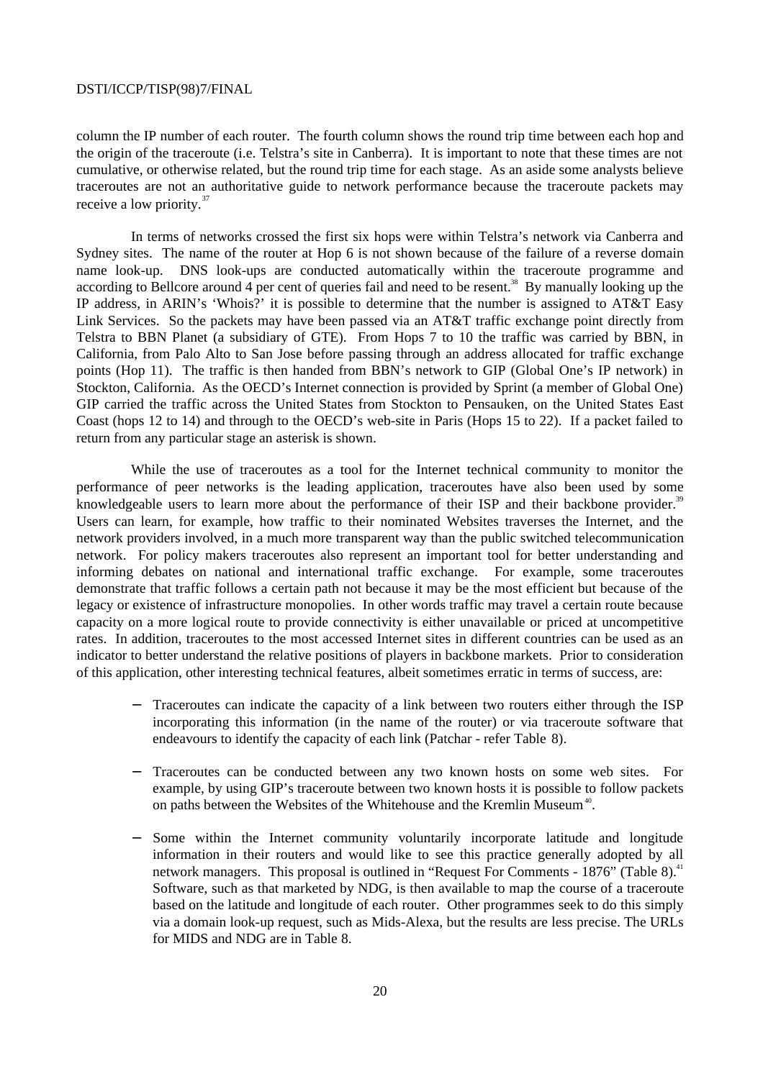column the IP number of each router. The fourth column shows the round trip time between each hop and the origin of the traceroute (i.e. Telstra's site in Canberra). It is important to note that these times are not cumulative, or otherwise related, but the round trip time for each stage. As an aside some analysts believe traceroutes are not an authoritative guide to network performance because the traceroute packets may receive a low priority.<sup>37</sup>

In terms of networks crossed the first six hops were within Telstra's network via Canberra and Sydney sites. The name of the router at Hop 6 is not shown because of the failure of a reverse domain name look-up. DNS look-ups are conducted automatically within the traceroute programme and according to Bellcore around 4 per cent of queries fail and need to be resent.<sup>38</sup> By manually looking up the IP address, in ARIN's 'Whois?' it is possible to determine that the number is assigned to AT&T Easy Link Services. So the packets may have been passed via an AT&T traffic exchange point directly from Telstra to BBN Planet (a subsidiary of GTE). From Hops 7 to 10 the traffic was carried by BBN, in California, from Palo Alto to San Jose before passing through an address allocated for traffic exchange points (Hop 11). The traffic is then handed from BBN's network to GIP (Global One's IP network) in Stockton, California. As the OECD's Internet connection is provided by Sprint (a member of Global One) GIP carried the traffic across the United States from Stockton to Pensauken, on the United States East Coast (hops 12 to 14) and through to the OECD's web-site in Paris (Hops 15 to 22). If a packet failed to return from any particular stage an asterisk is shown.

While the use of traceroutes as a tool for the Internet technical community to monitor the performance of peer networks is the leading application, traceroutes have also been used by some knowledgeable users to learn more about the performance of their ISP and their backbone provider.<sup>39</sup> Users can learn, for example, how traffic to their nominated Websites traverses the Internet, and the network providers involved, in a much more transparent way than the public switched telecommunication network. For policy makers traceroutes also represent an important tool for better understanding and informing debates on national and international traffic exchange. For example, some traceroutes demonstrate that traffic follows a certain path not because it may be the most efficient but because of the legacy or existence of infrastructure monopolies. In other words traffic may travel a certain route because capacity on a more logical route to provide connectivity is either unavailable or priced at uncompetitive rates. In addition, traceroutes to the most accessed Internet sites in different countries can be used as an indicator to better understand the relative positions of players in backbone markets. Prior to consideration of this application, other interesting technical features, albeit sometimes erratic in terms of success, are:

- Traceroutes can indicate the capacity of a link between two routers either through the ISP incorporating this information (in the name of the router) or via traceroute software that endeavours to identify the capacity of each link (Patchar - refer Table 8).
- Traceroutes can be conducted between any two known hosts on some web sites. For example, by using GIP's traceroute between two known hosts it is possible to follow packets on paths between the Websites of the Whitehouse and the Kremlin Museum<sup>40</sup>.
- Some within the Internet community voluntarily incorporate latitude and longitude information in their routers and would like to see this practice generally adopted by all network managers. This proposal is outlined in "Request For Comments - 1876" (Table 8).<sup>41</sup> Software, such as that marketed by NDG, is then available to map the course of a traceroute based on the latitude and longitude of each router. Other programmes seek to do this simply via a domain look-up request, such as Mids-Alexa, but the results are less precise. The URLs for MIDS and NDG are in Table 8.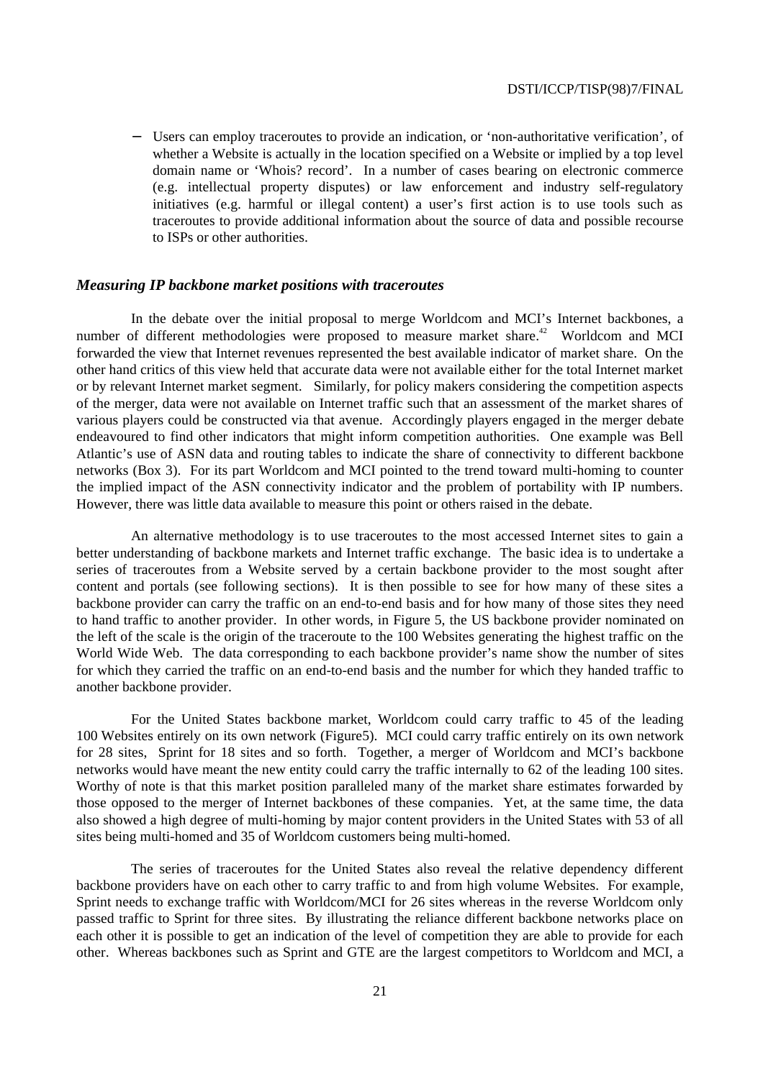− Users can employ traceroutes to provide an indication, or 'non-authoritative verification', of whether a Website is actually in the location specified on a Website or implied by a top level domain name or 'Whois? record'. In a number of cases bearing on electronic commerce (e.g. intellectual property disputes) or law enforcement and industry self-regulatory initiatives (e.g. harmful or illegal content) a user's first action is to use tools such as traceroutes to provide additional information about the source of data and possible recourse to ISPs or other authorities.

#### *Measuring IP backbone market positions with traceroutes*

In the debate over the initial proposal to merge Worldcom and MCI's Internet backbones, a number of different methodologies were proposed to measure market share.<sup>42</sup> Worldcom and MCI forwarded the view that Internet revenues represented the best available indicator of market share. On the other hand critics of this view held that accurate data were not available either for the total Internet market or by relevant Internet market segment. Similarly, for policy makers considering the competition aspects of the merger, data were not available on Internet traffic such that an assessment of the market shares of various players could be constructed via that avenue. Accordingly players engaged in the merger debate endeavoured to find other indicators that might inform competition authorities. One example was Bell Atlantic's use of ASN data and routing tables to indicate the share of connectivity to different backbone networks (Box 3). For its part Worldcom and MCI pointed to the trend toward multi-homing to counter the implied impact of the ASN connectivity indicator and the problem of portability with IP numbers. However, there was little data available to measure this point or others raised in the debate.

An alternative methodology is to use traceroutes to the most accessed Internet sites to gain a better understanding of backbone markets and Internet traffic exchange. The basic idea is to undertake a series of traceroutes from a Website served by a certain backbone provider to the most sought after content and portals (see following sections). It is then possible to see for how many of these sites a backbone provider can carry the traffic on an end-to-end basis and for how many of those sites they need to hand traffic to another provider. In other words, in Figure 5, the US backbone provider nominated on the left of the scale is the origin of the traceroute to the 100 Websites generating the highest traffic on the World Wide Web. The data corresponding to each backbone provider's name show the number of sites for which they carried the traffic on an end-to-end basis and the number for which they handed traffic to another backbone provider.

For the United States backbone market, Worldcom could carry traffic to 45 of the leading 100 Websites entirely on its own network (Figure5). MCI could carry traffic entirely on its own network for 28 sites, Sprint for 18 sites and so forth. Together, a merger of Worldcom and MCI's backbone networks would have meant the new entity could carry the traffic internally to 62 of the leading 100 sites. Worthy of note is that this market position paralleled many of the market share estimates forwarded by those opposed to the merger of Internet backbones of these companies. Yet, at the same time, the data also showed a high degree of multi-homing by major content providers in the United States with 53 of all sites being multi-homed and 35 of Worldcom customers being multi-homed.

The series of traceroutes for the United States also reveal the relative dependency different backbone providers have on each other to carry traffic to and from high volume Websites. For example, Sprint needs to exchange traffic with Worldcom/MCI for 26 sites whereas in the reverse Worldcom only passed traffic to Sprint for three sites. By illustrating the reliance different backbone networks place on each other it is possible to get an indication of the level of competition they are able to provide for each other. Whereas backbones such as Sprint and GTE are the largest competitors to Worldcom and MCI, a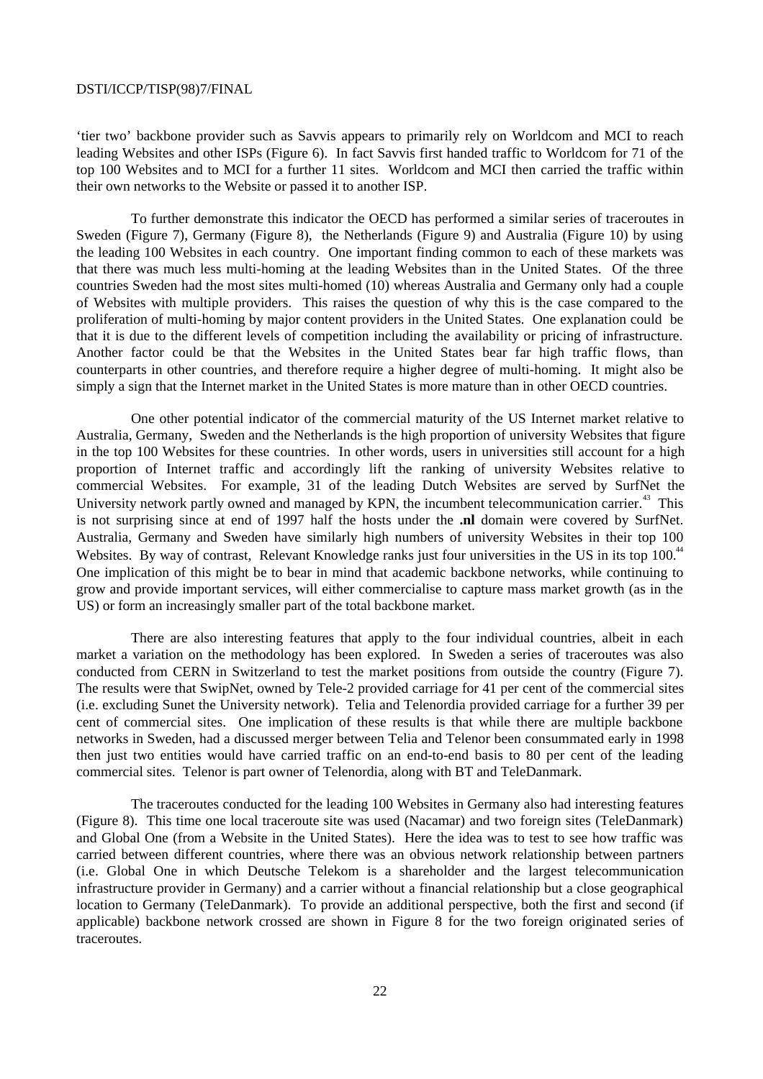'tier two' backbone provider such as Savvis appears to primarily rely on Worldcom and MCI to reach leading Websites and other ISPs (Figure 6). In fact Savvis first handed traffic to Worldcom for 71 of the top 100 Websites and to MCI for a further 11 sites. Worldcom and MCI then carried the traffic within their own networks to the Website or passed it to another ISP.

To further demonstrate this indicator the OECD has performed a similar series of traceroutes in Sweden (Figure 7), Germany (Figure 8), the Netherlands (Figure 9) and Australia (Figure 10) by using the leading 100 Websites in each country. One important finding common to each of these markets was that there was much less multi-homing at the leading Websites than in the United States. Of the three countries Sweden had the most sites multi-homed (10) whereas Australia and Germany only had a couple of Websites with multiple providers. This raises the question of why this is the case compared to the proliferation of multi-homing by major content providers in the United States. One explanation could be that it is due to the different levels of competition including the availability or pricing of infrastructure. Another factor could be that the Websites in the United States bear far high traffic flows, than counterparts in other countries, and therefore require a higher degree of multi-homing. It might also be simply a sign that the Internet market in the United States is more mature than in other OECD countries.

One other potential indicator of the commercial maturity of the US Internet market relative to Australia, Germany, Sweden and the Netherlands is the high proportion of university Websites that figure in the top 100 Websites for these countries. In other words, users in universities still account for a high proportion of Internet traffic and accordingly lift the ranking of university Websites relative to commercial Websites. For example, 31 of the leading Dutch Websites are served by SurfNet the University network partly owned and managed by KPN, the incumbent telecommunication carrier.<sup>43</sup> This is not surprising since at end of 1997 half the hosts under the **.nl** domain were covered by SurfNet. Australia, Germany and Sweden have similarly high numbers of university Websites in their top 100 Websites. By way of contrast, Relevant Knowledge ranks just four universities in the US in its top 100.<sup>44</sup> One implication of this might be to bear in mind that academic backbone networks, while continuing to grow and provide important services, will either commercialise to capture mass market growth (as in the US) or form an increasingly smaller part of the total backbone market.

There are also interesting features that apply to the four individual countries, albeit in each market a variation on the methodology has been explored. In Sweden a series of traceroutes was also conducted from CERN in Switzerland to test the market positions from outside the country (Figure 7). The results were that SwipNet, owned by Tele-2 provided carriage for 41 per cent of the commercial sites (i.e. excluding Sunet the University network). Telia and Telenordia provided carriage for a further 39 per cent of commercial sites. One implication of these results is that while there are multiple backbone networks in Sweden, had a discussed merger between Telia and Telenor been consummated early in 1998 then just two entities would have carried traffic on an end-to-end basis to 80 per cent of the leading commercial sites. Telenor is part owner of Telenordia, along with BT and TeleDanmark.

The traceroutes conducted for the leading 100 Websites in Germany also had interesting features (Figure 8). This time one local traceroute site was used (Nacamar) and two foreign sites (TeleDanmark) and Global One (from a Website in the United States). Here the idea was to test to see how traffic was carried between different countries, where there was an obvious network relationship between partners (i.e. Global One in which Deutsche Telekom is a shareholder and the largest telecommunication infrastructure provider in Germany) and a carrier without a financial relationship but a close geographical location to Germany (TeleDanmark). To provide an additional perspective, both the first and second (if applicable) backbone network crossed are shown in Figure 8 for the two foreign originated series of traceroutes.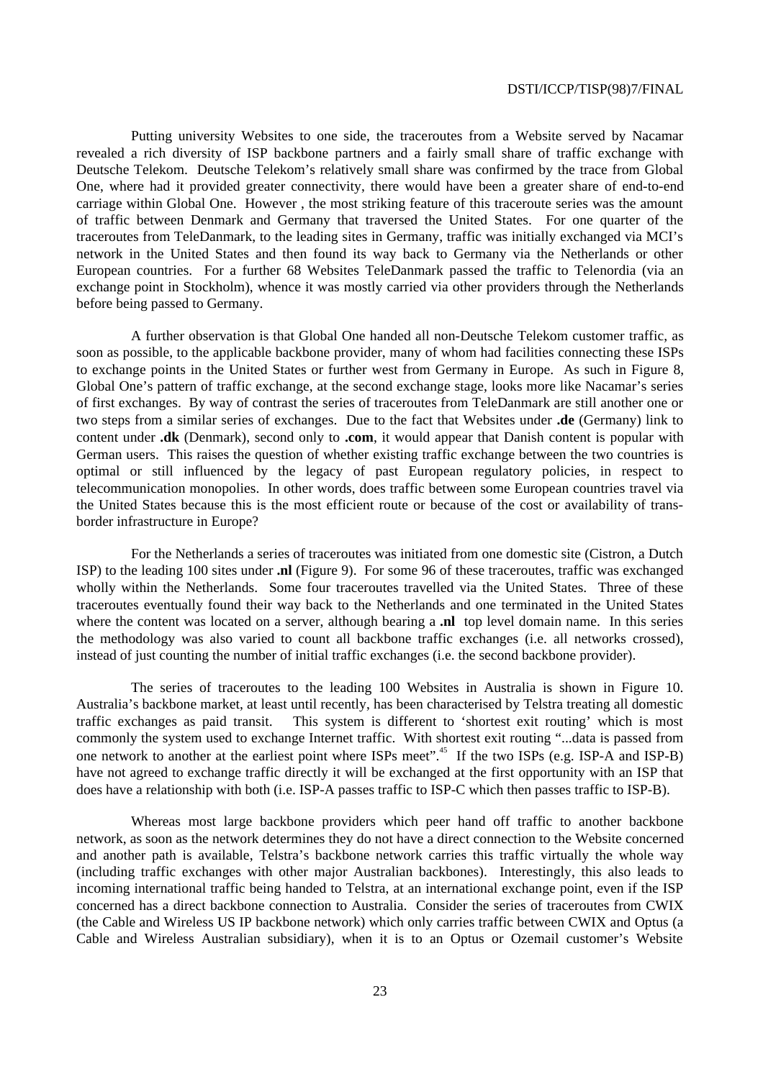Putting university Websites to one side, the traceroutes from a Website served by Nacamar revealed a rich diversity of ISP backbone partners and a fairly small share of traffic exchange with Deutsche Telekom. Deutsche Telekom's relatively small share was confirmed by the trace from Global One, where had it provided greater connectivity, there would have been a greater share of end-to-end carriage within Global One. However , the most striking feature of this traceroute series was the amount of traffic between Denmark and Germany that traversed the United States. For one quarter of the traceroutes from TeleDanmark, to the leading sites in Germany, traffic was initially exchanged via MCI's network in the United States and then found its way back to Germany via the Netherlands or other European countries. For a further 68 Websites TeleDanmark passed the traffic to Telenordia (via an exchange point in Stockholm), whence it was mostly carried via other providers through the Netherlands before being passed to Germany.

A further observation is that Global One handed all non-Deutsche Telekom customer traffic, as soon as possible, to the applicable backbone provider, many of whom had facilities connecting these ISPs to exchange points in the United States or further west from Germany in Europe. As such in Figure 8, Global One's pattern of traffic exchange, at the second exchange stage, looks more like Nacamar's series of first exchanges. By way of contrast the series of traceroutes from TeleDanmark are still another one or two steps from a similar series of exchanges. Due to the fact that Websites under **.de** (Germany) link to content under **.dk** (Denmark), second only to **.com**, it would appear that Danish content is popular with German users. This raises the question of whether existing traffic exchange between the two countries is optimal or still influenced by the legacy of past European regulatory policies, in respect to telecommunication monopolies. In other words, does traffic between some European countries travel via the United States because this is the most efficient route or because of the cost or availability of transborder infrastructure in Europe?

For the Netherlands a series of traceroutes was initiated from one domestic site (Cistron, a Dutch ISP) to the leading 100 sites under **.nl** (Figure 9). For some 96 of these traceroutes, traffic was exchanged wholly within the Netherlands. Some four traceroutes travelled via the United States. Three of these traceroutes eventually found their way back to the Netherlands and one terminated in the United States where the content was located on a server, although bearing a **.nl** top level domain name. In this series the methodology was also varied to count all backbone traffic exchanges (i.e. all networks crossed), instead of just counting the number of initial traffic exchanges (i.e. the second backbone provider).

The series of traceroutes to the leading 100 Websites in Australia is shown in Figure 10. Australia's backbone market, at least until recently, has been characterised by Telstra treating all domestic traffic exchanges as paid transit. This system is different to 'shortest exit routing' which is most commonly the system used to exchange Internet traffic. With shortest exit routing "...data is passed from one network to another at the earliest point where ISPs meet".<sup>45</sup> If the two ISPs (e.g. ISP-A and ISP-B) have not agreed to exchange traffic directly it will be exchanged at the first opportunity with an ISP that does have a relationship with both (i.e. ISP-A passes traffic to ISP-C which then passes traffic to ISP-B).

Whereas most large backbone providers which peer hand off traffic to another backbone network, as soon as the network determines they do not have a direct connection to the Website concerned and another path is available, Telstra's backbone network carries this traffic virtually the whole way (including traffic exchanges with other major Australian backbones). Interestingly, this also leads to incoming international traffic being handed to Telstra, at an international exchange point, even if the ISP concerned has a direct backbone connection to Australia. Consider the series of traceroutes from CWIX (the Cable and Wireless US IP backbone network) which only carries traffic between CWIX and Optus (a Cable and Wireless Australian subsidiary), when it is to an Optus or Ozemail customer's Website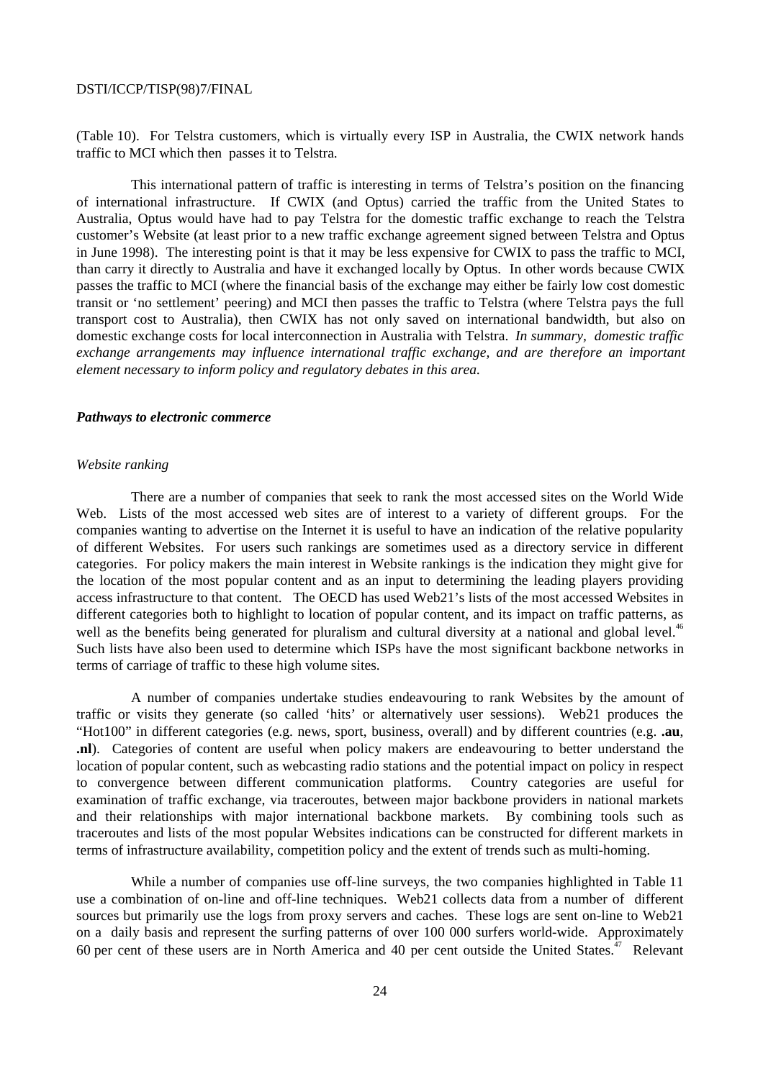(Table 10). For Telstra customers, which is virtually every ISP in Australia, the CWIX network hands traffic to MCI which then passes it to Telstra.

This international pattern of traffic is interesting in terms of Telstra's position on the financing of international infrastructure. If CWIX (and Optus) carried the traffic from the United States to Australia, Optus would have had to pay Telstra for the domestic traffic exchange to reach the Telstra customer's Website (at least prior to a new traffic exchange agreement signed between Telstra and Optus in June 1998). The interesting point is that it may be less expensive for CWIX to pass the traffic to MCI, than carry it directly to Australia and have it exchanged locally by Optus. In other words because CWIX passes the traffic to MCI (where the financial basis of the exchange may either be fairly low cost domestic transit or 'no settlement' peering) and MCI then passes the traffic to Telstra (where Telstra pays the full transport cost to Australia), then CWIX has not only saved on international bandwidth, but also on domestic exchange costs for local interconnection in Australia with Telstra. *In summary, domestic traffic exchange arrangements may influence international traffic exchange, and are therefore an important element necessary to inform policy and regulatory debates in this area.*

#### *Pathways to electronic commerce*

### *Website ranking*

There are a number of companies that seek to rank the most accessed sites on the World Wide Web. Lists of the most accessed web sites are of interest to a variety of different groups. For the companies wanting to advertise on the Internet it is useful to have an indication of the relative popularity of different Websites. For users such rankings are sometimes used as a directory service in different categories. For policy makers the main interest in Website rankings is the indication they might give for the location of the most popular content and as an input to determining the leading players providing access infrastructure to that content. The OECD has used Web21's lists of the most accessed Websites in different categories both to highlight to location of popular content, and its impact on traffic patterns, as well as the benefits being generated for pluralism and cultural diversity at a national and global level.<sup>46</sup> Such lists have also been used to determine which ISPs have the most significant backbone networks in terms of carriage of traffic to these high volume sites.

A number of companies undertake studies endeavouring to rank Websites by the amount of traffic or visits they generate (so called 'hits' or alternatively user sessions). Web21 produces the "Hot100" in different categories (e.g. news, sport, business, overall) and by different countries (e.g. **.au**, **.nl**). Categories of content are useful when policy makers are endeavouring to better understand the location of popular content, such as webcasting radio stations and the potential impact on policy in respect to convergence between different communication platforms. Country categories are useful for examination of traffic exchange, via traceroutes, between major backbone providers in national markets and their relationships with major international backbone markets. By combining tools such as traceroutes and lists of the most popular Websites indications can be constructed for different markets in terms of infrastructure availability, competition policy and the extent of trends such as multi-homing.

While a number of companies use off-line surveys, the two companies highlighted in Table 11 use a combination of on-line and off-line techniques. Web21 collects data from a number of different sources but primarily use the logs from proxy servers and caches. These logs are sent on-line to Web21 on a daily basis and represent the surfing patterns of over 100 000 surfers world-wide. Approximately 60 per cent of these users are in North America and 40 per cent outside the United States.<sup> $47$ </sup> Relevant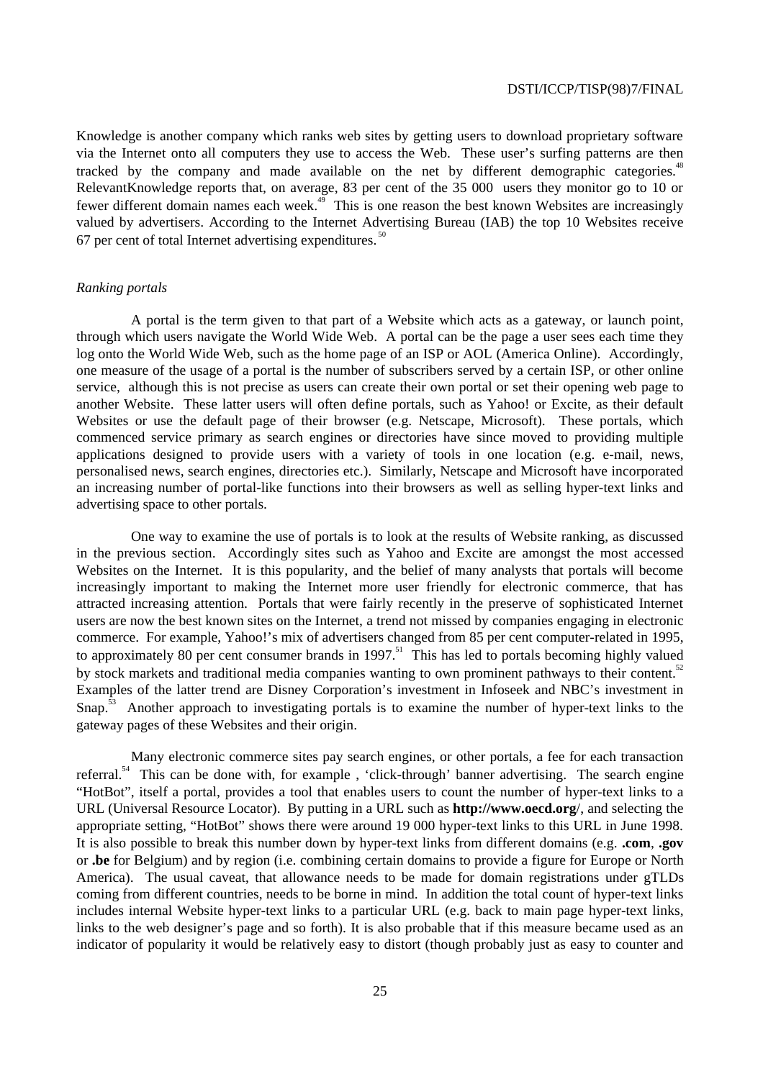Knowledge is another company which ranks web sites by getting users to download proprietary software via the Internet onto all computers they use to access the Web. These user's surfing patterns are then tracked by the company and made available on the net by different demographic categories.<sup>48</sup> RelevantKnowledge reports that, on average, 83 per cent of the 35 000 users they monitor go to 10 or fewer different domain names each week.<sup>49</sup> This is one reason the best known Websites are increasingly valued by advertisers. According to the Internet Advertising Bureau (IAB) the top 10 Websites receive 67 per cent of total Internet advertising expenditures.  $50$ 

### *Ranking portals*

A portal is the term given to that part of a Website which acts as a gateway, or launch point, through which users navigate the World Wide Web. A portal can be the page a user sees each time they log onto the World Wide Web, such as the home page of an ISP or AOL (America Online). Accordingly, one measure of the usage of a portal is the number of subscribers served by a certain ISP, or other online service, although this is not precise as users can create their own portal or set their opening web page to another Website. These latter users will often define portals, such as Yahoo! or Excite, as their default Websites or use the default page of their browser (e.g. Netscape, Microsoft). These portals, which commenced service primary as search engines or directories have since moved to providing multiple applications designed to provide users with a variety of tools in one location (e.g. e-mail, news, personalised news, search engines, directories etc.). Similarly, Netscape and Microsoft have incorporated an increasing number of portal-like functions into their browsers as well as selling hyper-text links and advertising space to other portals.

One way to examine the use of portals is to look at the results of Website ranking, as discussed in the previous section. Accordingly sites such as Yahoo and Excite are amongst the most accessed Websites on the Internet. It is this popularity, and the belief of many analysts that portals will become increasingly important to making the Internet more user friendly for electronic commerce, that has attracted increasing attention. Portals that were fairly recently in the preserve of sophisticated Internet users are now the best known sites on the Internet, a trend not missed by companies engaging in electronic commerce. For example, Yahoo!'s mix of advertisers changed from 85 per cent computer-related in 1995, to approximately 80 per cent consumer brands in 1997.<sup>51</sup> This has led to portals becoming highly valued by stock markets and traditional media companies wanting to own prominent pathways to their content.<sup>52</sup> Examples of the latter trend are Disney Corporation's investment in Infoseek and NBC's investment in Snap.<sup>53</sup> Another approach to investigating portals is to examine the number of hyper-text links to the gateway pages of these Websites and their origin.

Many electronic commerce sites pay search engines, or other portals, a fee for each transaction referral.<sup>54</sup> This can be done with, for example, 'click-through' banner advertising. The search engine "HotBot", itself a portal, provides a tool that enables users to count the number of hyper-text links to a URL (Universal Resource Locator). By putting in a URL such as **http://www.oecd.org**/, and selecting the appropriate setting, "HotBot" shows there were around 19 000 hyper-text links to this URL in June 1998. It is also possible to break this number down by hyper-text links from different domains (e.g. **.com**, **.gov** or **.be** for Belgium) and by region (i.e. combining certain domains to provide a figure for Europe or North America). The usual caveat, that allowance needs to be made for domain registrations under gTLDs coming from different countries, needs to be borne in mind. In addition the total count of hyper-text links includes internal Website hyper-text links to a particular URL (e.g. back to main page hyper-text links, links to the web designer's page and so forth). It is also probable that if this measure became used as an indicator of popularity it would be relatively easy to distort (though probably just as easy to counter and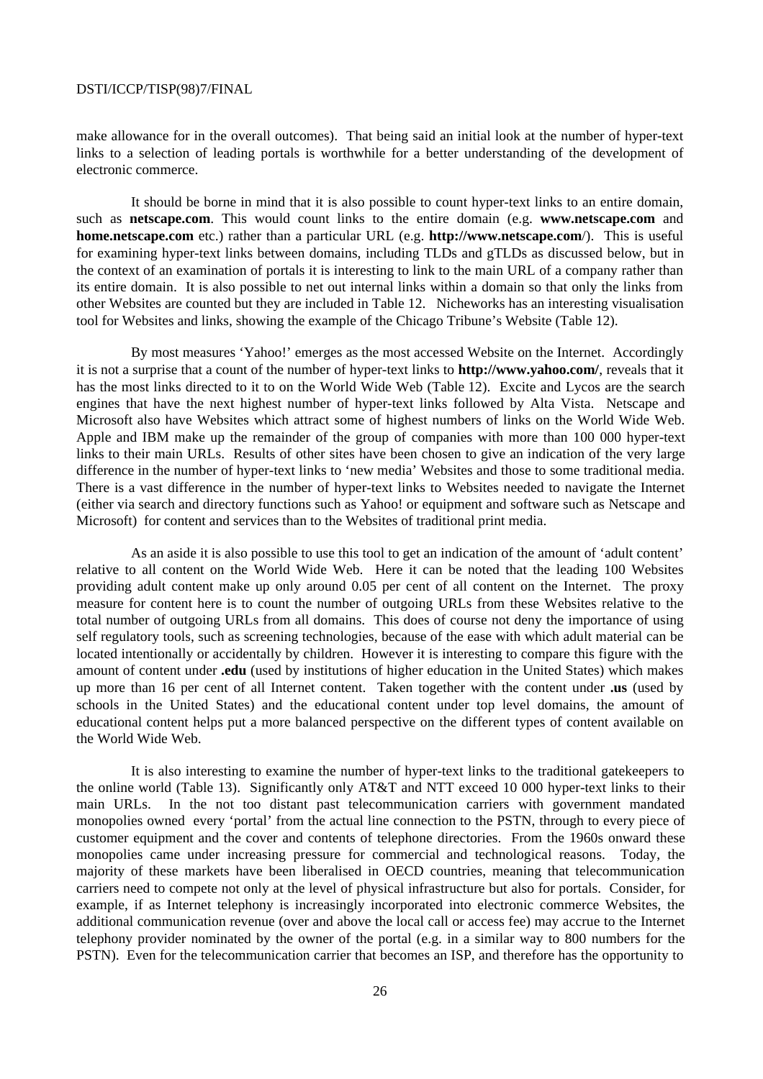make allowance for in the overall outcomes). That being said an initial look at the number of hyper-text links to a selection of leading portals is worthwhile for a better understanding of the development of electronic commerce.

It should be borne in mind that it is also possible to count hyper-text links to an entire domain, such as **netscape.com**. This would count links to the entire domain (e.g. **www.netscape.com** and **home.netscape.com** etc.) rather than a particular URL (e.g. **http://www.netscape.com**/). This is useful for examining hyper-text links between domains, including TLDs and gTLDs as discussed below, but in the context of an examination of portals it is interesting to link to the main URL of a company rather than its entire domain. It is also possible to net out internal links within a domain so that only the links from other Websites are counted but they are included in Table 12. Nicheworks has an interesting visualisation tool for Websites and links, showing the example of the Chicago Tribune's Website (Table 12).

By most measures 'Yahoo!' emerges as the most accessed Website on the Internet. Accordingly it is not a surprise that a count of the number of hyper-text links to **http://www.yahoo.com/**, reveals that it has the most links directed to it to on the World Wide Web (Table 12). Excite and Lycos are the search engines that have the next highest number of hyper-text links followed by Alta Vista. Netscape and Microsoft also have Websites which attract some of highest numbers of links on the World Wide Web. Apple and IBM make up the remainder of the group of companies with more than 100 000 hyper-text links to their main URLs. Results of other sites have been chosen to give an indication of the very large difference in the number of hyper-text links to 'new media' Websites and those to some traditional media. There is a vast difference in the number of hyper-text links to Websites needed to navigate the Internet (either via search and directory functions such as Yahoo! or equipment and software such as Netscape and Microsoft) for content and services than to the Websites of traditional print media.

As an aside it is also possible to use this tool to get an indication of the amount of 'adult content' relative to all content on the World Wide Web. Here it can be noted that the leading 100 Websites providing adult content make up only around 0.05 per cent of all content on the Internet. The proxy measure for content here is to count the number of outgoing URLs from these Websites relative to the total number of outgoing URLs from all domains. This does of course not deny the importance of using self regulatory tools, such as screening technologies, because of the ease with which adult material can be located intentionally or accidentally by children. However it is interesting to compare this figure with the amount of content under **.edu** (used by institutions of higher education in the United States) which makes up more than 16 per cent of all Internet content. Taken together with the content under **.us** (used by schools in the United States) and the educational content under top level domains, the amount of educational content helps put a more balanced perspective on the different types of content available on the World Wide Web.

It is also interesting to examine the number of hyper-text links to the traditional gatekeepers to the online world (Table 13). Significantly only AT&T and NTT exceed 10 000 hyper-text links to their main URLs. In the not too distant past telecommunication carriers with government mandated monopolies owned every 'portal' from the actual line connection to the PSTN, through to every piece of customer equipment and the cover and contents of telephone directories. From the 1960s onward these monopolies came under increasing pressure for commercial and technological reasons. Today, the majority of these markets have been liberalised in OECD countries, meaning that telecommunication carriers need to compete not only at the level of physical infrastructure but also for portals. Consider, for example, if as Internet telephony is increasingly incorporated into electronic commerce Websites, the additional communication revenue (over and above the local call or access fee) may accrue to the Internet telephony provider nominated by the owner of the portal (e.g. in a similar way to 800 numbers for the PSTN). Even for the telecommunication carrier that becomes an ISP, and therefore has the opportunity to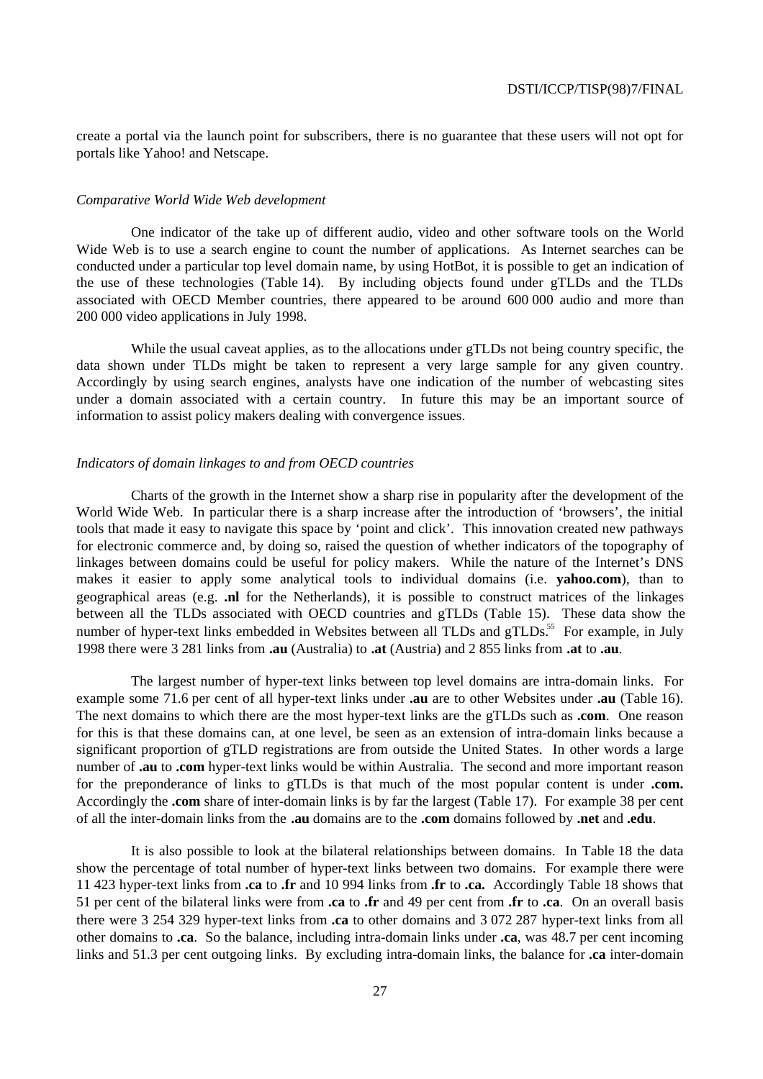create a portal via the launch point for subscribers, there is no guarantee that these users will not opt for portals like Yahoo! and Netscape.

#### *Comparative World Wide Web development*

One indicator of the take up of different audio, video and other software tools on the World Wide Web is to use a search engine to count the number of applications. As Internet searches can be conducted under a particular top level domain name, by using HotBot, it is possible to get an indication of the use of these technologies (Table 14). By including objects found under gTLDs and the TLDs associated with OECD Member countries, there appeared to be around 600 000 audio and more than 200 000 video applications in July 1998.

While the usual caveat applies, as to the allocations under gTLDs not being country specific, the data shown under TLDs might be taken to represent a very large sample for any given country. Accordingly by using search engines, analysts have one indication of the number of webcasting sites under a domain associated with a certain country. In future this may be an important source of information to assist policy makers dealing with convergence issues.

#### *Indicators of domain linkages to and from OECD countries*

Charts of the growth in the Internet show a sharp rise in popularity after the development of the World Wide Web. In particular there is a sharp increase after the introduction of 'browsers', the initial tools that made it easy to navigate this space by 'point and click'. This innovation created new pathways for electronic commerce and, by doing so, raised the question of whether indicators of the topography of linkages between domains could be useful for policy makers. While the nature of the Internet's DNS makes it easier to apply some analytical tools to individual domains (i.e. **yahoo.com**), than to geographical areas (e.g. **.nl** for the Netherlands), it is possible to construct matrices of the linkages between all the TLDs associated with OECD countries and gTLDs (Table 15). These data show the number of hyper-text links embedded in Websites between all TLDs and  $\sigma$ TLDs.<sup>55</sup> For example, in July 1998 there were 3 281 links from **.au** (Australia) to **.at** (Austria) and 2 855 links from **.at** to **.au**.

The largest number of hyper-text links between top level domains are intra-domain links. For example some 71.6 per cent of all hyper-text links under **.au** are to other Websites under **.au** (Table 16). The next domains to which there are the most hyper-text links are the gTLDs such as **.com**.One reason for this is that these domains can, at one level, be seen as an extension of intra-domain links because a significant proportion of gTLD registrations are from outside the United States. In other words a large number of **.au** to **.com** hyper-text links would be within Australia. The second and more important reason for the preponderance of links to gTLDs is that much of the most popular content is under **.com.** Accordingly the **.com** share of inter-domain links is by far the largest (Table 17). For example 38 per cent of all the inter-domain links from the **.au** domains are to the **.com** domains followed by **.net** and **.edu**.

It is also possible to look at the bilateral relationships between domains. In Table 18 the data show the percentage of total number of hyper-text links between two domains. For example there were 11 423 hyper-text links from **.ca** to **.fr** and 10 994 links from **.fr** to **.ca.** Accordingly Table 18 shows that 51 per cent of the bilateral links were from **.ca** to **.fr** and 49 per cent from **.fr** to **.ca**. On an overall basis there were 3 254 329 hyper-text links from **.ca** to other domains and 3 072 287 hyper-text links from all other domains to **.ca**. So the balance, including intra-domain links under **.ca**, was 48.7 per cent incoming links and 51.3 per cent outgoing links. By excluding intra-domain links, the balance for **.ca** inter-domain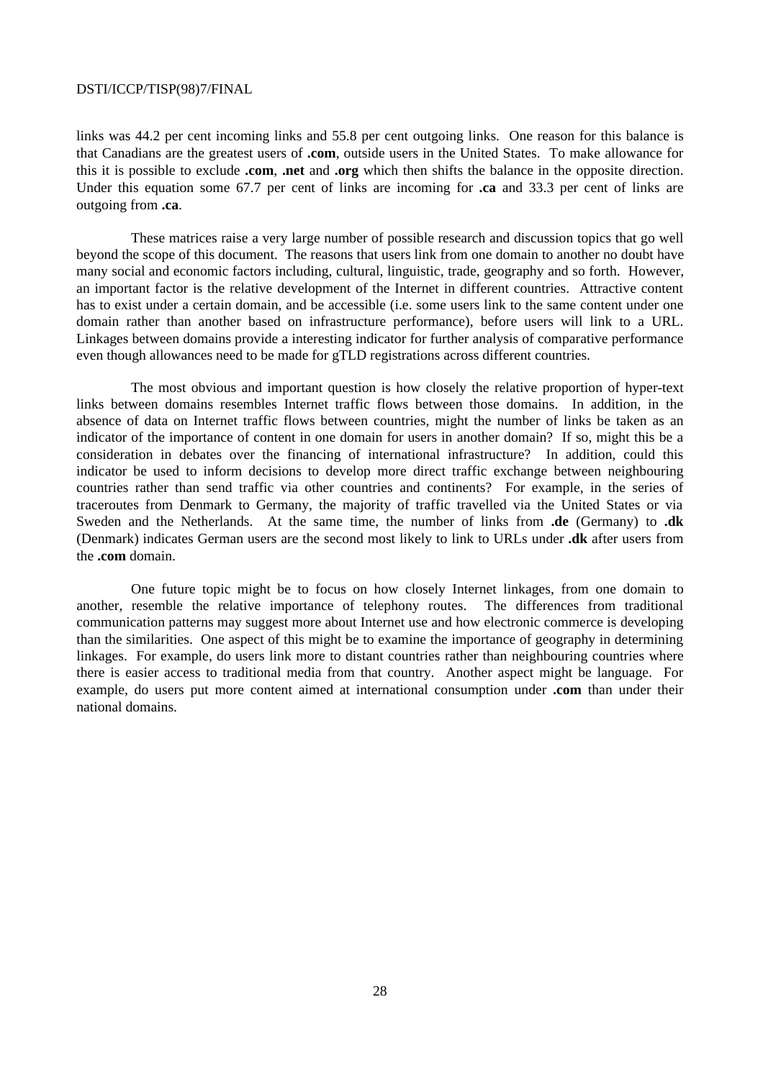links was 44.2 per cent incoming links and 55.8 per cent outgoing links. One reason for this balance is that Canadians are the greatest users of **.com**, outside users in the United States. To make allowance for this it is possible to exclude **.com**, **.net** and **.org** which then shifts the balance in the opposite direction. Under this equation some 67.7 per cent of links are incoming for **.ca** and 33.3 per cent of links are outgoing from **.ca**.

These matrices raise a very large number of possible research and discussion topics that go well beyond the scope of this document. The reasons that users link from one domain to another no doubt have many social and economic factors including, cultural, linguistic, trade, geography and so forth. However, an important factor is the relative development of the Internet in different countries. Attractive content has to exist under a certain domain, and be accessible (i.e. some users link to the same content under one domain rather than another based on infrastructure performance), before users will link to a URL. Linkages between domains provide a interesting indicator for further analysis of comparative performance even though allowances need to be made for gTLD registrations across different countries.

The most obvious and important question is how closely the relative proportion of hyper-text links between domains resembles Internet traffic flows between those domains. In addition, in the absence of data on Internet traffic flows between countries, might the number of links be taken as an indicator of the importance of content in one domain for users in another domain? If so, might this be a consideration in debates over the financing of international infrastructure? In addition, could this indicator be used to inform decisions to develop more direct traffic exchange between neighbouring countries rather than send traffic via other countries and continents? For example, in the series of traceroutes from Denmark to Germany, the majority of traffic travelled via the United States or via Sweden and the Netherlands. At the same time, the number of links from **.de** (Germany) to **.dk** (Denmark) indicates German users are the second most likely to link to URLs under **.dk** after users from the **.com** domain.

One future topic might be to focus on how closely Internet linkages, from one domain to another, resemble the relative importance of telephony routes. The differences from traditional communication patterns may suggest more about Internet use and how electronic commerce is developing than the similarities. One aspect of this might be to examine the importance of geography in determining linkages. For example, do users link more to distant countries rather than neighbouring countries where there is easier access to traditional media from that country. Another aspect might be language. For example, do users put more content aimed at international consumption under **.com** than under their national domains.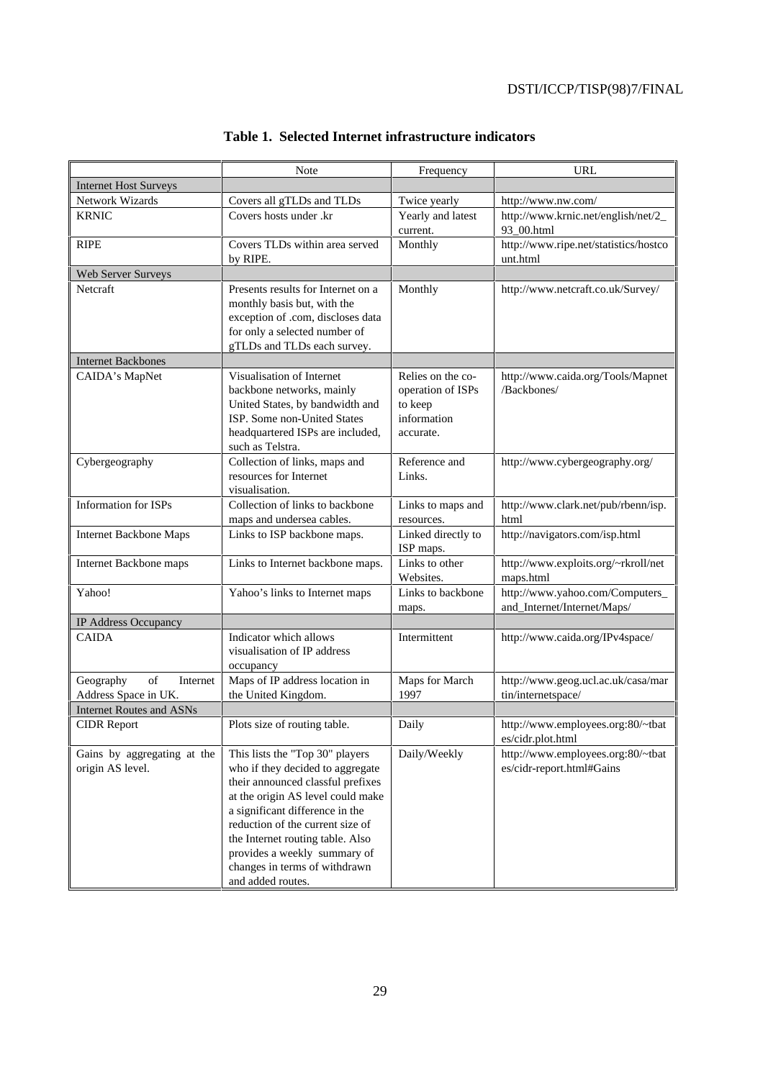|                                                         | Note                                                         | Frequency                    | URL                                                      |
|---------------------------------------------------------|--------------------------------------------------------------|------------------------------|----------------------------------------------------------|
| <b>Internet Host Surveys</b>                            |                                                              |                              |                                                          |
| Network Wizards                                         | Covers all gTLDs and TLDs                                    | Twice yearly                 | http://www.nw.com/                                       |
| <b>KRNIC</b>                                            | Covers hosts under .kr                                       | Yearly and latest            | http://www.krnic.net/english/net/2_                      |
|                                                         |                                                              | current.                     | 93_00.html                                               |
| <b>RIPE</b>                                             | Covers TLDs within area served                               | Monthly                      | http://www.ripe.net/statistics/hostco                    |
|                                                         | by RIPE.                                                     |                              | unt.html                                                 |
| Web Server Surveys                                      |                                                              |                              |                                                          |
| Netcraft                                                | Presents results for Internet on a                           | Monthly                      | http://www.netcraft.co.uk/Survey/                        |
|                                                         | monthly basis but, with the                                  |                              |                                                          |
|                                                         | exception of .com, discloses data                            |                              |                                                          |
|                                                         | for only a selected number of                                |                              |                                                          |
|                                                         | gTLDs and TLDs each survey.                                  |                              |                                                          |
| <b>Internet Backbones</b>                               |                                                              |                              |                                                          |
| CAIDA's MapNet                                          | Visualisation of Internet                                    | Relies on the co-            | http://www.caida.org/Tools/Mapnet<br>/Backbones/         |
|                                                         | backbone networks, mainly<br>United States, by bandwidth and | operation of ISPs<br>to keep |                                                          |
|                                                         | ISP. Some non-United States                                  | information                  |                                                          |
|                                                         | headquartered ISPs are included,                             | accurate.                    |                                                          |
|                                                         | such as Telstra.                                             |                              |                                                          |
| Cybergeography                                          | Collection of links, maps and                                | Reference and                | http://www.cybergeography.org/                           |
|                                                         | resources for Internet                                       | Links.                       |                                                          |
|                                                         | visualisation.                                               |                              |                                                          |
| <b>Information for ISPs</b>                             | Collection of links to backbone                              | Links to maps and            | http://www.clark.net/pub/rbenn/isp.                      |
|                                                         | maps and undersea cables.                                    | resources.                   | html                                                     |
| <b>Internet Backbone Maps</b>                           | Links to ISP backbone maps.                                  | Linked directly to           | http://navigators.com/isp.html                           |
|                                                         |                                                              | ISP maps.                    |                                                          |
| Internet Backbone maps                                  | Links to Internet backbone maps.                             | Links to other               | http://www.exploits.org/~rkroll/net                      |
|                                                         |                                                              | Websites.                    | maps.html                                                |
| Yahoo!                                                  | Yahoo's links to Internet maps                               | Links to backbone            | http://www.yahoo.com/Computers_                          |
|                                                         |                                                              | maps.                        | and_Internet/Internet/Maps/                              |
| IP Address Occupancy                                    |                                                              |                              |                                                          |
| <b>CAIDA</b>                                            | Indicator which allows                                       | Intermittent                 | http://www.caida.org/IPv4space/                          |
|                                                         | visualisation of IP address                                  |                              |                                                          |
|                                                         | occupancy                                                    |                              |                                                          |
| of<br>Geography<br>Internet                             | Maps of IP address location in                               | Maps for March<br>1997       | http://www.geog.ucl.ac.uk/casa/mar<br>tin/internetspace/ |
| Address Space in UK.<br><b>Internet Routes and ASNs</b> | the United Kingdom.                                          |                              |                                                          |
|                                                         |                                                              |                              |                                                          |
| <b>CIDR</b> Report                                      | Plots size of routing table.                                 | Daily                        | http://www.employees.org:80/~tbat<br>es/cidr.plot.html   |
| Gains by aggregating at the                             | This lists the "Top 30" players                              | Daily/Weekly                 | http://www.employees.org:80/~tbat                        |
| origin AS level.                                        | who if they decided to aggregate                             |                              | es/cidr-report.html#Gains                                |
|                                                         | their announced classful prefixes                            |                              |                                                          |
|                                                         | at the origin AS level could make                            |                              |                                                          |
|                                                         | a significant difference in the                              |                              |                                                          |
|                                                         | reduction of the current size of                             |                              |                                                          |
|                                                         | the Internet routing table. Also                             |                              |                                                          |
|                                                         | provides a weekly summary of                                 |                              |                                                          |
|                                                         | changes in terms of withdrawn                                |                              |                                                          |
|                                                         | and added routes.                                            |                              |                                                          |

# **Table 1. Selected Internet infrastructure indicators**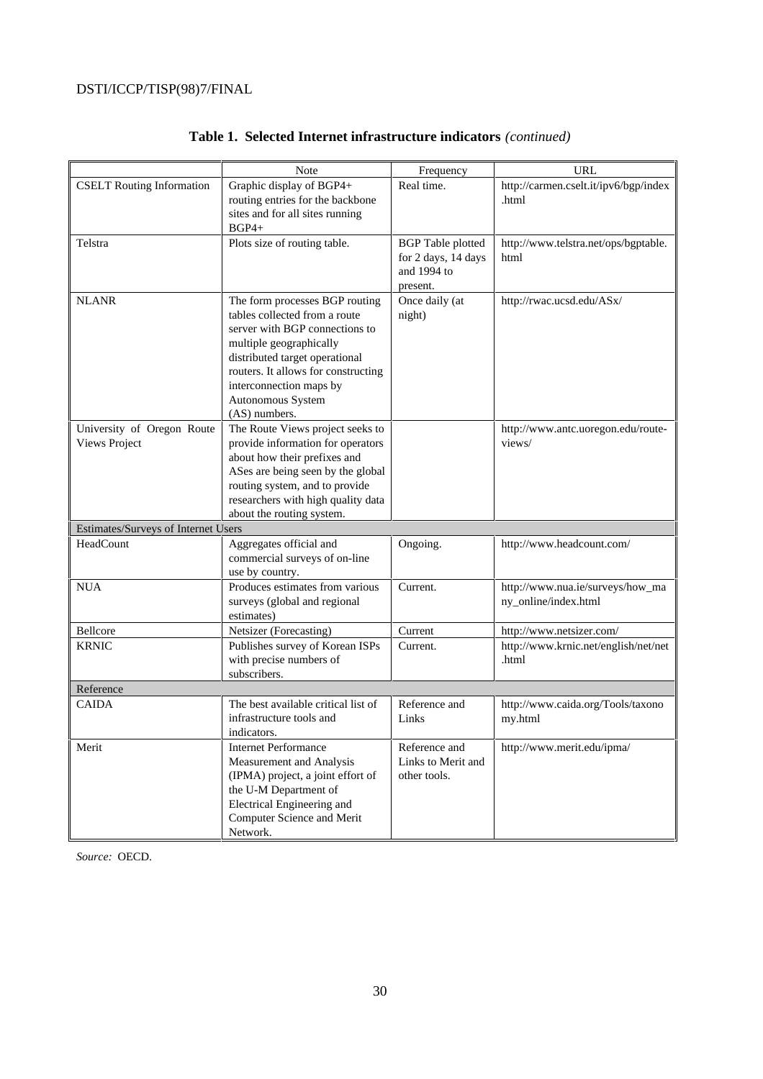|                                     | Note                                | Frequency                | <b>URL</b>                            |
|-------------------------------------|-------------------------------------|--------------------------|---------------------------------------|
| <b>CSELT</b> Routing Information    | Graphic display of BGP4+            | Real time.               | http://carmen.cselt.it/ipv6/bgp/index |
|                                     | routing entries for the backbone    |                          | .html                                 |
|                                     | sites and for all sites running     |                          |                                       |
|                                     | $BGP4+$                             |                          |                                       |
| Telstra                             | Plots size of routing table.        | <b>BGP</b> Table plotted | http://www.telstra.net/ops/bgptable.  |
|                                     |                                     | for 2 days, 14 days      | html                                  |
|                                     |                                     | and 1994 to              |                                       |
|                                     |                                     | present.                 |                                       |
| <b>NLANR</b>                        | The form processes BGP routing      | Once daily (at           | http://rwac.ucsd.edu/ASx/             |
|                                     | tables collected from a route       | night)                   |                                       |
|                                     | server with BGP connections to      |                          |                                       |
|                                     | multiple geographically             |                          |                                       |
|                                     | distributed target operational      |                          |                                       |
|                                     | routers. It allows for constructing |                          |                                       |
|                                     | interconnection maps by             |                          |                                       |
|                                     | Autonomous System                   |                          |                                       |
|                                     | (AS) numbers.                       |                          |                                       |
| University of Oregon Route          | The Route Views project seeks to    |                          | http://www.antc.uoregon.edu/route-    |
| <b>Views Project</b>                | provide information for operators   |                          | views/                                |
|                                     | about how their prefixes and        |                          |                                       |
|                                     | ASes are being seen by the global   |                          |                                       |
|                                     | routing system, and to provide      |                          |                                       |
|                                     | researchers with high quality data  |                          |                                       |
|                                     | about the routing system.           |                          |                                       |
| Estimates/Surveys of Internet Users |                                     |                          |                                       |
| HeadCount                           | Aggregates official and             | Ongoing.                 | http://www.headcount.com/             |
|                                     | commercial surveys of on-line       |                          |                                       |
|                                     | use by country.                     |                          |                                       |
| <b>NUA</b>                          | Produces estimates from various     | Current.                 | http://www.nua.ie/surveys/how_ma      |
|                                     | surveys (global and regional        |                          | ny_online/index.html                  |
|                                     | estimates)                          |                          |                                       |
| Bellcore                            | Netsizer (Forecasting)              | Current                  | http://www.netsizer.com/              |
| <b>KRNIC</b>                        | Publishes survey of Korean ISPs     | Current.                 | http://www.krnic.net/english/net/net  |
|                                     | with precise numbers of             |                          | .html                                 |
|                                     | subscribers.                        |                          |                                       |
| Reference                           |                                     |                          |                                       |
| <b>CAIDA</b>                        | The best available critical list of | Reference and            | http://www.caida.org/Tools/taxono     |
|                                     | infrastructure tools and            | Links                    | my.html                               |
|                                     | indicators.                         |                          |                                       |
| Merit                               | <b>Internet Performance</b>         | Reference and            | http://www.merit.edu/ipma/            |
|                                     | Measurement and Analysis            | Links to Merit and       |                                       |
|                                     | (IPMA) project, a joint effort of   | other tools.             |                                       |
|                                     | the U-M Department of               |                          |                                       |
|                                     | Electrical Engineering and          |                          |                                       |
|                                     | Computer Science and Merit          |                          |                                       |
|                                     | Network.                            |                          |                                       |

# **Table 1. Selected Internet infrastructure indicators** *(continued)*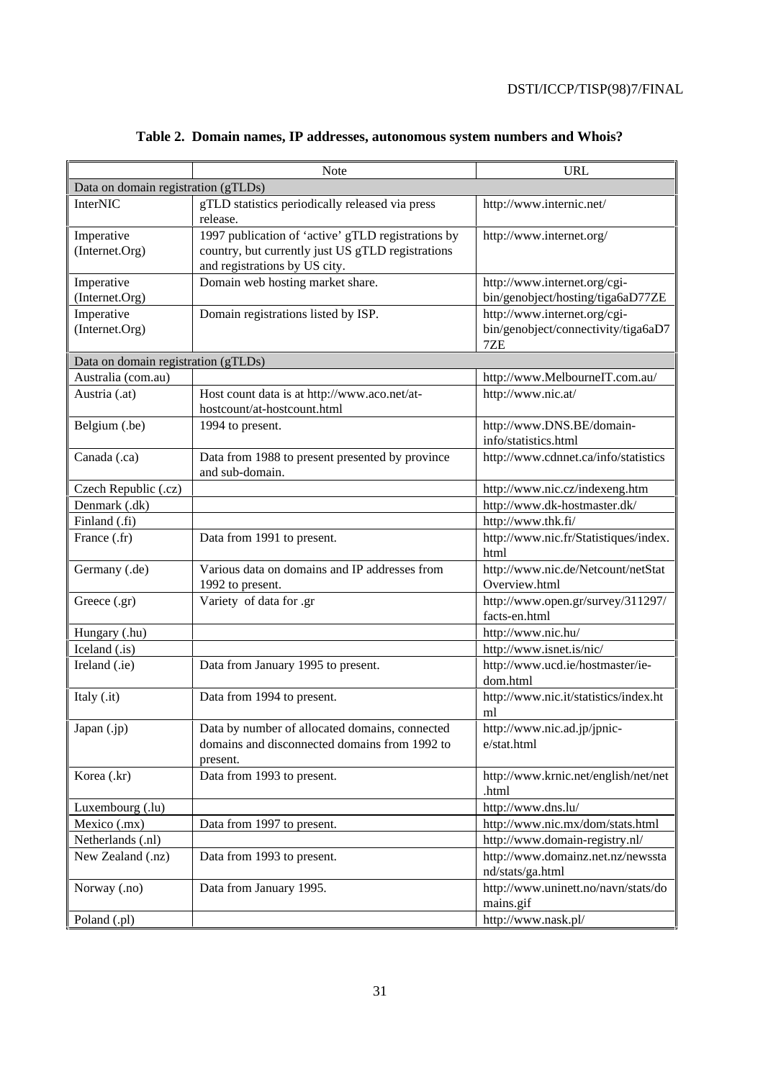|                                     | <b>Note</b>                                                                                                                              | <b>URL</b>                                                                 |  |  |  |
|-------------------------------------|------------------------------------------------------------------------------------------------------------------------------------------|----------------------------------------------------------------------------|--|--|--|
| Data on domain registration (gTLDs) |                                                                                                                                          |                                                                            |  |  |  |
| <b>InterNIC</b>                     | gTLD statistics periodically released via press<br>release.                                                                              | http://www.internic.net/                                                   |  |  |  |
| Imperative<br>(Internet.Org)        | 1997 publication of 'active' gTLD registrations by<br>country, but currently just US gTLD registrations<br>and registrations by US city. | http://www.internet.org/                                                   |  |  |  |
| Imperative<br>(Internet.Org)        | Domain web hosting market share.                                                                                                         | http://www.internet.org/cgi-<br>bin/genobject/hosting/tiga6aD77ZE          |  |  |  |
| Imperative<br>(Internet.Org)        | Domain registrations listed by ISP.                                                                                                      | http://www.internet.org/cgi-<br>bin/genobject/connectivity/tiga6aD7<br>7ZE |  |  |  |
| Data on domain registration (gTLDs) |                                                                                                                                          |                                                                            |  |  |  |
| Australia (com.au)                  |                                                                                                                                          | http://www.MelbourneIT.com.au/                                             |  |  |  |
| Austria (.at)                       | Host count data is at http://www.aco.net/at-<br>hostcount/at-hostcount.html                                                              | http://www.nic.at/                                                         |  |  |  |
| Belgium (.be)                       | 1994 to present.                                                                                                                         | http://www.DNS.BE/domain-<br>info/statistics.html                          |  |  |  |
| Canada (.ca)                        | Data from 1988 to present presented by province<br>and sub-domain.                                                                       | http://www.cdnnet.ca/info/statistics                                       |  |  |  |
| Czech Republic (.cz)                |                                                                                                                                          | http://www.nic.cz/indexeng.htm                                             |  |  |  |
| Denmark (.dk)                       |                                                                                                                                          | http://www.dk-hostmaster.dk/                                               |  |  |  |
| Finland (.fi)                       |                                                                                                                                          | http://www.thk.fi/                                                         |  |  |  |
| France (.fr)                        | Data from 1991 to present.                                                                                                               | http://www.nic.fr/Statistiques/index.<br>html                              |  |  |  |
| Germany (.de)                       | Various data on domains and IP addresses from                                                                                            | http://www.nic.de/Netcount/netStat                                         |  |  |  |
|                                     | 1992 to present.                                                                                                                         | Overview.html                                                              |  |  |  |
| Greece (.gr)                        | Variety of data for .gr                                                                                                                  | http://www.open.gr/survey/311297/<br>facts-en.html                         |  |  |  |
| Hungary (.hu)                       |                                                                                                                                          | http://www.nic.hu/                                                         |  |  |  |
| Iceland (.is)                       |                                                                                                                                          | http://www.isnet.is/nic/                                                   |  |  |  |
| Ireland (.ie)                       | Data from January 1995 to present.                                                                                                       | http://www.ucd.ie/hostmaster/ie-<br>dom.html                               |  |  |  |
| Italy (.it)                         | Data from 1994 to present.                                                                                                               | http://www.nic.it/statistics/index.ht<br>ml                                |  |  |  |
| Japan $(jp)$                        | Data by number of allocated domains, connected<br>domains and disconnected domains from 1992 to<br>present.                              | http://www.nic.ad.jp/jpnic-<br>e/stat.html                                 |  |  |  |
| Korea (.kr)                         | Data from 1993 to present.                                                                                                               | http://www.krnic.net/english/net/net<br>.html                              |  |  |  |
| Luxembourg (.lu)                    |                                                                                                                                          | http://www.dns.lu/                                                         |  |  |  |
| Mexico (.mx)                        | Data from 1997 to present.                                                                                                               | http://www.nic.mx/dom/stats.html                                           |  |  |  |
| Netherlands (.nl)                   |                                                                                                                                          | http://www.domain-registry.nl/                                             |  |  |  |
| New Zealand (.nz)                   | Data from 1993 to present.                                                                                                               | http://www.domainz.net.nz/newssta<br>nd/stats/ga.html                      |  |  |  |
| Norway (.no)                        | Data from January 1995.                                                                                                                  | http://www.uninett.no/navn/stats/do<br>mains.gif                           |  |  |  |
| Poland (.pl)                        |                                                                                                                                          | http://www.nask.pl/                                                        |  |  |  |

# **Table 2. Domain names, IP addresses, autonomous system numbers and Whois?**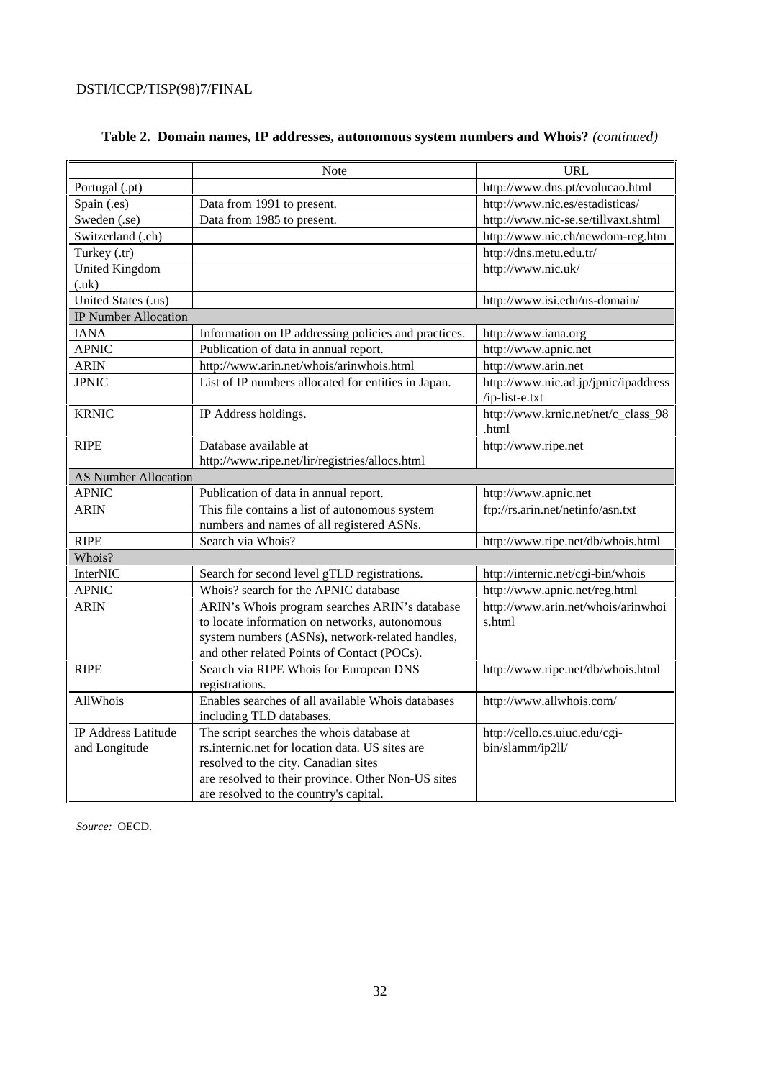|                             | Note                                                 | <b>URL</b>                                   |
|-----------------------------|------------------------------------------------------|----------------------------------------------|
| Portugal (.pt)              |                                                      | http://www.dns.pt/evolucao.html              |
| Spain (.es)                 | Data from 1991 to present.                           | http://www.nic.es/estadisticas/              |
| Sweden (.se)                | Data from 1985 to present.                           | http://www.nic-se.se/tillvaxt.shtml          |
| Switzerland (.ch)           |                                                      | http://www.nic.ch/newdom-reg.htm             |
| Turkey (.tr)                |                                                      | http://dns.metu.edu.tr/                      |
| <b>United Kingdom</b>       |                                                      | http://www.nic.uk/                           |
| (xuk)                       |                                                      |                                              |
| United States (.us)         |                                                      | http://www.isi.edu/us-domain/                |
| <b>IP Number Allocation</b> |                                                      |                                              |
| <b>IANA</b>                 | Information on IP addressing policies and practices. | http://www.iana.org                          |
| <b>APNIC</b>                | Publication of data in annual report.                | http://www.apnic.net                         |
| <b>ARIN</b>                 | http://www.arin.net/whois/arinwhois.html             | http://www.arin.net                          |
| <b>JPNIC</b>                | List of IP numbers allocated for entities in Japan.  | http://www.nic.ad.jp/jpnic/ipaddress         |
|                             |                                                      | /ip-list-e.txt                               |
| <b>KRNIC</b>                | IP Address holdings.                                 | http://www.krnic.net/net/c_class_98<br>.html |
| <b>RIPE</b>                 | Database available at                                | http://www.ripe.net                          |
|                             | http://www.ripe.net/lir/registries/allocs.html       |                                              |
| <b>AS Number Allocation</b> |                                                      |                                              |
| <b>APNIC</b>                | Publication of data in annual report.                | http://www.apnic.net                         |
| <b>ARIN</b>                 | This file contains a list of autonomous system       | ftp://rs.arin.net/netinfo/asn.txt            |
|                             | numbers and names of all registered ASNs.            |                                              |
| <b>RIPE</b>                 | Search via Whois?                                    | http://www.ripe.net/db/whois.html            |
| Whois?                      |                                                      |                                              |
| <b>InterNIC</b>             | Search for second level gTLD registrations.          | http://internic.net/cgi-bin/whois            |
| <b>APNIC</b>                | Whois? search for the APNIC database                 | http://www.apnic.net/reg.html                |
| <b>ARIN</b>                 | ARIN's Whois program searches ARIN's database        | http://www.arin.net/whois/arinwhoi           |
|                             | to locate information on networks, autonomous        | s.html                                       |
|                             | system numbers (ASNs), network-related handles,      |                                              |
|                             | and other related Points of Contact (POCs).          |                                              |
| <b>RIPE</b>                 | Search via RIPE Whois for European DNS               | http://www.ripe.net/db/whois.html            |
|                             | registrations.                                       |                                              |
| AllWhois                    | Enables searches of all available Whois databases    | http://www.allwhois.com/                     |
|                             | including TLD databases.                             |                                              |
| <b>IP Address Latitude</b>  | The script searches the whois database at            | http://cello.cs.uiuc.edu/cgi-                |
| and Longitude               | rs.internic.net for location data. US sites are      | bin/slamm/ip2ll/                             |
|                             | resolved to the city. Canadian sites                 |                                              |
|                             | are resolved to their province. Other Non-US sites   |                                              |
|                             | are resolved to the country's capital.               |                                              |

# **Table 2. Domain names, IP addresses, autonomous system numbers and Whois?** *(continued)*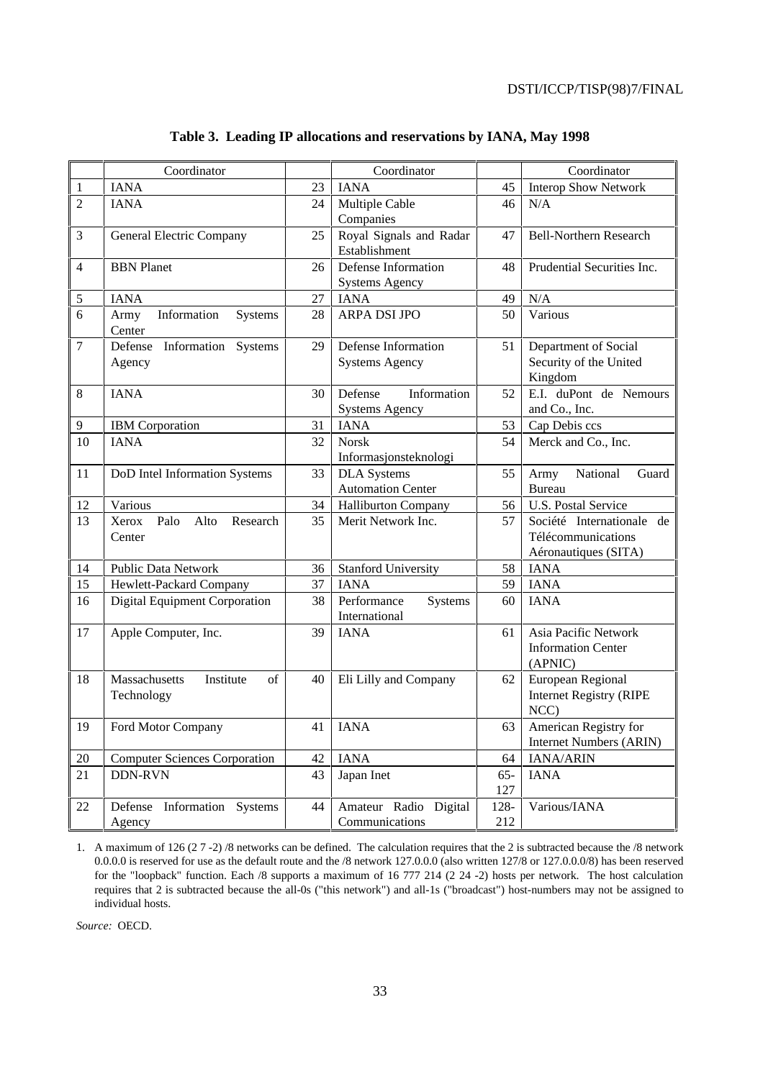|                | Coordinator                                    |    | Coordinator                                     |               | Coordinator                                                             |
|----------------|------------------------------------------------|----|-------------------------------------------------|---------------|-------------------------------------------------------------------------|
| $\mathbf{1}$   | <b>IANA</b>                                    | 23 | <b>IANA</b>                                     | 45            | <b>Interop Show Network</b>                                             |
| $\overline{2}$ | <b>IANA</b>                                    | 24 | Multiple Cable<br>Companies                     | 46            | N/A                                                                     |
| 3              | General Electric Company                       | 25 | Royal Signals and Radar<br>Establishment        | 47            | <b>Bell-Northern Research</b>                                           |
| $\overline{4}$ | <b>BBN</b> Planet                              | 26 | Defense Information<br><b>Systems Agency</b>    | 48            | Prudential Securities Inc.                                              |
| $\mathfrak s$  | <b>IANA</b>                                    | 27 | <b>IANA</b>                                     | 49            | N/A                                                                     |
| 6              | Information<br>Army<br>Systems<br>Center       | 28 | ARPA DSI JPO                                    | 50            | Various                                                                 |
| $\overline{7}$ | Defense<br>Information Systems<br>Agency       | 29 | Defense Information<br><b>Systems Agency</b>    | 51            | Department of Social<br>Security of the United<br>Kingdom               |
| 8              | <b>IANA</b>                                    | 30 | Information<br>Defense<br><b>Systems Agency</b> | 52            | E.I. duPont de Nemours<br>and Co., Inc.                                 |
| 9              | <b>IBM</b> Corporation                         | 31 | <b>IANA</b>                                     | 53            | Cap Debis ccs                                                           |
| 10             | <b>IANA</b>                                    | 32 | <b>Norsk</b><br>Informasjonsteknologi           | 54            | Merck and Co., Inc.                                                     |
| 11             | DoD Intel Information Systems                  | 33 | <b>DLA</b> Systems<br><b>Automation Center</b>  | 55            | National<br>Guard<br>Army<br><b>Bureau</b>                              |
| 12             | Various                                        | 34 | <b>Halliburton Company</b>                      | 56            | <b>U.S. Postal Service</b>                                              |
| 13             | Xerox<br>Palo<br>Alto<br>Research<br>Center    | 35 | Merit Network Inc.                              | 57            | Société Internationale de<br>Télécommunications<br>Aéronautiques (SITA) |
| 14             | <b>Public Data Network</b>                     | 36 | <b>Stanford University</b>                      | 58            | <b>IANA</b>                                                             |
| 15             | Hewlett-Packard Company                        | 37 | <b>IANA</b>                                     | 59            | <b>IANA</b>                                                             |
| 16             | Digital Equipment Corporation                  | 38 | Performance<br>Systems<br>International         | 60            | <b>IANA</b>                                                             |
| 17             | Apple Computer, Inc.                           | 39 | <b>IANA</b>                                     | 61            | Asia Pacific Network<br><b>Information Center</b><br>(APNIC)            |
| 18             | Massachusetts<br>Institute<br>of<br>Technology | 40 | Eli Lilly and Company                           | 62            | European Regional<br><b>Internet Registry (RIPE</b><br>NCC)             |
| 19             | Ford Motor Company                             | 41 | <b>IANA</b>                                     | 63            | American Registry for<br>Internet Numbers (ARIN)                        |
| 20             | <b>Computer Sciences Corporation</b>           | 42 | <b>IANA</b>                                     | 64            | IANA/ARIN                                                               |
| 21             | <b>DDN-RVN</b>                                 | 43 | Japan Inet                                      | $65 -$<br>127 | <b>IANA</b>                                                             |
| 22             | Defense Information Systems<br>Agency          | 44 | Amateur Radio Digital<br>Communications         | 128-<br>212   | Various/IANA                                                            |

## **Table 3. Leading IP allocations and reservations by IANA, May 1998**

1. A maximum of 126 (2 7 -2) /8 networks can be defined. The calculation requires that the 2 is subtracted because the /8 network 0.0.0.0 is reserved for use as the default route and the /8 network 127.0.0.0 (also written 127/8 or 127.0.0.0/8) has been reserved for the "loopback" function. Each /8 supports a maximum of 16 777 214 (2 24 -2) hosts per network. The host calculation requires that 2 is subtracted because the all-0s ("this network") and all-1s ("broadcast") host-numbers may not be assigned to individual hosts.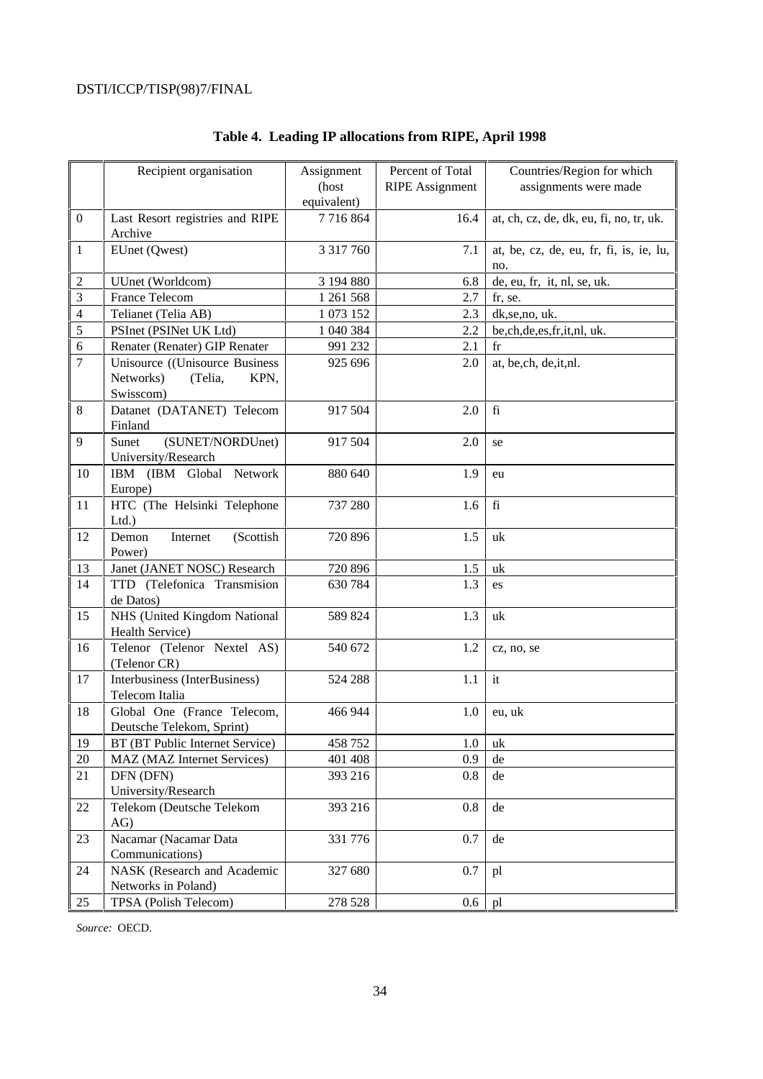|                  | Recipient organisation          | Assignment    | Percent of Total       | Countries/Region for which              |
|------------------|---------------------------------|---------------|------------------------|-----------------------------------------|
|                  |                                 | (host         | <b>RIPE</b> Assignment | assignments were made                   |
|                  |                                 | equivalent)   |                        |                                         |
| $\boldsymbol{0}$ | Last Resort registries and RIPE | 7716864       | 16.4                   | at, ch, cz, de, dk, eu, fi, no, tr, uk. |
|                  | Archive                         |               |                        |                                         |
| $\mathbf{1}$     | EUnet (Qwest)                   | 3 3 1 7 7 6 0 | 7.1                    | at, be, cz, de, eu, fr, fi, is, ie, lu, |
|                  |                                 |               |                        | no.                                     |
| $\overline{2}$   | UUnet (Worldcom)                | 3 194 880     | 6.8                    | de, eu, fr, it, nl, se, uk.             |
| 3                | France Telecom                  | 1 261 568     | 2.7                    | fr, se.                                 |
| $\overline{4}$   | Telianet (Telia AB)             | 1 073 152     | 2.3                    | dk, se, no, uk.                         |
| 5                | PSInet (PSINet UK Ltd)          | 1 040 384     | 2.2                    | be,ch,de,es,fr,it,nl, uk.               |
| 6                | Renater (Renater) GIP Renater   | 991 232       | 2.1                    | $_{\rm fr}$                             |
| $\boldsymbol{7}$ | Unisource ((Unisource Business  | 925 696       | 2.0                    | at, be,ch, de, it, nl.                  |
|                  | Networks)<br>(Telia,<br>KPN,    |               |                        |                                         |
|                  | Swisscom)                       |               |                        |                                         |
| 8                | Datanet (DATANET) Telecom       | 917 504       | 2.0                    | fi                                      |
|                  | Finland                         |               |                        |                                         |
| 9                | (SUNET/NORDUnet)<br>Sunet       | 917 504       | 2.0                    | se                                      |
|                  | University/Research             |               |                        |                                         |
| 10               | IBM (IBM Global Network         | 880 640       | 1.9                    | eu                                      |
|                  | Europe)                         |               |                        |                                         |
| 11               | HTC (The Helsinki Telephone     | 737 280       | 1.6                    | fi                                      |
|                  | $Ltd.$ )                        |               |                        |                                         |
| 12               | (Scottish<br>Demon<br>Internet  | 720 896       | 1.5                    | uk                                      |
|                  | Power)                          |               |                        |                                         |
| 13               | Janet (JANET NOSC) Research     | 720 896       | 1.5                    | uk                                      |
| 14               | TTD (Telefonica Transmision     | 630 784       | 1.3                    | es                                      |
|                  | de Datos)                       |               |                        |                                         |
| 15               | NHS (United Kingdom National    | 589 824       | 1.3                    | uk                                      |
|                  | Health Service)                 |               |                        |                                         |
| 16               | Telenor (Telenor Nextel AS)     | 540 672       | 1.2                    | cz, no, se                              |
|                  | (Telenor CR)                    |               |                        |                                         |
| 17               | Interbusiness (InterBusiness)   | 524 288       | 1.1                    | it                                      |
|                  | Telecom Italia                  |               |                        |                                         |
| 18               | Global One (France Telecom,     | 466 944       | 1.0                    | eu, uk                                  |
|                  | Deutsche Telekom, Sprint)       |               |                        |                                         |
| 19               | BT (BT Public Internet Service) | 458 752       | 1.0                    | uk                                      |
| 20               | MAZ (MAZ Internet Services)     | 401 408       | 0.9                    | de                                      |
| 21               | DFN (DFN)                       | 393 216       | 0.8                    | de                                      |
|                  | University/Research             |               |                        |                                         |
| 22               | Telekom (Deutsche Telekom       | 393 216       | 0.8                    | de                                      |
|                  | AG)                             |               |                        |                                         |
| 23               | Nacamar (Nacamar Data           | 331 776       | 0.7                    | de                                      |
|                  | Communications)                 |               |                        |                                         |
| 24               | NASK (Research and Academic     | 327 680       | 0.7                    | pl                                      |
|                  | Networks in Poland)             |               |                        |                                         |
| 25               | TPSA (Polish Telecom)           | 278 528       | 0.6                    | pl                                      |

# **Table 4. Leading IP allocations from RIPE, April 1998**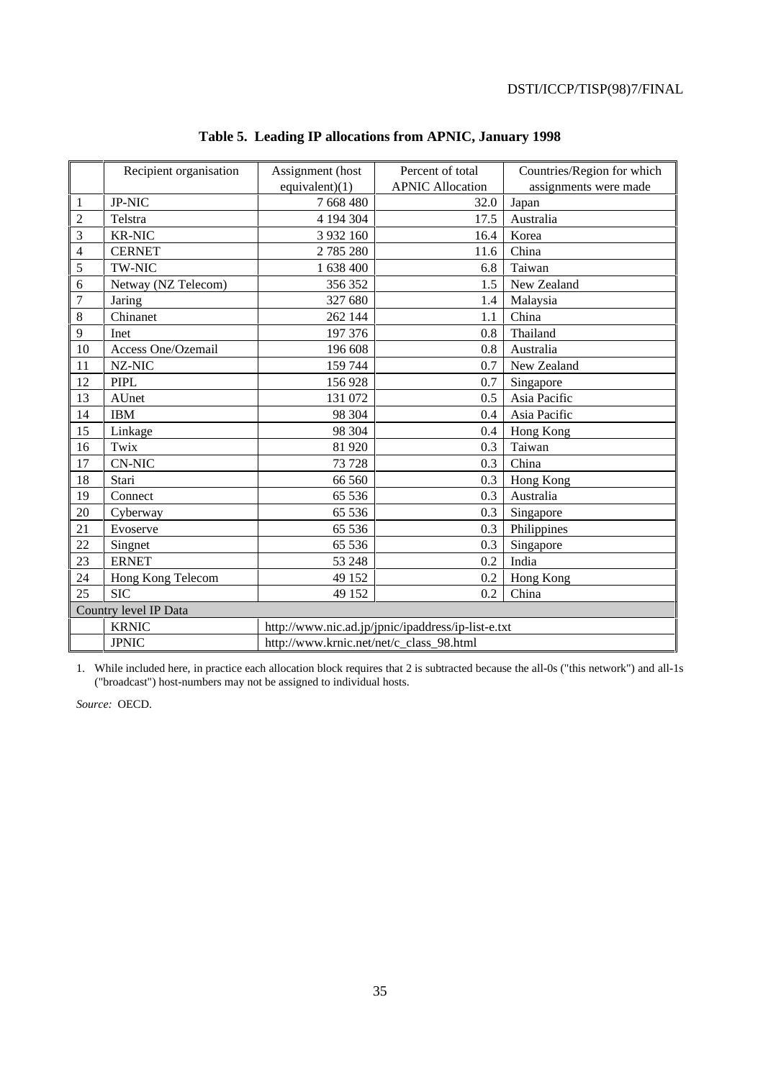|                | Recipient organisation | Assignment (host<br>Percent of total               |                         | Countries/Region for which |  |  |
|----------------|------------------------|----------------------------------------------------|-------------------------|----------------------------|--|--|
|                |                        | equivalent) $(1)$                                  | <b>APNIC Allocation</b> | assignments were made      |  |  |
| 1              | <b>JP-NIC</b>          | 7 668 480                                          | 32.0                    | Japan                      |  |  |
| 2              | Telstra                | 4 194 304                                          | 17.5                    | Australia                  |  |  |
| 3              | <b>KR-NIC</b>          | 3 9 3 2 1 6 0                                      | 16.4                    | Korea                      |  |  |
| $\overline{4}$ | <b>CERNET</b>          | 2785280                                            | 11.6                    | China                      |  |  |
| 5              | <b>TW-NIC</b>          | 1 638 400                                          | 6.8                     | Taiwan                     |  |  |
| 6              | Netway (NZ Telecom)    | 356 352                                            | 1.5                     | New Zealand                |  |  |
| 7              | Jaring                 | 327 680                                            | 1.4                     | Malaysia                   |  |  |
| 8              | Chinanet               | 262 144                                            | 1.1                     | China                      |  |  |
| 9              | Inet                   | 197 376                                            | 0.8                     | Thailand                   |  |  |
| 10             | Access One/Ozemail     | 196 608                                            | 0.8                     | Australia                  |  |  |
| 11             | NZ-NIC                 | 159 744                                            | 0.7                     | New Zealand                |  |  |
| 12             | <b>PIPL</b>            | 156928                                             | 0.7                     | Singapore                  |  |  |
| 13             | AUnet                  | 131 072                                            | 0.5                     | Asia Pacific               |  |  |
| 14             | <b>IBM</b>             | 98 304                                             | 0.4                     | Asia Pacific               |  |  |
| 15             | Linkage                | 98 304                                             | 0.4                     | Hong Kong                  |  |  |
| 16             | Twix                   | 81 920                                             | 0.3                     | Taiwan                     |  |  |
| 17             | <b>CN-NIC</b>          | 73728                                              | 0.3                     | China                      |  |  |
| 18             | Stari                  | 66 560                                             | 0.3                     | Hong Kong                  |  |  |
| 19             | Connect                | 65 5 36                                            | 0.3                     | Australia                  |  |  |
| 20             | Cyberway               | 65 536                                             | 0.3                     | Singapore                  |  |  |
| 21             | Evoserve               | 65 536                                             | 0.3                     | Philippines                |  |  |
| 22             | Singnet                | 65 536                                             | 0.3                     | Singapore                  |  |  |
| 23             | <b>ERNET</b>           | 53 248                                             | 0.2                     | India                      |  |  |
| 24             | Hong Kong Telecom      | 49 152                                             | 0.2                     | Hong Kong                  |  |  |
| 25             | <b>SIC</b>             | 49 152                                             | 0.2                     | China                      |  |  |
|                | Country level IP Data  |                                                    |                         |                            |  |  |
|                | <b>KRNIC</b>           | http://www.nic.ad.jp/jpnic/ipaddress/ip-list-e.txt |                         |                            |  |  |
|                | <b>JPNIC</b>           | http://www.krnic.net/net/c_class_98.html           |                         |                            |  |  |

# **Table 5. Leading IP allocations from APNIC, January 1998**

1. While included here, in practice each allocation block requires that 2 is subtracted because the all-0s ("this network") and all-1s ("broadcast") host-numbers may not be assigned to individual hosts.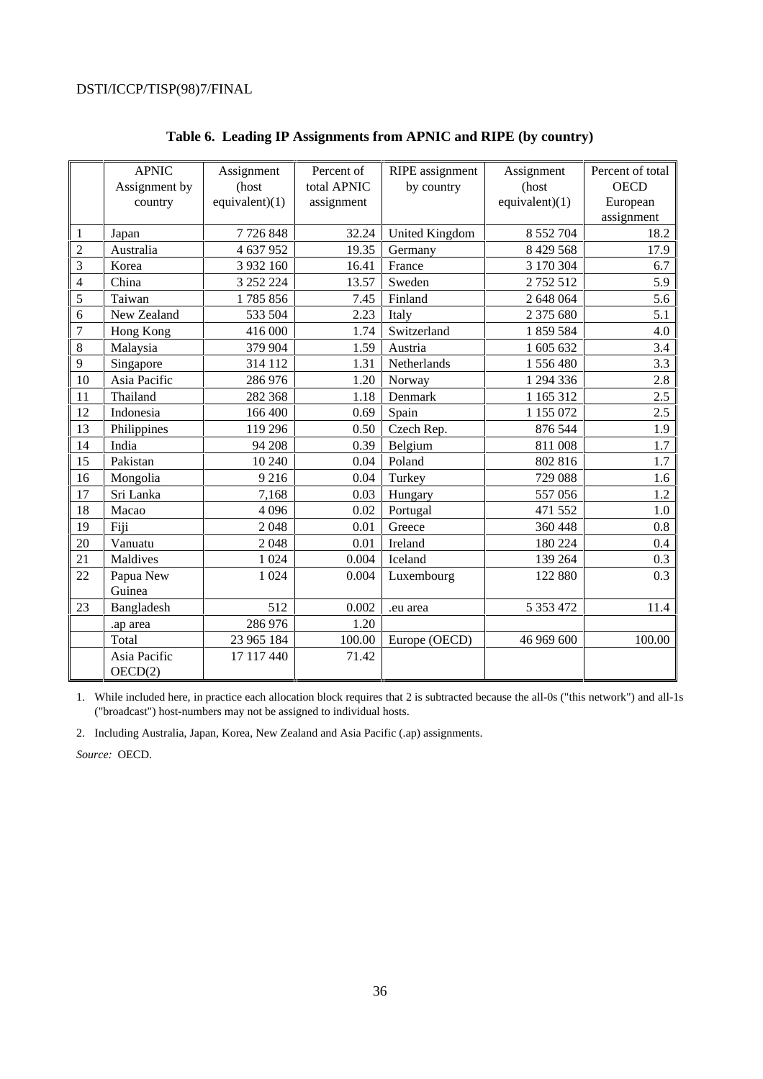|                         | <b>APNIC</b>  | Assignment        | Percent of  | RIPE assignment       | Assignment        | Percent of total |
|-------------------------|---------------|-------------------|-------------|-----------------------|-------------------|------------------|
|                         | Assignment by | (host             | total APNIC | by country            | (host             | <b>OECD</b>      |
|                         | country       | equivalent) $(1)$ | assignment  |                       | equivalent) $(1)$ | European         |
|                         |               |                   |             |                       |                   | assignment       |
| $\mathbf{1}$            | Japan         | 7726848           | 32.24       | <b>United Kingdom</b> | 8 5 5 2 7 0 4     | 18.2             |
| $\overline{2}$          | Australia     | 4 637 952         | 19.35       | Germany               | 8 4 29 5 68       | 17.9             |
| $\overline{\mathbf{3}}$ | Korea         | 3 932 160         | 16.41       | France                | 3 170 304         | 6.7              |
| $\overline{4}$          | China         | 3 252 224         | 13.57       | Sweden                | 2752512           | 5.9              |
| 5                       | Taiwan        | 1785856           | 7.45        | Finland               | 2 648 064         | 5.6              |
| $\overline{6}$          | New Zealand   | 533 504           | 2.23        | Italy                 | 2 375 680         | 5.1              |
| $\overline{7}$          | Hong Kong     | 416 000           | 1.74        | Switzerland           | 1859584           | 4.0              |
| 8                       | Malaysia      | 379 904           | 1.59        | Austria               | 1 605 632         | 3.4              |
| $\overline{9}$          | Singapore     | 314 112           | 1.31        | Netherlands           | 1 556 480         | 3.3              |
| 10                      | Asia Pacific  | 286 976           | 1.20        | Norway                | 1 294 336         | 2.8              |
| 11                      | Thailand      | 282 368           | 1.18        | Denmark               | 1 165 312         | 2.5              |
| 12                      | Indonesia     | 166 400           | 0.69        | Spain                 | 1 155 072         | 2.5              |
| 13                      | Philippines   | 119 29 6          | 0.50        | Czech Rep.            | 876 544           | 1.9              |
| 14                      | India         | 94 208            | 0.39        | Belgium               | 811 008           | 1.7              |
| 15                      | Pakistan      | 10 240            | 0.04        | Poland                | 802 816           | 1.7              |
| 16                      | Mongolia      | 9216              | 0.04        | Turkey                | 729 088           | 1.6              |
| 17                      | Sri Lanka     | 7,168             | 0.03        | Hungary               | 557056            | 1.2              |
| 18                      | Macao         | 4 0 9 6           | 0.02        | Portugal              | 471 552           | 1.0              |
| 19                      | Fiji          | 2048              | 0.01        | Greece                | 360 448           | 0.8              |
| 20                      | Vanuatu       | 2048              | 0.01        | Ireland               | 180 224           | 0.4              |
| 21                      | Maldives      | 1 0 2 4           | 0.004       | Iceland               | 139 264           | 0.3              |
| 22                      | Papua New     | 1 0 24            | 0.004       | Luxembourg            | 122 880           | 0.3              |
|                         | Guinea        |                   |             |                       |                   |                  |
| 23                      | Bangladesh    | 512               | 0.002       | .eu area              | 5 3 5 3 4 7 2     | 11.4             |
|                         | .ap area      | 286 976           | 1.20        |                       |                   |                  |
|                         | Total         | 23 965 184        | 100.00      | Europe (OECD)         | 46 969 600        | 100.00           |
|                         | Asia Pacific  | 17 117 440        | 71.42       |                       |                   |                  |
|                         | OECD(2)       |                   |             |                       |                   |                  |

## **Table 6. Leading IP Assignments from APNIC and RIPE (by country)**

1. While included here, in practice each allocation block requires that 2 is subtracted because the all-0s ("this network") and all-1s ("broadcast") host-numbers may not be assigned to individual hosts.

2. Including Australia, Japan, Korea, New Zealand and Asia Pacific (.ap) assignments.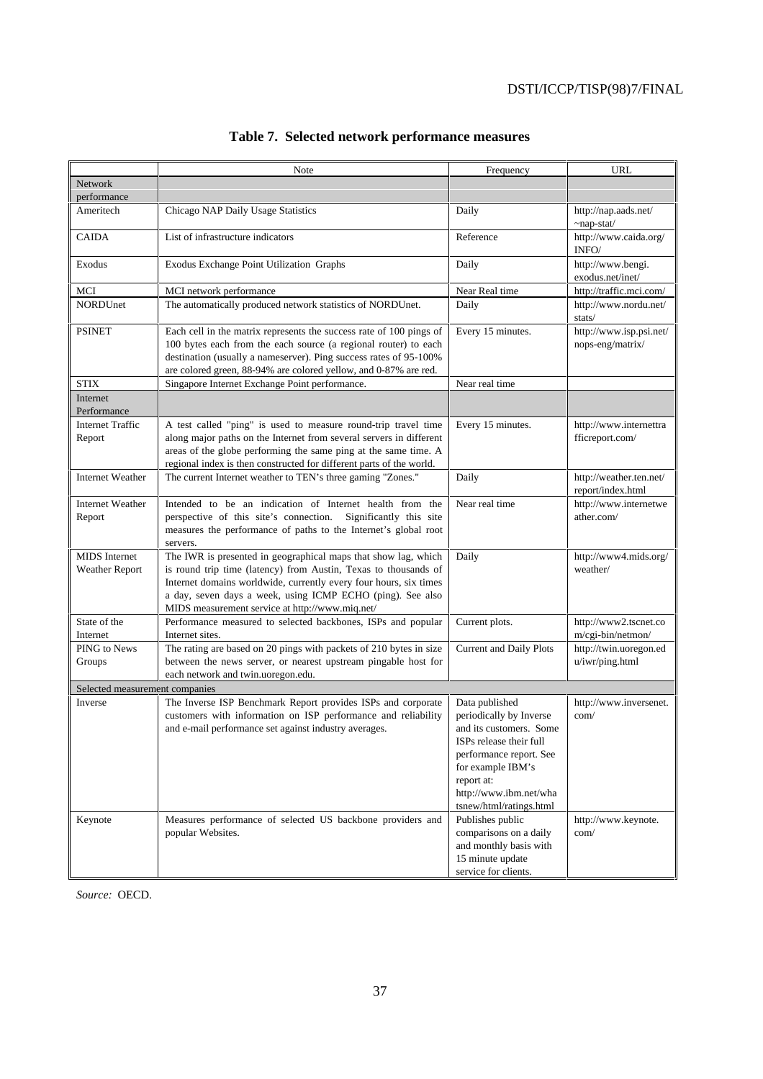|                                               | Note                                                                                                                                                                                                                                                                                                                    | Frequency                                                                                                                                                                                                          | URL                                          |
|-----------------------------------------------|-------------------------------------------------------------------------------------------------------------------------------------------------------------------------------------------------------------------------------------------------------------------------------------------------------------------------|--------------------------------------------------------------------------------------------------------------------------------------------------------------------------------------------------------------------|----------------------------------------------|
| <b>Network</b>                                |                                                                                                                                                                                                                                                                                                                         |                                                                                                                                                                                                                    |                                              |
| performance                                   |                                                                                                                                                                                                                                                                                                                         |                                                                                                                                                                                                                    |                                              |
| Ameritech                                     | Chicago NAP Daily Usage Statistics                                                                                                                                                                                                                                                                                      | Daily                                                                                                                                                                                                              | http://nap.aads.net/<br>$\sim$ nap-stat/     |
| <b>CAIDA</b>                                  | List of infrastructure indicators                                                                                                                                                                                                                                                                                       | Reference                                                                                                                                                                                                          | http://www.caida.org/<br>INFO/               |
| Exodus                                        | Exodus Exchange Point Utilization Graphs                                                                                                                                                                                                                                                                                | Daily                                                                                                                                                                                                              | http://www.bengi.<br>exodus.net/inet/        |
| MCI                                           | MCI network performance                                                                                                                                                                                                                                                                                                 | Near Real time                                                                                                                                                                                                     | http://traffic.mci.com/                      |
| NORDUnet                                      | The automatically produced network statistics of NORDUnet.                                                                                                                                                                                                                                                              | Daily                                                                                                                                                                                                              | http://www.nordu.net/<br>stats/              |
| <b>PSINET</b>                                 | Each cell in the matrix represents the success rate of 100 pings of<br>100 bytes each from the each source (a regional router) to each<br>destination (usually a nameserver). Ping success rates of 95-100%<br>are colored green, 88-94% are colored yellow, and 0-87% are red.                                         | Every 15 minutes.                                                                                                                                                                                                  | http://www.isp.psi.net/<br>nops-eng/matrix/  |
| <b>STIX</b>                                   | Singapore Internet Exchange Point performance.                                                                                                                                                                                                                                                                          | Near real time                                                                                                                                                                                                     |                                              |
| Internet<br>Performance                       |                                                                                                                                                                                                                                                                                                                         |                                                                                                                                                                                                                    |                                              |
| <b>Internet Traffic</b><br>Report             | A test called "ping" is used to measure round-trip travel time<br>along major paths on the Internet from several servers in different<br>areas of the globe performing the same ping at the same time. A<br>regional index is then constructed for different parts of the world.                                        | Every 15 minutes.                                                                                                                                                                                                  | http://www.internettra<br>fficreport.com/    |
| <b>Internet Weather</b>                       | The current Internet weather to TEN's three gaming "Zones."                                                                                                                                                                                                                                                             | Daily                                                                                                                                                                                                              | http://weather.ten.net/<br>report/index.html |
| <b>Internet Weather</b><br>Report             | Intended to be an indication of Internet health from the<br>perspective of this site's connection.<br>Significantly this site<br>measures the performance of paths to the Internet's global root<br>servers.                                                                                                            | Near real time                                                                                                                                                                                                     | http://www.internetwe<br>ather.com/          |
| <b>MIDS</b> Internet<br><b>Weather Report</b> | The IWR is presented in geographical maps that show lag, which<br>is round trip time (latency) from Austin, Texas to thousands of<br>Internet domains worldwide, currently every four hours, six times<br>a day, seven days a week, using ICMP ECHO (ping). See also<br>MIDS measurement service at http://www.miq.net/ | Daily                                                                                                                                                                                                              | http://www4.mids.org/<br>weather/            |
| State of the<br>Internet                      | Performance measured to selected backbones, ISPs and popular<br>Internet sites.                                                                                                                                                                                                                                         | Current plots.                                                                                                                                                                                                     | http://www2.tscnet.co<br>m/cgi-bin/netmon/   |
| PING to News<br>Groups                        | The rating are based on 20 pings with packets of 210 bytes in size<br>between the news server, or nearest upstream pingable host for<br>each network and twin.uoregon.edu.                                                                                                                                              | <b>Current and Daily Plots</b>                                                                                                                                                                                     | http://twin.uoregon.ed<br>u/iwr/ping.html    |
| Selected measurement companies                |                                                                                                                                                                                                                                                                                                                         |                                                                                                                                                                                                                    |                                              |
| Inverse                                       | The Inverse ISP Benchmark Report provides ISPs and corporate<br>customers with information on ISP performance and reliability<br>and e-mail performance set against industry averages.                                                                                                                                  | Data published<br>periodically by Inverse<br>and its customers. Some<br>ISPs release their full<br>performance report. See<br>for example IBM's<br>report at:<br>http://www.ibm.net/wha<br>tsnew/html/ratings.html | http://www.inversenet.<br>com/               |
| Keynote                                       | Measures performance of selected US backbone providers and<br>popular Websites.                                                                                                                                                                                                                                         | Publishes public<br>comparisons on a daily<br>and monthly basis with<br>15 minute update<br>service for clients.                                                                                                   | http://www.keynote.<br>com/                  |

# **Table 7. Selected network performance measures**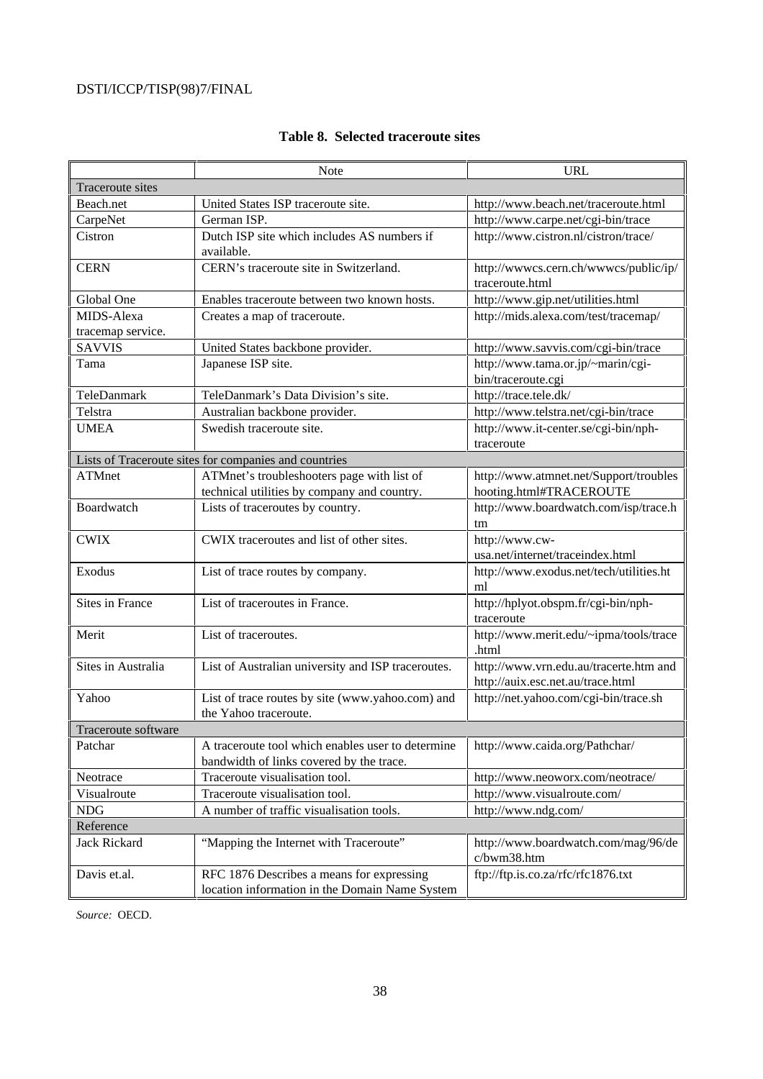|                     | Note                                                                                          | <b>URL</b>                                                                  |
|---------------------|-----------------------------------------------------------------------------------------------|-----------------------------------------------------------------------------|
| Traceroute sites    |                                                                                               |                                                                             |
| Beach.net           | United States ISP traceroute site.                                                            | http://www.beach.net/traceroute.html                                        |
| CarpeNet            | German ISP.                                                                                   | http://www.carpe.net/cgi-bin/trace                                          |
| Cistron             | Dutch ISP site which includes AS numbers if<br>available.                                     | http://www.cistron.nl/cistron/trace/                                        |
| <b>CERN</b>         | CERN's traceroute site in Switzerland.                                                        | http://wwwcs.cern.ch/wwwcs/public/ip/<br>traceroute.html                    |
| Global One          | Enables traceroute between two known hosts.                                                   | http://www.gip.net/utilities.html                                           |
| MIDS-Alexa          | Creates a map of traceroute.                                                                  | http://mids.alexa.com/test/tracemap/                                        |
| tracemap service.   |                                                                                               |                                                                             |
| <b>SAVVIS</b>       | United States backbone provider.                                                              | http://www.savvis.com/cgi-bin/trace                                         |
| Tama                | Japanese ISP site.                                                                            | http://www.tama.or.jp/~marin/cgi-<br>bin/traceroute.cgi                     |
| TeleDanmark         | TeleDanmark's Data Division's site.                                                           | http://trace.tele.dk/                                                       |
| Telstra             | Australian backbone provider.                                                                 | http://www.telstra.net/cgi-bin/trace                                        |
| <b>UMEA</b>         | Swedish traceroute site.                                                                      | http://www.it-center.se/cgi-bin/nph-<br>traceroute                          |
|                     | Lists of Traceroute sites for companies and countries                                         |                                                                             |
| <b>ATMnet</b>       | ATMnet's troubleshooters page with list of<br>technical utilities by company and country.     | http://www.atmnet.net/Support/troubles<br>hooting.html#TRACEROUTE           |
| Boardwatch          | Lists of traceroutes by country.                                                              | http://www.boardwatch.com/isp/trace.h<br>tm                                 |
| <b>CWIX</b>         | CWIX traceroutes and list of other sites.                                                     | http://www.cw-<br>usa.net/internet/traceindex.html                          |
| Exodus              | List of trace routes by company.                                                              | http://www.exodus.net/tech/utilities.ht<br>ml                               |
| Sites in France     | List of traceroutes in France.                                                                | http://hplyot.obspm.fr/cgi-bin/nph-<br>traceroute                           |
| Merit               | List of traceroutes.                                                                          | http://www.merit.edu/~ipma/tools/trace<br>.html                             |
| Sites in Australia  | List of Australian university and ISP traceroutes.                                            | http://www.vrn.edu.au/tracerte.htm and<br>http://auix.esc.net.au/trace.html |
| Yahoo               | List of trace routes by site (www.yahoo.com) and<br>the Yahoo traceroute.                     | http://net.yahoo.com/cgi-bin/trace.sh                                       |
| Traceroute software |                                                                                               |                                                                             |
| Patchar             | A traceroute tool which enables user to determine<br>bandwidth of links covered by the trace. | http://www.caida.org/Pathchar/                                              |
| Neotrace            | Traceroute visualisation tool.                                                                | http://www.neoworx.com/neotrace/                                            |
| Visualroute         | Traceroute visualisation tool.                                                                | http://www.visualroute.com/                                                 |
| <b>NDG</b>          | A number of traffic visualisation tools.                                                      | http://www.ndg.com/                                                         |
| Reference           |                                                                                               |                                                                             |
| Jack Rickard        | "Mapping the Internet with Traceroute"                                                        | http://www.boardwatch.com/mag/96/de<br>c/bwm38.htm                          |
| Davis et.al.        | RFC 1876 Describes a means for expressing<br>location information in the Domain Name System   | ftp://ftp.is.co.za/rfc/rfc1876.txt                                          |

## **Table 8. Selected traceroute sites**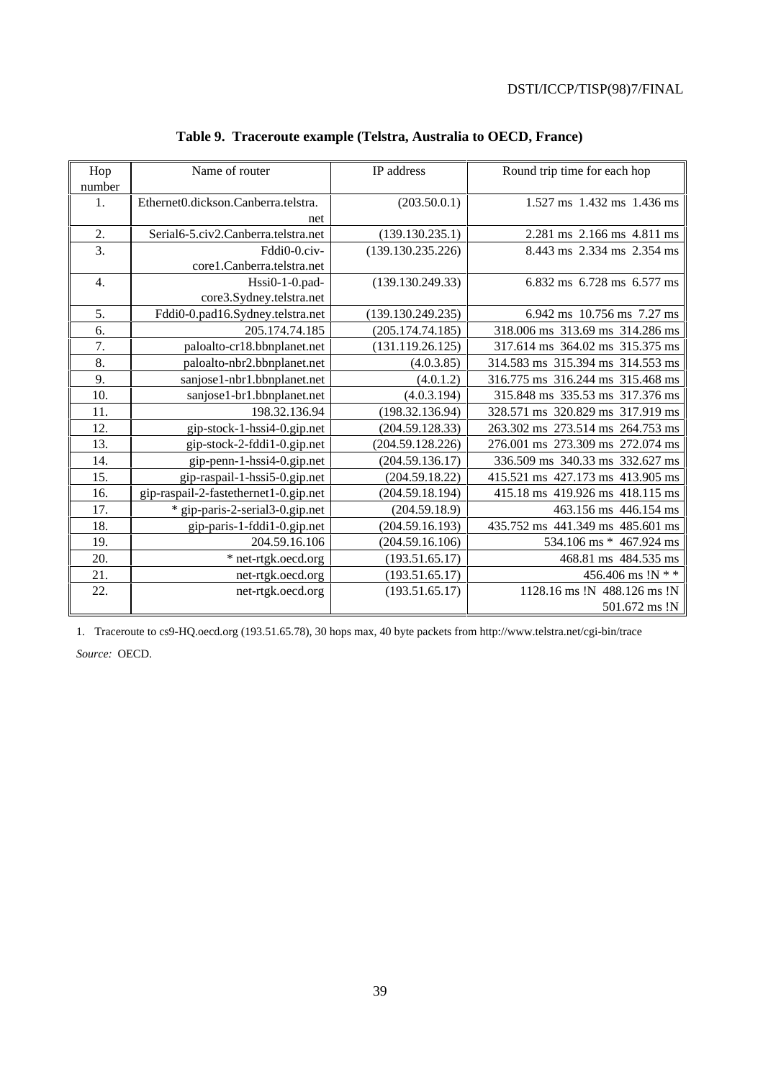| Hop              | Name of router                        | IP address        | Round trip time for each hop     |
|------------------|---------------------------------------|-------------------|----------------------------------|
| number           |                                       |                   |                                  |
| 1.               | Ethernet0.dickson.Canberra.telstra.   | (203.50.0.1)      | $1.527$ ms $1.432$ ms $1.436$ ms |
|                  | net                                   |                   |                                  |
| 2.               | Serial6-5.civ2.Canberra.telstra.net   | (139.130.235.1)   | 2.281 ms 2.166 ms 4.811 ms       |
| $\overline{3}$ . | Fddi0-0.civ-                          | (139.130.235.226) | 8.443 ms 2.334 ms 2.354 ms       |
|                  | core1.Canberra.telstra.net            |                   |                                  |
| 4.               | Hssi0-1-0.pad-                        | (139.130.249.33)  | 6.832 ms 6.728 ms 6.577 ms       |
|                  | core3.Sydney.telstra.net              |                   |                                  |
| 5.               | Fddi0-0.pad16.Sydney.telstra.net      | (139.130.249.235) | 6.942 ms 10.756 ms 7.27 ms       |
| 6.               | 205.174.74.185                        | (205.174.74.185)  | 318.006 ms 313.69 ms 314.286 ms  |
| 7.               | paloalto-cr18.bbnplanet.net           | (131.119.26.125)  | 317.614 ms 364.02 ms 315.375 ms  |
| 8.               | paloalto-nbr2.bbnplanet.net           | (4.0.3.85)        | 314.583 ms 315.394 ms 314.553 ms |
| 9.               | sanjose1-nbr1.bbnplanet.net           | (4.0.1.2)         | 316.775 ms 316.244 ms 315.468 ms |
| 10.              | sanjose1-br1.bbnplanet.net            | (4.0.3.194)       | 315.848 ms 335.53 ms 317.376 ms  |
| 11.              | 198.32.136.94                         | (198.32.136.94)   | 328.571 ms 320.829 ms 317.919 ms |
| 12.              | gip-stock-1-hssi4-0.gip.net           | (204.59.128.33)   | 263.302 ms 273.514 ms 264.753 ms |
| 13.              | gip-stock-2-fddi1-0.gip.net           | (204.59.128.226)  | 276.001 ms 273.309 ms 272.074 ms |
| 14.              | gip-penn-1-hssi4-0.gip.net            | (204.59.136.17)   | 336.509 ms 340.33 ms 332.627 ms  |
| 15.              | gip-raspail-1-hssi5-0.gip.net         | (204.59.18.22)    | 415.521 ms 427.173 ms 413.905 ms |
| 16.              | gip-raspail-2-fastethernet1-0.gip.net | (204.59.18.194)   | 415.18 ms 419.926 ms 418.115 ms  |
| 17.              | * gip-paris-2-serial3-0.gip.net       | (204.59.18.9)     | 463.156 ms 446.154 ms            |
| 18.              | gip-paris-1-fddi1-0.gip.net           | (204.59.16.193)   | 435.752 ms 441.349 ms 485.601 ms |
| 19.              | 204.59.16.106                         | (204.59.16.106)   | 534.106 ms * 467.924 ms          |
| 20.              | * net-rtgk.oecd.org                   | (193.51.65.17)    | 468.81 ms 484.535 ms             |
| 21.              | net-rtgk.oecd.org                     | (193.51.65.17)    | 456.406 ms !N * *                |
| 22.              | net-rtgk.oecd.org                     | (193.51.65.17)    | 1128.16 ms !N 488.126 ms !N      |
|                  |                                       |                   | 501.672 ms !N                    |

# **Table 9. Traceroute example (Telstra, Australia to OECD, France)**

1. Traceroute to cs9-HQ.oecd.org (193.51.65.78), 30 hops max, 40 byte packets from http://www.telstra.net/cgi-bin/trace *Source:* OECD.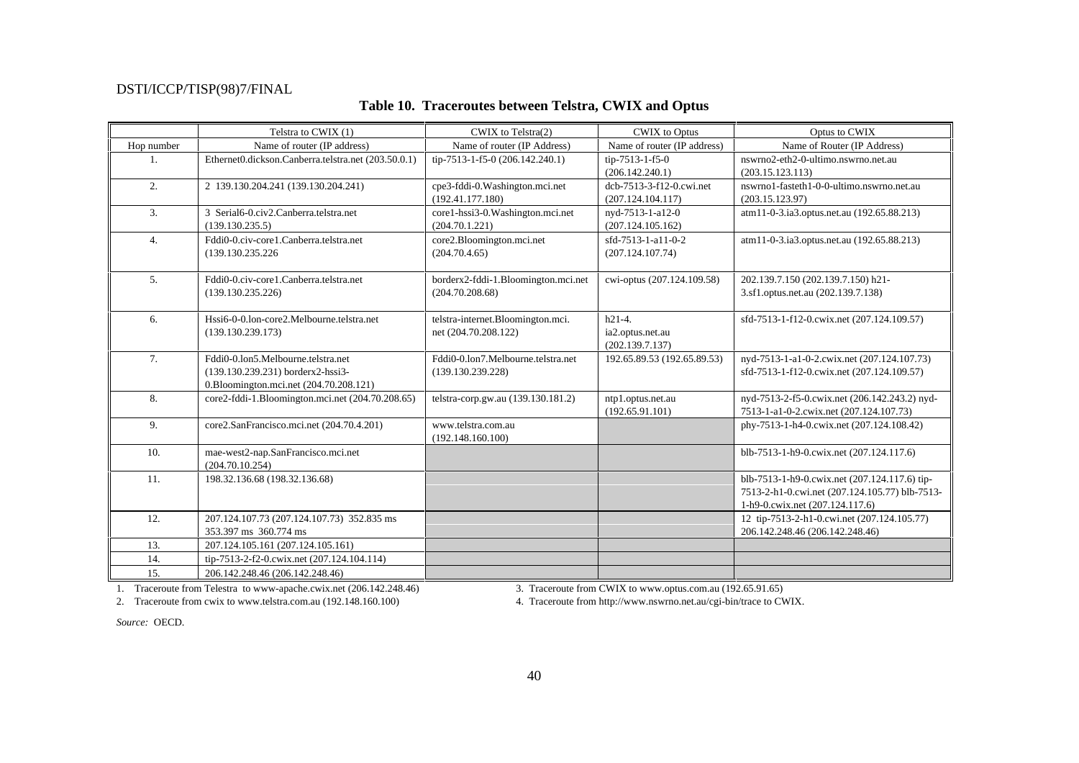|            | Telstra to CWIX (1)                                                 | CWIX to Telstra(2)                  | <b>CWIX</b> to Optus        | Optus to CWIX                                  |
|------------|---------------------------------------------------------------------|-------------------------------------|-----------------------------|------------------------------------------------|
| Hop number | Name of router (IP address)                                         | Name of router (IP Address)         | Name of router (IP address) | Name of Router (IP Address)                    |
| $1_{-}$    | Ethernet0.dickson.Canberra.telstra.net (203.50.0.1)                 | tip-7513-1-f5-0 (206.142.240.1)     | tip-7513-1-f5-0             | nswrno2-eth2-0-ultimo.nswrno.net.au            |
|            |                                                                     |                                     | (206.142.240.1)             | (203.15.123.113)                               |
| 2.         | 2 139.130.204.241 (139.130.204.241)                                 | cpe3-fddi-0.Washington.mci.net      | dcb-7513-3-f12-0.cwi.net    | nswrno1-fasteth1-0-0-ultimo.nswrno.net.au      |
|            |                                                                     | (192.41.177.180)                    | (207.124.104.117)           | (203.15.123.97)                                |
| 3.         | 3 Serial6-0.civ2.Canberra.telstra.net                               | core1-hssi3-0.Washington.mci.net    | nyd-7513-1-a12-0            | atm11-0-3.ia3.optus.net.au (192.65.88.213)     |
|            | (139.130.235.5)                                                     | (204.70.1.221)                      | (207.124.105.162)           |                                                |
| 4.         | Fddi0-0.civ-core1.Canberra.telstra.net                              | core2.Bloomington.mci.net           | sfd-7513-1-a11-0-2          | atm11-0-3.ia3.optus.net.au (192.65.88.213)     |
|            | (139.130.235.226)                                                   | (204.70.4.65)                       | (207.124.107.74)            |                                                |
|            |                                                                     |                                     |                             |                                                |
| 5.         | Fddi0-0.civ-core1.Canberra.telstra.net                              | borderx2-fddi-1.Bloomington.mci.net | cwi-optus (207.124.109.58)  | 202.139.7.150 (202.139.7.150) h21-             |
|            | (139.130.235.226)                                                   | (204.70.208.68)                     |                             | 3.sf1.optus.net.au (202.139.7.138)             |
|            |                                                                     |                                     |                             |                                                |
| 6.         | Hssi6-0-0.lon-core2.Melbourne.telstra.net                           | telstra-internet.Bloomington.mci.   | $h21-4.$                    | sfd-7513-1-f12-0.cwix.net (207.124.109.57)     |
|            | (139.130.239.173)                                                   | net (204.70.208.122)                | ia2.optus.net.au            |                                                |
|            |                                                                     |                                     | (202.139.7.137)             |                                                |
| 7.         | Fddi0-0.lon5.Melbourne.telstra.net                                  | Fddi0-0.1on7.Melbourne.telstra.net  | 192.65.89.53 (192.65.89.53) | nyd-7513-1-a1-0-2.cwix.net (207.124.107.73)    |
|            | (139.130.239.231) borderx2-hssi3-                                   | (139.130.239.228)                   |                             | sfd-7513-1-f12-0.cwix.net (207.124.109.57)     |
|            | 0.Bloomington.mci.net (204.70.208.121)                              |                                     |                             |                                                |
| 8.         | core2-fddi-1.Bloomington.mci.net (204.70.208.65)                    | telstra-corp.gw.au (139.130.181.2)  | ntp1.optus.net.au           | nyd-7513-2-f5-0.cwix.net (206.142.243.2) nyd-  |
|            |                                                                     |                                     | (192.65.91.101)             | 7513-1-a1-0-2.cwix.net (207.124.107.73)        |
| 9.         | core2.SanFrancisco.mci.net (204.70.4.201)                           | www.telstra.com.au                  |                             | phy-7513-1-h4-0.cwix.net (207.124.108.42)      |
|            |                                                                     | (192.148.160.100)                   |                             |                                                |
| 10.        | mae-west2-nap.SanFrancisco.mci.net                                  |                                     |                             | blb-7513-1-h9-0.cwix.net (207.124.117.6)       |
|            | (204.70.10.254)                                                     |                                     |                             |                                                |
| 11.        | 198.32.136.68 (198.32.136.68)                                       |                                     |                             | blb-7513-1-h9-0.cwix.net (207.124.117.6) tip-  |
|            |                                                                     |                                     |                             | 7513-2-h1-0.cwi.net (207.124.105.77) blb-7513- |
| 12.        |                                                                     |                                     |                             | 1-h9-0.cwix.net (207.124.117.6)                |
|            | 207.124.107.73 (207.124.107.73) 352.835 ms<br>353.397 ms 360.774 ms |                                     |                             | 12 tip-7513-2-h1-0.cwi.net (207.124.105.77)    |
| 13.        |                                                                     |                                     |                             | 206.142.248.46 (206.142.248.46)                |
|            | 207.124.105.161 (207.124.105.161)                                   |                                     |                             |                                                |
| 14.        | tip-7513-2-f2-0.cwix.net (207.124.104.114)                          |                                     |                             |                                                |
| 15.        | 206.142.248.46 (206.142.248.46)                                     |                                     |                             |                                                |

## **Table 10. Traceroutes between Telstra, CWIX and Optus**

1. Traceroute from Telestra to www-apache.cwix.net (206.142.248.46) 3. Traceroute from CWIX to www.optus.com.au (192.65.91.65)<br>2. Traceroute from cwix to www.telstra.com.au (192.148.160.100) 4. Traceroute from http://www.n

4. Traceroute from http://www.nswrno.net.au/cgi-bin/trace to CWIX.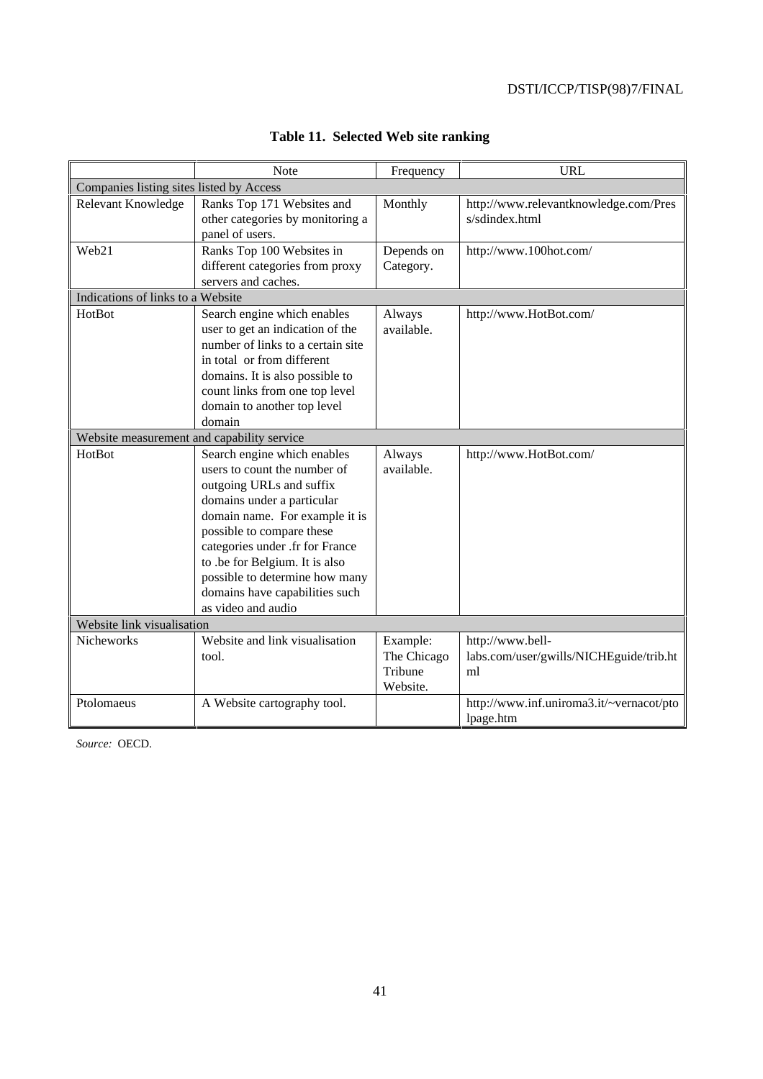|                                            | Note                              | Frequency   | <b>URL</b>                               |
|--------------------------------------------|-----------------------------------|-------------|------------------------------------------|
| Companies listing sites listed by Access   |                                   |             |                                          |
| Relevant Knowledge                         | Ranks Top 171 Websites and        | Monthly     | http://www.relevantknowledge.com/Pres    |
|                                            | other categories by monitoring a  |             | s/sdindex.html                           |
|                                            | panel of users.                   |             |                                          |
| Web21                                      | Ranks Top 100 Websites in         | Depends on  | http://www.100hot.com/                   |
|                                            | different categories from proxy   | Category.   |                                          |
|                                            | servers and caches.               |             |                                          |
| Indications of links to a Website          |                                   |             |                                          |
| HotBot                                     | Search engine which enables       | Always      | http://www.HotBot.com/                   |
|                                            | user to get an indication of the  | available.  |                                          |
|                                            | number of links to a certain site |             |                                          |
|                                            | in total or from different        |             |                                          |
|                                            | domains. It is also possible to   |             |                                          |
|                                            | count links from one top level    |             |                                          |
|                                            | domain to another top level       |             |                                          |
|                                            | domain                            |             |                                          |
| Website measurement and capability service |                                   |             |                                          |
| HotBot                                     | Search engine which enables       | Always      | http://www.HotBot.com/                   |
|                                            | users to count the number of      | available.  |                                          |
|                                            | outgoing URLs and suffix          |             |                                          |
|                                            | domains under a particular        |             |                                          |
|                                            | domain name. For example it is    |             |                                          |
|                                            | possible to compare these         |             |                                          |
|                                            | categories under .fr for France   |             |                                          |
|                                            | to .be for Belgium. It is also    |             |                                          |
|                                            | possible to determine how many    |             |                                          |
|                                            | domains have capabilities such    |             |                                          |
|                                            | as video and audio                |             |                                          |
| Website link visualisation                 |                                   |             |                                          |
| Nicheworks                                 | Website and link visualisation    | Example:    | http://www.bell-                         |
|                                            | tool.                             | The Chicago | labs.com/user/gwills/NICHEguide/trib.ht  |
|                                            |                                   | Tribune     | ml                                       |
|                                            |                                   | Website.    |                                          |
| Ptolomaeus                                 | A Website cartography tool.       |             | http://www.inf.uniroma3.it/~vernacot/pto |
|                                            |                                   |             | lpage.htm                                |

# **Table 11. Selected Web site ranking**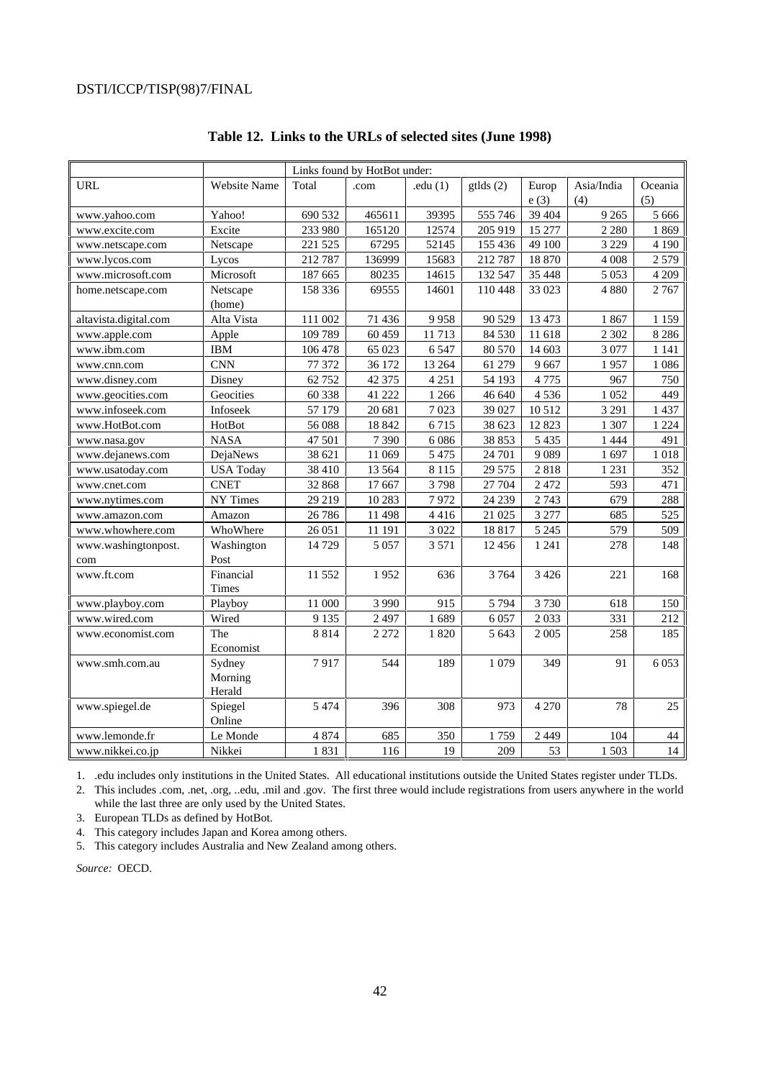|                       | Links found by HotBot under: |         |         |            |          |         |            |         |  |  |
|-----------------------|------------------------------|---------|---------|------------|----------|---------|------------|---------|--|--|
| <b>URL</b>            | <b>Website Name</b>          | Total   | .com    | .edu $(1)$ | gtlds(2) | Europ   | Asia/India | Oceania |  |  |
|                       |                              |         |         |            |          | e(3)    | (4)        | (5)     |  |  |
| www.yahoo.com         | Yahoo!                       | 690 532 | 465611  | 39395      | 555 746  | 39 404  | 9 2 6 5    | 5 6 6 6 |  |  |
| www.excite.com        | Excite                       | 233 980 | 165120  | 12574      | 205 919  | 15 277  | 2 2 8 0    | 1869    |  |  |
| www.netscape.com      | Netscape                     | 221 525 | 67295   | 52145      | 155 436  | 49 100  | 3 2 2 9    | 4 1 9 0 |  |  |
| www.lycos.com         | Lycos                        | 212787  | 136999  | 15683      | 212 787  | 18 870  | 4 0 0 8    | 2579    |  |  |
| www.microsoft.com     | Microsoft                    | 187 665 | 80235   | 14615      | 132 547  | 35 448  | 5 0 5 3    | 4 2 0 9 |  |  |
| home.netscape.com     | Netscape                     | 158 336 | 69555   | 14601      | 110 448  | 33 023  | 4 8 8 0    | 2767    |  |  |
|                       | (home)                       |         |         |            |          |         |            |         |  |  |
| altavista.digital.com | Alta Vista                   | 111 002 | 71 436  | 9958       | 90 529   | 13 473  | 1867       | 1 1 5 9 |  |  |
| www.apple.com         | Apple                        | 109 789 | 60 459  | 11713      | 84 530   | 11 618  | 2 3 0 2    | 8 2 8 6 |  |  |
| www.ibm.com           | <b>IBM</b>                   | 106 478 | 65 023  | 6547       | 80 570   | 14 603  | 3 0 7 7    | 1 1 4 1 |  |  |
| www.cnn.com           | <b>CNN</b>                   | 77 372  | 36 172  | 13 264     | 61 279   | 9667    | 1957       | 1086    |  |  |
| www.disney.com        | Disney                       | 62 752  | 42 375  | 4 2 5 1    | 54 193   | 4775    | 967        | 750     |  |  |
| www.geocities.com     | Geocities                    | 60 338  | 41 222  | 1 2 6 6    | 46 640   | 4536    | 1052       | 449     |  |  |
| www.infoseek.com      | Infoseek                     | 57 179  | 20 681  | 7023       | 39 027   | 10 5 12 | 3 2 9 1    | 1 4 3 7 |  |  |
| www.HotBot.com        | HotBot                       | 56 088  | 18 842  | 6715       | 38 623   | 12823   | 1 307      | 1 2 2 4 |  |  |
| www.nasa.gov          | <b>NASA</b>                  | 47 501  | 7 3 9 0 | 6086       | 38 853   | 5 4 3 5 | 1 4 4 4    | 491     |  |  |
| www.dejanews.com      | DejaNews                     | 38 621  | 11 069  | 5 4 7 5    | 24 701   | 9089    | 1697       | 1018    |  |  |
| www.usatoday.com      | <b>USA Today</b>             | 38 410  | 13 5 64 | 8 1 1 5    | 29 5 7 5 | 2818    | 1 2 3 1    | 352     |  |  |
| www.cnet.com          | <b>CNET</b>                  | 32 868  | 17 667  | 3798       | 27 704   | 2 4 7 2 | 593        | 471     |  |  |
| www.nytimes.com       | NY Times                     | 29 219  | 10 283  | 7972       | 24 239   | 2743    | 679        | 288     |  |  |
| www.amazon.com        | Amazon                       | 26 78 6 | 11 498  | 4416       | 21 025   | 3 2 7 7 | 685        | 525     |  |  |
| www.whowhere.com      | WhoWhere                     | 26 051  | 11 191  | 3 0 2 2    | 18817    | 5 2 4 5 | 579        | 509     |  |  |
| www.washingtonpost.   | Washington                   | 14729   | 5 0 5 7 | 3 5 7 1    | 12 4 5 6 | 1 2 4 1 | 278        | 148     |  |  |
| com                   | Post                         |         |         |            |          |         |            |         |  |  |
| www.ft.com            | Financial                    | 11 552  | 1952    | 636        | 3764     | 3 4 2 6 | 221        | 168     |  |  |
|                       | Times                        |         |         |            |          |         |            |         |  |  |
| www.playboy.com       | Playboy                      | 11 000  | 3 9 9 0 | 915        | 5 7 9 4  | 3730    | 618        | 150     |  |  |
| www.wired.com         | Wired                        | 9 1 3 5 | 2 4 9 7 | 1689       | 6057     | 2033    | 331        | 212     |  |  |
| www.economist.com     | The                          | 8814    | 2 2 7 2 | 1820       | 5 6 43   | 2 0 0 5 | 258        | 185     |  |  |
|                       | Economist                    |         |         |            |          |         |            |         |  |  |
| www.smh.com.au        | Sydney                       | 7917    | 544     | 189        | 1 0 7 9  | 349     | 91         | 6 0 5 3 |  |  |
|                       | Morning                      |         |         |            |          |         |            |         |  |  |
|                       | Herald                       |         |         |            |          |         |            |         |  |  |
| www.spiegel.de        | Spiegel                      | 5 4 7 4 | 396     | 308        | 973      | 4 2 7 0 | 78         | 25      |  |  |
|                       | Online                       |         |         |            |          |         |            |         |  |  |
| www.lemonde.fr        | Le Monde                     | 4 8 7 4 | 685     | 350        | 1759     | 2 4 4 9 | 104        | 44      |  |  |
| www.nikkei.co.jp      | Nikkei                       | 1831    | 116     | 19         | 209      | 53      | 1503       | 14      |  |  |

### **Table 12. Links to the URLs of selected sites (June 1998)**

1. .edu includes only institutions in the United States. All educational institutions outside the United States register under TLDs.

2. This includes .com, .net, .org, ..edu, .mil and .gov. The first three would include registrations from users anywhere in the world while the last three are only used by the United States.

3. European TLDs as defined by HotBot.

4. This category includes Japan and Korea among others.

5. This category includes Australia and New Zealand among others.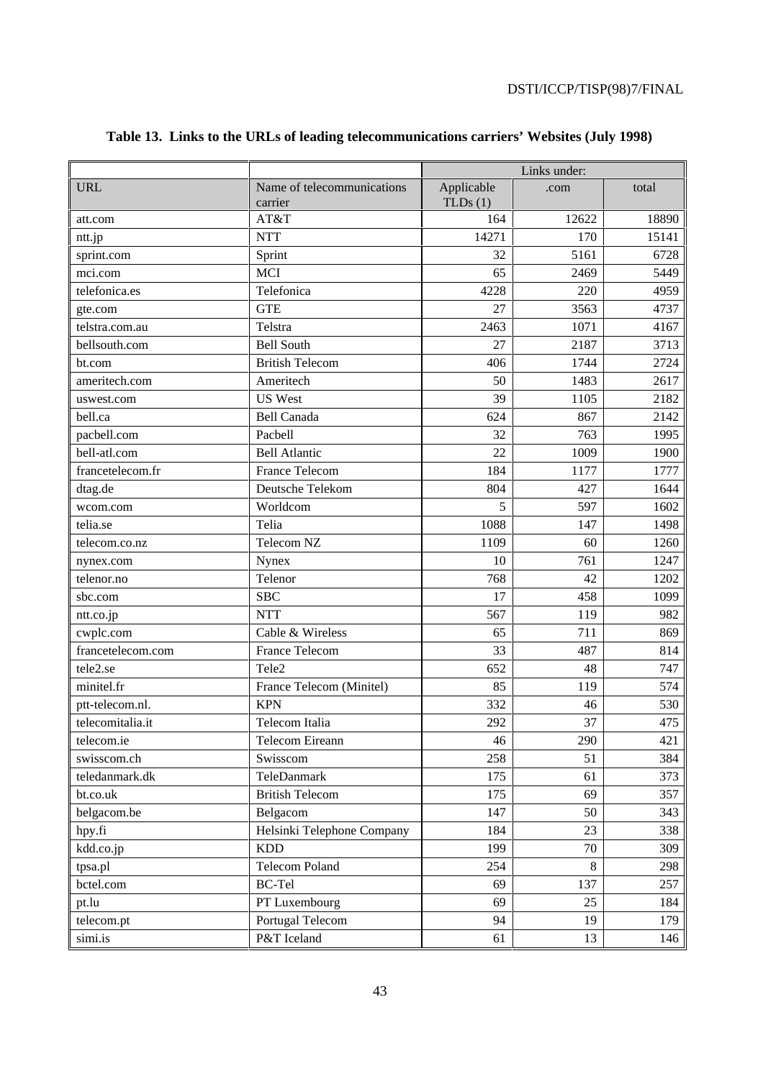|                   |                            | Links under: |       |       |  |  |  |  |  |
|-------------------|----------------------------|--------------|-------|-------|--|--|--|--|--|
| <b>URL</b>        | Name of telecommunications | Applicable   | .com  | total |  |  |  |  |  |
|                   | carrier                    | TLDs(1)      |       |       |  |  |  |  |  |
| att.com           | AT&T                       | 164          | 12622 | 18890 |  |  |  |  |  |
| ntt.jp            | <b>NTT</b>                 | 14271        | 170   | 15141 |  |  |  |  |  |
| sprint.com        | Sprint                     | 32           | 5161  | 6728  |  |  |  |  |  |
| mci.com           | <b>MCI</b>                 | 65           | 2469  | 5449  |  |  |  |  |  |
| telefonica.es     | Telefonica                 | 4228         | 220   | 4959  |  |  |  |  |  |
| gte.com           | <b>GTE</b>                 | 27           | 3563  | 4737  |  |  |  |  |  |
| telstra.com.au    | Telstra                    | 2463         | 1071  | 4167  |  |  |  |  |  |
| bellsouth.com     | <b>Bell South</b>          | 27           | 2187  | 3713  |  |  |  |  |  |
| bt.com            | <b>British Telecom</b>     | 406          | 1744  | 2724  |  |  |  |  |  |
| ameritech.com     | Ameritech                  | 50           | 1483  | 2617  |  |  |  |  |  |
| uswest.com        | <b>US West</b>             | 39           | 1105  | 2182  |  |  |  |  |  |
| bell.ca           | <b>Bell Canada</b>         | 624          | 867   | 2142  |  |  |  |  |  |
| pacbell.com       | Pacbell                    | 32           | 763   | 1995  |  |  |  |  |  |
| bell-atl.com      | <b>Bell Atlantic</b>       | 22           | 1009  | 1900  |  |  |  |  |  |
| francetelecom.fr  | <b>France Telecom</b>      | 184          | 1177  | 1777  |  |  |  |  |  |
| dtag.de           | Deutsche Telekom           | 804          | 427   | 1644  |  |  |  |  |  |
| wcom.com          | Worldcom                   | 5            | 597   | 1602  |  |  |  |  |  |
| telia.se          | Telia                      | 1088         | 147   | 1498  |  |  |  |  |  |
| telecom.co.nz     | Telecom NZ                 | 1109         | 60    | 1260  |  |  |  |  |  |
| nynex.com         | Nynex                      | 10           | 761   | 1247  |  |  |  |  |  |
| telenor.no        | Telenor                    | 768          | 42    | 1202  |  |  |  |  |  |
| sbc.com           | <b>SBC</b>                 | 17           | 458   | 1099  |  |  |  |  |  |
| ntt.co.jp         | <b>NTT</b>                 | 567          | 119   | 982   |  |  |  |  |  |
| cwplc.com         | Cable & Wireless           | 65           | 711   | 869   |  |  |  |  |  |
| francetelecom.com | <b>France Telecom</b>      | 33           | 487   | 814   |  |  |  |  |  |
| tele2.se          | Tele2                      | 652          | 48    | 747   |  |  |  |  |  |
| minitel.fr        | France Telecom (Minitel)   | 85           | 119   | 574   |  |  |  |  |  |
| ptt-telecom.nl.   | <b>KPN</b>                 | 332          | 46    | 530   |  |  |  |  |  |
| telecomitalia.it  | Telecom Italia             | 292          | 37    | 475   |  |  |  |  |  |
| telecom.ie        | Telecom Eireann            | 46           | 290   | 421   |  |  |  |  |  |
| swisscom.ch       | Swisscom                   | 258          | 51    | 384   |  |  |  |  |  |
| teledanmark.dk    | TeleDanmark                | 175          | 61    | 373   |  |  |  |  |  |
| bt.co.uk          | <b>British Telecom</b>     | 175          | 69    | 357   |  |  |  |  |  |
| belgacom.be       | Belgacom                   | 147          | 50    | 343   |  |  |  |  |  |
| hpy.fi            | Helsinki Telephone Company | 184          | 23    | 338   |  |  |  |  |  |
| kdd.co.jp         | <b>KDD</b>                 | 199          | 70    | 309   |  |  |  |  |  |
| tpsa.pl           | <b>Telecom Poland</b>      | 254          | 8     | 298   |  |  |  |  |  |
| bctel.com         | <b>BC-Tel</b>              | 69           | 137   | 257   |  |  |  |  |  |
| pt.lu             | PT Luxembourg              | 69           | 25    | 184   |  |  |  |  |  |
| telecom.pt        | Portugal Telecom           | 94           | 19    | 179   |  |  |  |  |  |
| simi.is           | P&T Iceland                | 61           | 13    | 146   |  |  |  |  |  |
|                   |                            |              |       |       |  |  |  |  |  |

# **Table 13. Links to the URLs of leading telecommunications carriers' Websites (July 1998)**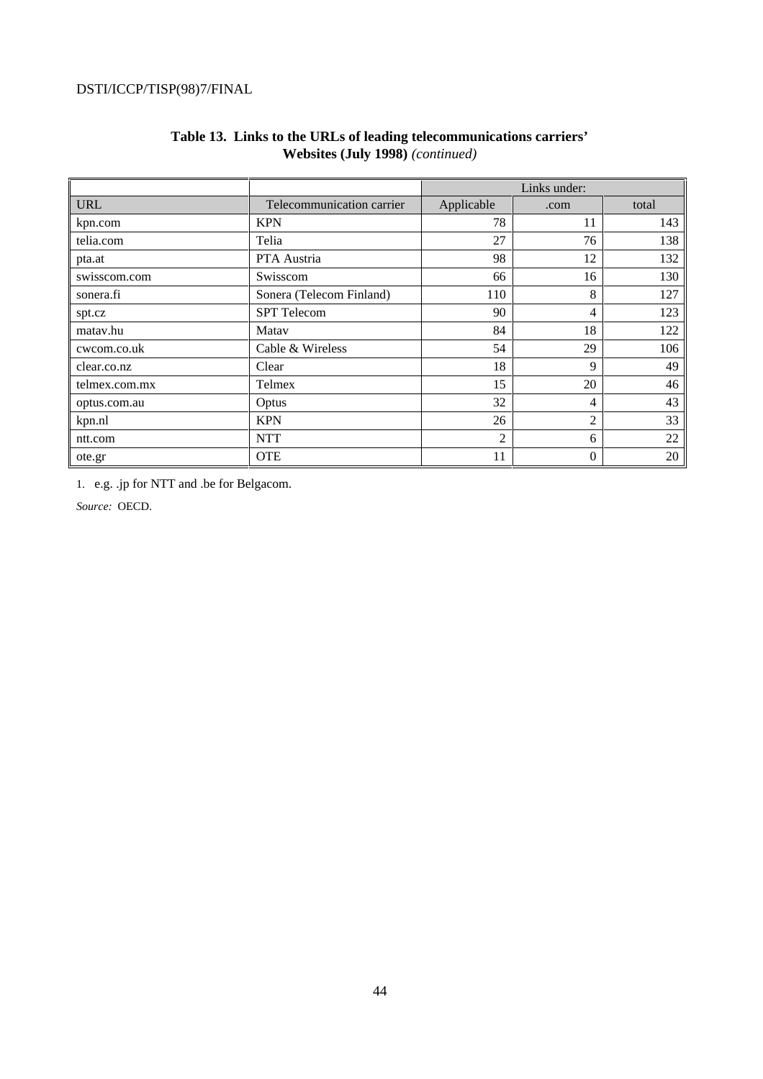|               |                           |                | Links under:   |       |
|---------------|---------------------------|----------------|----------------|-------|
| <b>URL</b>    | Telecommunication carrier | Applicable     | .com           | total |
| kpn.com       | <b>KPN</b>                | 78             | 11             | 143   |
| telia.com     | Telia                     | 27             | 76             | 138   |
| pta.at        | PTA Austria               | 98             | 12             | 132   |
| swisscom.com  | Swisscom                  | 66             | 16             | 130   |
| sonera.fi     | Sonera (Telecom Finland)  | 110            | 8              | 127   |
| spt.cz        | <b>SPT</b> Telecom        | 90             | 4              | 123   |
| matav.hu      | Matav                     | 84             | 18             | 122   |
| cwcom.co.uk   | Cable & Wireless          | 54             | 29             | 106   |
| clear.co.nz   | Clear                     | 18             | 9              | 49    |
| telmex.com.mx | Telmex                    | 15             | 20             | 46    |
| optus.com.au  | Optus                     | 32             | 4              | 43    |
| kpn.nl        | <b>KPN</b>                | 26             | $\overline{c}$ | 33    |
| ntt.com       | <b>NTT</b>                | $\overline{2}$ | 6              | 22    |
| ote.gr        | <b>OTE</b>                | 11             | $\theta$       | 20    |

# **Table 13. Links to the URLs of leading telecommunications carriers' Websites (July 1998)** *(continued)*

1. e.g. .jp for NTT and .be for Belgacom.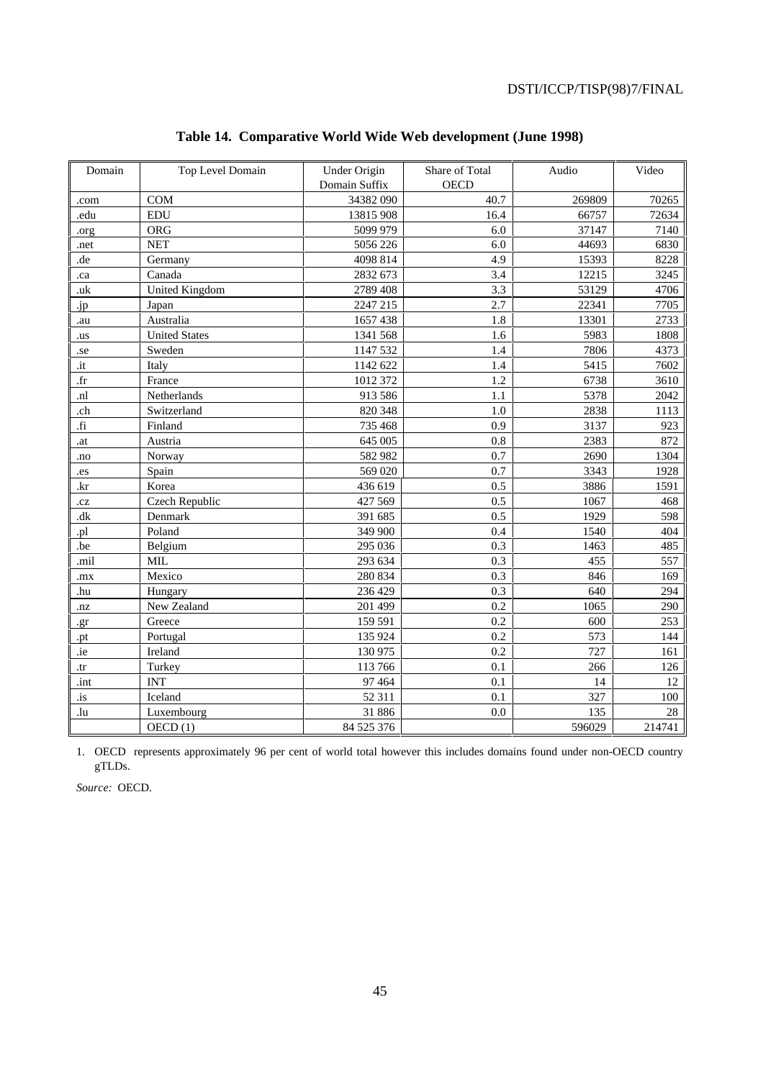| Domain         | Top Level Domain     | <b>Under Origin</b> | Share of Total | Audio  | Video  |
|----------------|----------------------|---------------------|----------------|--------|--------|
|                |                      | Domain Suffix       | <b>OECD</b>    |        |        |
| .com           | <b>COM</b>           | 34382 090           | 40.7           | 269809 | 70265  |
| .edu           | <b>EDU</b>           | 13815 908           | 16.4           | 66757  | 72634  |
| .org           | ORG                  | 5099 979            | 6.0            | 37147  | 7140   |
| .net           | <b>NET</b>           | 5056 226            | 6.0            | 44693  | 6830   |
| .de            | Germany              | 4098 814            | 4.9            | 15393  | 8228   |
| .ca            | Canada               | 2832 673            | 3.4            | 12215  | 3245   |
| .uk            | United Kingdom       | 2789 408            | 3.3            | 53129  | 4706   |
| .jp            | Japan                | 2247 215            | 2.7            | 22341  | 7705   |
| .au            | Australia            | 1657 438            | 1.8            | 13301  | 2733   |
| .us            | <b>United States</b> | 1341 568            | 1.6            | 5983   | 1808   |
| .se            | Sweden               | 1147 532            | 1.4            | 7806   | 4373   |
| .it            | Italy                | 1142 622            | 1.4            | 5415   | 7602   |
| $.$ fr         | France               | 1012 372            | 1.2            | 6738   | 3610   |
| .nl            | Netherlands          | 913 586             | 1.1            | 5378   | 2042   |
| .ch            | Switzerland          | 820 348             | 1.0            | 2838   | 1113   |
| $\overline{f}$ | Finland              | 735 468             | 0.9            | 3137   | 923    |
| .at            | Austria              | 645 005             | 0.8            | 2383   | 872    |
| .no            | Norway               | 582 982             | 0.7            | 2690   | 1304   |
| .es            | Spain                | 569 020             | 0.7            | 3343   | 1928   |
| .kr            | Korea                | 436 619             | 0.5            | 3886   | 1591   |
| .cz            | Czech Republic       | 427 569             | 0.5            | 1067   | 468    |
| dk             | Denmark              | 391 685             | 0.5            | 1929   | 598    |
| .pl            | Poland               | 349 900             | 0.4            | 1540   | 404    |
| .be            | Belgium              | 295 036             | 0.3            | 1463   | 485    |
| .mil           | <b>MIL</b>           | 293 634             | 0.3            | 455    | 557    |
| .mx            | Mexico               | 280 834             | 0.3            | 846    | 169    |
| .hu            | Hungary              | 236 429             | 0.3            | 640    | 294    |
| .nz            | New Zealand          | 201 499             | 0.2            | 1065   | 290    |
| .gr            | Greece               | 159 591             | 0.2            | 600    | 253    |
| .pt            | Portugal             | 135 924             | 0.2            | 573    | 144    |
| .ie            | Ireland              | 130 975             | 0.2            | 727    | 161    |
| .tr            | Turkey               | 113 766             | 0.1            | 266    | 126    |
| .int           | <b>INT</b>           | 97 4 64             | 0.1            | 14     | 12     |
| .is            | Iceland              | 52 311              | 0.1            | 327    | 100    |
| .lu            | Luxembourg           | 31 886              | 0.0            | 135    | 28     |
|                | OECD(1)              | 84 525 376          |                | 596029 | 214741 |

# **Table 14. Comparative World Wide Web development (June 1998)**

1. OECD represents approximately 96 per cent of world total however this includes domains found under non-OECD country gTLDs.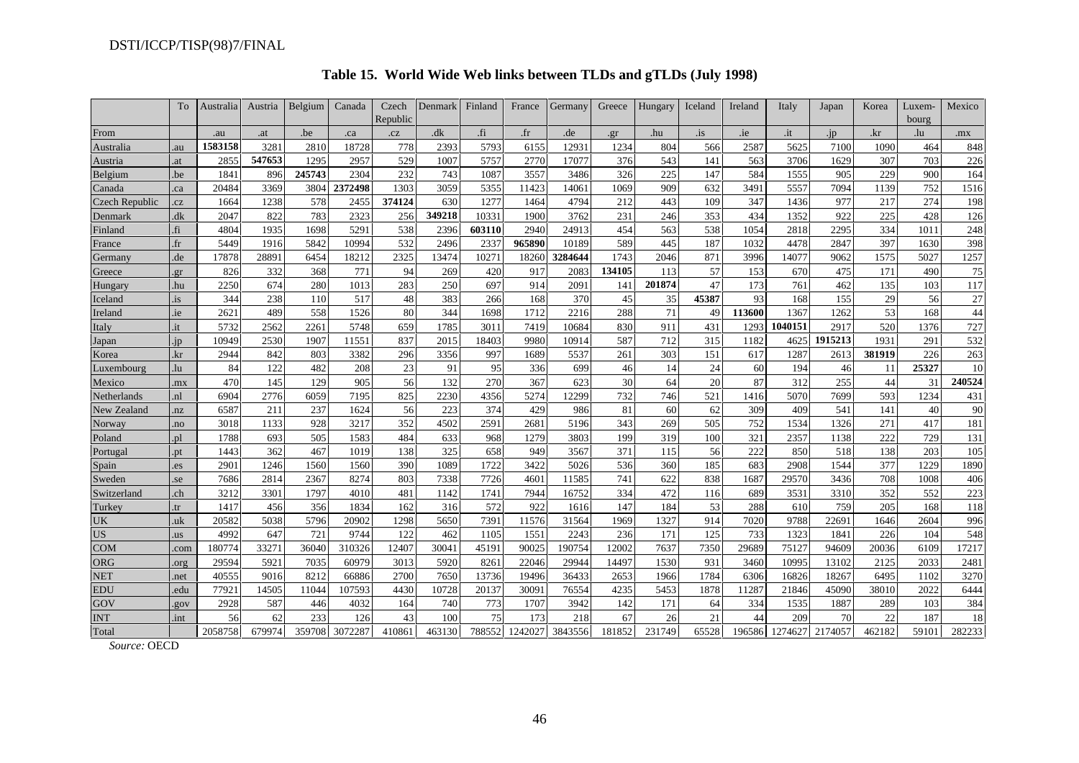|                       | To          | Australia | Austria | Belgium | Canada  | Czech<br>Republic | Denmark | Finland | France      | Germany | Greece | Hungary | Iceland       | Ireland | Italy   | Japan          | Korea  | Luxem<br>bourg | Mexico |
|-----------------------|-------------|-----------|---------|---------|---------|-------------------|---------|---------|-------------|---------|--------|---------|---------------|---------|---------|----------------|--------|----------------|--------|
| From                  |             | .au       | .at     | .be     | .ca     | .cz               | .dk     | fi.     | $_{\rm fr}$ | .de     | er     | .hu     | $\frac{1}{1}$ | .ie     | .it     | 1 <sub>D</sub> | .kr    | .lu            | .mx    |
| Australia             | .au         | 1583158   | 3281    | 2810    | 18728   | 778               | 2393    | 5793    | 6155        | 12931   | 1234   | 804     | 566           | 2587    | 5625    | 7100           | 1090   | 464            | 848    |
| Austria               | .at         | 2855      | 547653  | 1295    | 2957    | 529               | 1007    | 5757    | 2770        | 17077   | 376    | 543     | 141           | 563     | 3706    | 1629           | 307    | 703            | 226    |
| Belgium               | .be         | 1841      | 896     | 245743  | 2304    | 232               | 743     | 1087    | 3557        | 3486    | 326    | 225     | 147           | 584     | 1555    | 905            | 229    | 900            | 164    |
| Canada                | .ca         | 20484     | 3369    | 3804    | 2372498 | 1303              | 3059    | 5355    | 11423       | 14061   | 1069   | 909     | 632           | 3491    | 5557    | 7094           | 1139   | 752            | 1516   |
| <b>Czech Republic</b> | .cz         | 1664      | 1238    | 578     | 2455    | 374124            | 630     | 1277    | 1464        | 4794    | 212    | 443     | 109           | 347     | 1436    | 977            | 217    | 274            | 198    |
| Denmark               | dk          | 2047      | 822     | 783     | 2323    | 256               | 349218  | 10331   | 1900        | 3762    | 231    | 246     | 353           | 434     | 1352    | 922            | 225    | 428            | 126    |
| Finland               | .fi         | 4804      | 1935    | 1698    | 5291    | 538               | 2396    | 603110  | 2940        | 24913   | 454    | 563     | 538           | 1054    | 2818    | 2295           | 334    | 1011           | 248    |
| France                | $_{\rm fr}$ | 5449      | 1916    | 5842    | 10994   | 532               | 2496    | 2337    | 965890      | 10189   | 589    | 445     | 187           | 1032    | 4478    | 2847           | 397    | 1630           | 398    |
| Germany               | .de         | 17878     | 28891   | 6454    | 18212   | 2325              | 13474   | 10271   | 18260       | 3284644 | 1743   | 2046    | 871           | 3996    | 14077   | 9062           | 1575   | 5027           | 1257   |
| Greece                | gr          | 826       | 332     | 368     | 771     | 94                | 269     | 420     | 917         | 2083    | 134105 | 113     | 57            | 153     | 670     | 475            | 171    | 490            | 75     |
| Hungary               | hu          | 2250      | 674     | 280     | 1013    | 283               | 250     | 697     | 914         | 2091    | 141    | 201874  | 47            | 173     | 761     | 462            | 135    | 103            | 117    |
| Iceland               | .is         | 344       | 238     | 110     | 517     | 48                | 383     | 266     | 168         | 370     | 45     | 35      | 45387         | 93      | 168     | 155            | 29     | 56             | 27     |
| Ireland               | ie          | 2621      | 489     | 558     | 1526    | 80                | 344     | 1698    | 1712        | 2216    | 288    | 71      | 49            | 113600  | 1367    | 1262           | 53     | 168            | 44     |
| Italy                 | it          | 5732      | 2562    | 2261    | 5748    | 659               | 1785    | 3011    | 7419        | 10684   | 830    | 911     | 431           | 1293    | 1040151 | 2917           | 520    | 1376           | 727    |
| Japan                 | ip          | 10949     | 2530    | 1907    | 11551   | 837               | 2015    | 18403   | 9980        | 10914   | 587    | 712     | 315           | 1182    | 4625    | 1915213        | 1931   | 291            | 532    |
| Korea                 | .kr         | 2944      | 842     | 803     | 3382    | 296               | 3356    | 997     | 1689        | 5537    | 261    | 303     | 151           | 617     | 1287    | 2613           | 381919 | 226            | 263    |
| Luxembourg            | .lu         | 84        | 122     | 482     | 208     | 23                | 91      | 95      | 336         | 699     | 46     | 14      | 24            | 60      | 194     | 46             | 11     | 25327          | 10     |
| Mexico                | mx          | 470       | 145     | 129     | 905     | 56                | 132     | 270     | 367         | 623     | 30     | 64      | 20            | 87      | 312     | 255            | 44     | 31             | 240524 |
| Netherlands           | .nl         | 6904      | 2776    | 6059    | 7195    | 825               | 2230    | 4356    | 5274        | 12299   | 732    | 746     | 521           | 1416    | 5070    | 7699           | 593    | 1234           | 431    |
| New Zealand           | nz          | 6587      | 211     | 237     | 1624    | 56                | 223     | 374     | 429         | 986     | 81     | 60      | 62            | 309     | 409     | 541            | 141    | 40             | 90     |
| Norway                | no.         | 3018      | 1133    | 928     | 3217    | 352               | 4502    | 2591    | 2681        | 5196    | 343    | 269     | 505           | 752     | 1534    | 1326           | 271    | 417            | 181    |
| Poland                | .pl         | 1788      | 693     | 505     | 1583    | 484               | 633     | 968     | 1279        | 3803    | 199    | 319     | 100           | 321     | 2357    | 1138           | 222    | 729            | 131    |
| Portugal              | pt          | 1443      | 362     | 467     | 1019    | 138               | 325     | 658     | 949         | 3567    | 371    | 115     | 56            | 222     | 850     | 518            | 138    | 203            | 105    |
| Spain                 | .es         | 2901      | 1246    | 1560    | 1560    | 390               | 1089    | 1722    | 3422        | 5026    | 536    | 360     | 185           | 683     | 2908    | 1544           | 377    | 1229           | 1890   |
| Sweden                | se          | 7686      | 2814    | 2367    | 8274    | 803               | 7338    | 7726    | 4601        | 11585   | 741    | 622     | 838           | 1687    | 29570   | 3436           | 708    | 1008           | 406    |
| Switzerland           | .ch         | 3212      | 3301    | 1797    | 4010    | 481               | 1142    | 1741    | 7944        | 16752   | 334    | 472     | 116           | 689     | 3531    | 3310           | 352    | 552            | 223    |
| Turkey                | tr.         | 1417      | 456     | 356     | 1834    | 162               | 316     | 572     | 922         | 1616    | 147    | 184     | 53            | 288     | 610     | 759            | 205    | 168            | 118    |
| UK                    | uk          | 20582     | 5038    | 5796    | 20902   | 1298              | 5650    | 7391    | 11576       | 31564   | 1969   | 1327    | 914           | 7020    | 9788    | 22691          | 1646   | 2604           | 996    |
| <b>US</b>             | <b>us</b>   | 4992      | 647     | 721     | 9744    | 122               | 462     | 1105    | 1551        | 2243    | 236    | 171     | 125           | 733     | 1323    | 1841           | 226    | 104            | 548    |
| <b>COM</b>            | .com        | 180774    | 33271   | 36040   | 310326  | 12407             | 30041   | 4519    | 90025       | 190754  | 12002  | 7637    | 7350          | 29689   | 75127   | 94609          | 20036  | 6109           | 17217  |
| ORG                   | org         | 29594     | 5921    | 7035    | 60979   | 3013              | 5920    | 8261    | 22046       | 29944   | 14497  | 1530    | 931           | 3460    | 10995   | 13102          | 2125   | 2033           | 2481   |
| <b>NET</b>            | net         | 40555     | 9016    | 8212    | 66886   | 2700              | 7650    | 13736   | 19496       | 36433   | 2653   | 1966    | 1784          | 6306    | 16826   | 18267          | 6495   | 1102           | 3270   |
| <b>EDU</b>            | .edu        | 77921     | 14505   | 11044   | 107593  | 4430              | 10728   | 20137   | 30091       | 76554   | 4235   | 5453    | 1878          | 11287   | 21846   | 45090          | 38010  | 2022           | 6444   |
| $_{\rm GOV}$          | gov         | 2928      | 587     | 446     | 4032    | 164               | 740     | 773     | 1707        | 3942    | 142    | 171     | 64            | 334     | 1535    | 1887           | 289    | 103            | 384    |
| <b>INT</b>            | int         | 56        | 62      | 233     | 126     | 43                | 100     | 75      | 173         | 218     | 67     | 26      | 21            | 44      | 209     | 70             | 22     | 187            | 18     |
| Total                 |             | 2058758   | 679974  | 359708  | 3072287 | 410861            | 463130  | 788552  | 1242027     | 3843556 | 181852 | 231749  | 65528         | 196586  | 1274627 | 2174057        | 462182 | 59101          | 282233 |

# **Table 15. World Wide Web links between TLDs and gTLDs (July 1998)**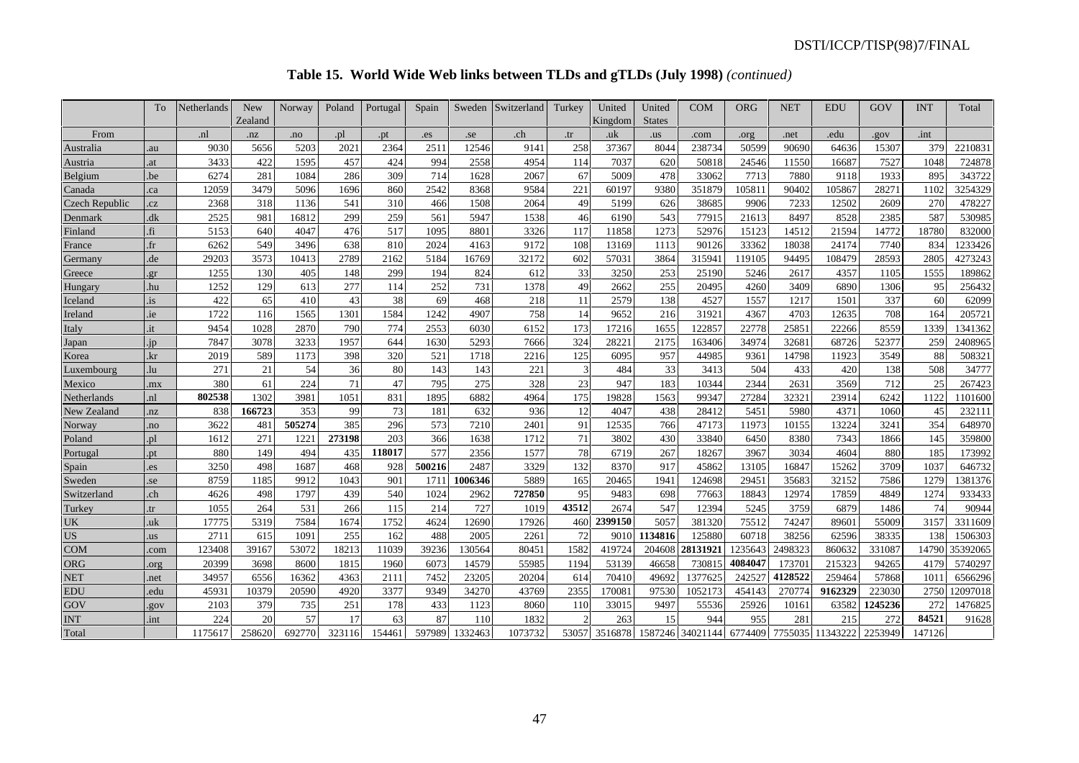# **Table 15. World Wide Web links between TLDs and gTLDs (July 1998)** *(continued)*

|                | To           | Netherlands | <b>New</b> | Norway | Poland | Portugal | Spain  | Sweden  | Switzerland | Turkey | United  | United        | <b>COM</b> | <b>ORG</b> | NET     | <b>EDU</b> | GOV     | <b>INT</b> | Total    |
|----------------|--------------|-------------|------------|--------|--------|----------|--------|---------|-------------|--------|---------|---------------|------------|------------|---------|------------|---------|------------|----------|
|                |              |             | Zealand    |        |        |          |        |         |             |        | Kingdom | <b>States</b> |            |            |         |            |         |            |          |
| From           |              | .nl         | .nz        | .no    | .pl    | .pt      | .es    | .se     | .ch         | .tr    | .uk     | .us           | .com       | .org       | .net    | .edu       | .gov    | .int       |          |
| Australia      | .au          | 9030        | 5656       | 5203   | 2021   | 2364     | 2511   | 12546   | 9141        | 258    | 37367   | 8044          | 238734     | 50599      | 90690   | 64636      | 15307   | 379        | 2210831  |
| Austria        | .at          | 3433        | 422        | 1595   | 457    | 424      | 994    | 2558    | 4954        | 114    | 7037    | 620           | 50818      | 24546      | 11550   | 16687      | 7527    | 1048       | 724878   |
| Belgium        | .be          | 6274        | 281        | 1084   | 286    | 309      | 714    | 1628    | 2067        | 67     | 5009    | 478           | 33062      | 7713       | 7880    | 9118       | 1933    | 895        | 343722   |
| Canada         | .ca          | 12059       | 3479       | 5096   | 1696   | 860      | 2542   | 8368    | 9584        | 221    | 60197   | 9380          | 351879     | 10581      | 90402   | 05867      | 28271   | 1102       | 3254329  |
| Czech Republic | .cz          | 2368        | 318        | 1136   | 541    | 310      | 466    | 1508    | 2064        | 49     | 5199    | 626           | 38685      | 9906       | 7233    | 12502      | 2609    | 270        | 478227   |
| Denmark        | .dk          | 2525        | 981        | 16812  | 299    | 259      | 561    | 5947    | 1538        | 46     | 6190    | 543           | 77915      | 21613      | 8497    | 8528       | 2385    | 587        | 530985   |
| Finland        | fi.          | 5153        | 640        | 4047   | 476    | 517      | 1095   | 8801    | 3326        | 117    | 11858   | 1273          | 52976      | 15123      | 14512   | 21594      | 14772   | 18780      | 832000   |
| France         | $_{\rm fr}$  | 6262        | 549        | 3496   | 638    | 810      | 2024   | 4163    | 9172        | 108    | 13169   | 1113          | 90126      | 33362      | 18038   | 24174      | 7740    | 834        | 1233426  |
| Germany        | .de          | 29203       | 3573       | 10413  | 2789   | 2162     | 5184   | 16769   | 32172       | 602    | 57031   | 3864          | 315941     | 119105     | 94495   | 108479     | 28593   | 2805       | 4273243  |
| Greece         | .gr          | 1255        | 130        | 405    | 148    | 299      | 194    | 824     | 612         | 33     | 3250    | 253           | 25190      | 5246       | 2617    | 4357       | 1105    | 1555       | 189862   |
| Hungary        | .hu          | 1252        | 129        | 613    | 277    | 114      | 252    | 731     | 1378        | 49     | 2662    | 255           | 20495      | 4260       | 3409    | 6890       | 1306    | 95         | 256432   |
| Iceland        | $\mathbf{a}$ | 422         | 65         | 410    | 43     | 38       | 69     | 468     | 218         | 11     | 2579    | 138           | 4527       | 1557       | 1217    | 1501       | 337     | 60         | 62099    |
| Ireland        | .ie          | 1722        | 116        | 1565   | 1301   | 1584     | 1242   | 4907    | 758         | 14     | 9652    | 216           | 31921      | 4367       | 4703    | 12635      | 708     | 164        | 205721   |
| Italy          | .it          | 9454        | 1028       | 2870   | 790    | 774      | 2553   | 6030    | 6152        | 173    | 17216   | 1655          | 122857     | 22778      | 25851   | 22266      | 8559    | 1339       | 1341362  |
| Japan          | .jp          | 7847        | 3078       | 3233   | 1957   | 644      | 1630   | 5293    | 7666        | 324    | 28221   | 2175          | 163406     | 34974      | 32681   | 68726      | 52377   | 259        | 2408965  |
| Korea          | .kr          | 2019        | 589        | 1173   | 398    | 320      | 521    | 1718    | 2216        | 125    | 6095    | 957           | 44985      | 9361       | 14798   | 11923      | 3549    | 88         | 508321   |
| Luxembourg     | lu           | 271         | 21         | 54     | 36     | 80       | 143    | 143     | 221         |        | 484     | 33            | 3413       | 504        | 433     | 420        | 138     | 508        | 34777    |
| Mexico         | .mx          | 380         | 61         | 224    | 71     | 47       | 795    | 275     | 328         | 23     | 947     | 183           | 10344      | 2344       | 2631    | 3569       | 712     | 25         | 267423   |
| Netherlands    | .nl          | 802538      | 1302       | 3981   | 1051   | 831      | 1895   | 6882    | 4964        | 175    | 19828   | 1563          | 99347      | 27284      | 32321   | 23914      | 6242    | 1122       | 1101600  |
| New Zealand    | nz           | 838         | 166723     | 353    | 99     | 73       | 181    | 632     | 936         | 12     | 4047    | 438           | 28412      | 5451       | 5980    | 4371       | 1060    | 45         | 232111   |
| Norway         | .no          | 3622        | 481        | 505274 | 385    | 296      | 573    | 7210    | 2401        | 91     | 12535   | 766           | 47173      | 11973      | 10155   | 13224      | 3241    | 354        | 648970   |
| Poland         | .pl          | 1612        | 271        | 1221   | 273198 | 203      | 366    | 1638    | 1712        | 71     | 3802    | 430           | 33840      | 6450       | 8380    | 7343       | 1866    | 145        | 359800   |
| Portuga        | pt           | 880         | 149        | 494    | 435    | 118017   | 577    | 2356    | 1577        | 78     | 6719    | 267           | 18267      | 3967       | 3034    | 4604       | 880     | 185        | 173992   |
| Spain          | .es          | 3250        | 498        | 1687   | 468    | 928      | 500216 | 2487    | 3329        | 132    | 8370    | 917           | 45862      | 13105      | 16847   | 15262      | 3709    | 1037       | 646732   |
| Sweden         | se           | 8759        | 1185       | 9912   | 1043   | 901      | 1711   | 1006346 | 5889        | 165    | 20465   | 1941          | 124698     | 29451      | 35683   | 32152      | 7586    | 1279       | 1381376  |
| Switzerland    | .ch          | 4626        | 498        | 1797   | 439    | 540      | 1024   | 2962    | 727850      | 95     | 9483    | 698           | 77663      | 18843      | 12974   | 17859      | 4849    | 1274       | 933433   |
| Turkey         | .tr          | 1055        | 264        | 531    | 266    | 115      | 214    | 727     | 1019        | 43512  | 2674    | 547           | 12394      | 5245       | 3759    | 6879       | 1486    | 74         | 90944    |
| UK             | .uk          | 17775       | 5319       | 7584   | 1674   | 1752     | 4624   | 12690   | 17926       | 460    | 2399150 | 5057          | 381320     | 75512      | 74247   | 89601      | 55009   | 3157       | 3311609  |
| <b>US</b>      | us.          | 271         | 615        | 1091   | 255    | 162      | 488    | 2005    | 2261        | 72     | 9010    | 1134816       | 125880     | 60718      | 38256   | 62596      | 38335   | 138        | 1506303  |
| <b>COM</b>     | .com         | 123408      | 39167      | 53072  | 18213  | 11039    | 39236  | 130564  | 80451       | 1582   | 419724  | 204608        | 28131921   | 235643     | 2498323 | 860632     | 331087  | 14790      | 35392065 |
| ORG            | org          | 20399       | 3698       | 8600   | 1815   | 1960     | 6073   | 14579   | 55985       | 1194   | 53139   | 46658         | 730815     | 4084047    | 173701  | 215323     | 94265   | 4179       | 5740297  |
| <b>NET</b>     | .net         | 34957       | 6556       | 16362  | 4363   | 2111     | 7452   | 23205   | 20204       | 614    | 70410   | 4969.         | 1377625    | 24252      | 4128522 | 259464     | 57868   | 101        | 6566296  |
| <b>EDU</b>     | .edu         | 45931       | 10379      | 20590  | 4920   | 3377     | 9349   | 34270   | 43769       | 2355   | 170081  | 97530         | 1052173    | 454143     | 270774  | 9162329    | 223030  | 2750       | 12097018 |
| GOV            | gov          | 2103        | 379        | 735    | 251    | 178      | 433    | 1123    | 8060        | 110    | 33015   | 9497          | 55536      | 25926      | 10161   | 63582      | 1245236 | 272        | 1476825  |
| <b>INT</b>     | .int         | 224         | 20         | 57     | 17     | 63       | 87     | 110     | 1832        |        | 263     | 15            | 944        | 955        | 281     | 215        | 272     | 84521      | 91628    |
| Total          |              | 1175617     | 258620     | 692770 | 323116 | 154461   | 597989 | 1332463 | 1073732     | 53057  | 3516878 | 1587246       | 34021144   | 6774409    | 7755035 | 11343222   | 2253949 | 147126     |          |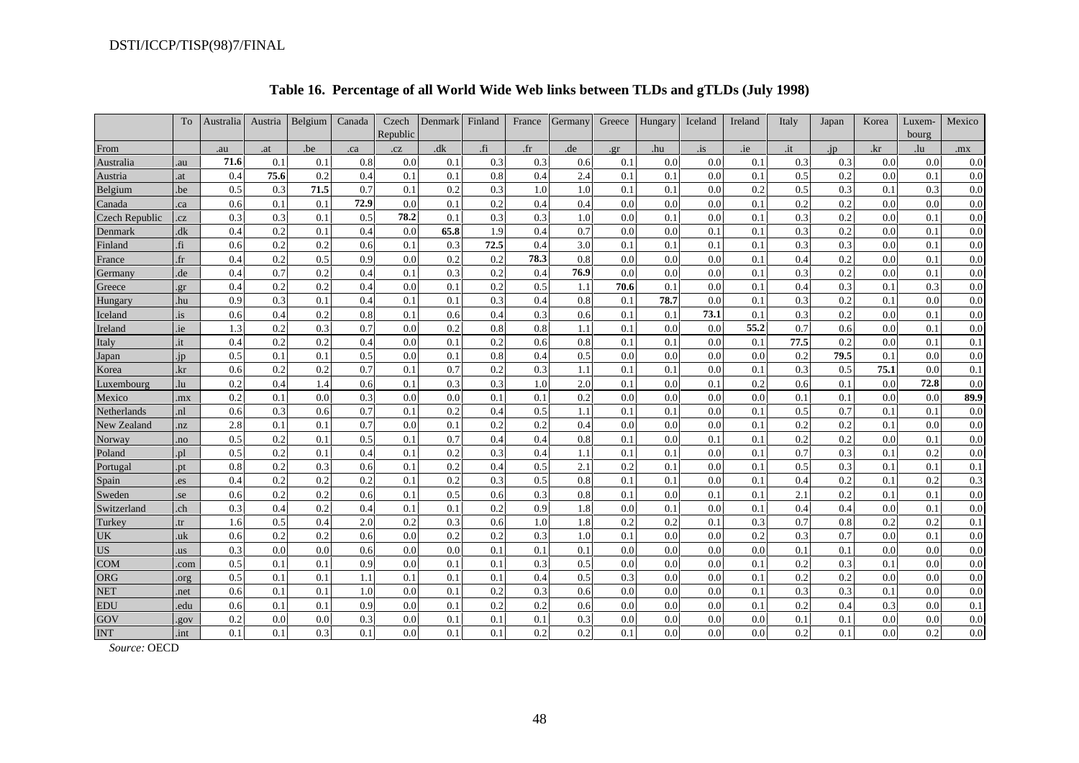|                | To                  | Australia | Austria | Belgium | Canada | Czech<br>Republic | Denmark | Finland        | France | Germany | Greece | Hungary | Iceland      | Ireland | Italy | Japan | Korea    | Luxem-<br>bourg | Mexico |
|----------------|---------------------|-----------|---------|---------|--------|-------------------|---------|----------------|--------|---------|--------|---------|--------------|---------|-------|-------|----------|-----------------|--------|
| From           |                     | .au       | .at     | .be     | .ca    | .cz               | dk      | $\mathbf{f}_1$ | $.$ fr | .de     | gr.    | .hu     | $\mathbf{a}$ | .ie     | .it   | .jp   | .kr      | .lu             | .mx    |
| Australia      | .au                 | 71.6      | 0.1     | 0.1     | 0.8    | 0.0               | 0.1     | 0.3            | 0.3    | 0.6     | 0.1    | 0.0     | 0.0          | 0.1     | 0.3   | 0.3   | 0.0      | 0.0             | 0.0    |
| Austria        | .at                 | 0.4       | 75.6    | 0.2     | 0.4    | 0.1               | 0.1     | 0.8            | 0.4    | 2.4     | 0.1    | 0.1     | 0.0          | 0.1     | 0.5   | 0.2   | 0.0      | 0.1             | 0.0    |
| Belgium        | .be                 | 0.5       | 0.3     | 71.5    | 0.7    | 0.1               | 0.2     | 0.3            | 1.0    | 1.0     | 0.1    | 0.1     | 0.0          | 0.2     | 0.5   | 0.3   | 0.1      | 0.3             | 0.0    |
| Canada         | .ca                 | 0.6       | 0.1     | 0.1     | 72.9   | 0.0               | 0.1     | 0.2            | 0.4    | 0.4     | 0.0    | 0.0     | 0.0          | 0.1     | 0.2   | 0.2   | 0.0      | 0.0             | 0.0    |
| Czech Republic | .cz                 | 0.3       | 0.3     | 0.1     | 0.5    | 78.2              | 0.1     | 0.3            | 0.3    | 1.0     | 0.0    | 0.1     | 0.0          | 0.1     | 0.3   | 0.2   | 0.0      | 0.1             | 0.0    |
| Denmark        | dk                  | 0.4       | 0.2     | 0.1     | 0.4    | 0.0               | 65.8    | 1.9            | 0.4    | 0.7     | 0.0    | 0.0     | 0.1          | 0.1     | 0.3   | 0.2   | 0.0      | 0.1             | 0.0    |
| Finland        | fi.                 | 0.6       | 0.2     | 0.2     | 0.6    | 0.1               | 0.3     | 72.5           | 0.4    | 3.0     | 0.1    | 0.1     | 0.1          | 0.1     | 0.3   | 0.3   | 0.0      | 0.1             | 0.0    |
| France         | $\operatorname{fr}$ | 0.4       | 0.2     | 0.5     | 0.9    | 0.0               | 0.2     | 0.2            | 78.3   | 0.8     | 0.0    | 0.0     | 0.0          | 0.1     | 0.4   | 0.2   | $_{0.0}$ | 0.1             | 0.0    |
| Germany        | .de                 | 0.4       | 0.7     | 0.2     | 0.4    | 0.1               | 0.3     | 0.2            | 0.4    | 76.9    | 0.0    | 0.0     | 0.0          | 0.1     | 0.3   | 0.2   | 0.0      | 0.1             | 0.0    |
| Greece         | er                  | 0.4       | 0.2     | 0.2     | 0.4    | 0.0               | 0.1     | 0.2            | 0.5    | 1.1     | 70.6   | 0.1     | 0.0          | 0.1     | 0.4   | 0.3   | 0.1      | 0.3             | 0.0    |
| Hungary        | .hu                 | 0.9       | 0.3     | 0.1     | 0.4    | 0.1               | 0.1     | 0.3            | 0.4    | 0.8     | 0.1    | 78.7    | 0.0          | 0.1     | 0.3   | 0.2   | 0.1      | 0.0             | 0.0    |
| Iceland        | .is                 | 0.6       | 0.4     | 0.2     | 0.8    | 0.1               | 0.6     | 0.4            | 0.3    | 0.6     | 0.1    | 0.1     | 73.1         | 0.1     | 0.3   | 0.2   | 0.0      | 0.1             | 0.0    |
| Ireland        | .ie                 | 1.3       | 0.2     | 0.3     | 0.7    | 0.0               | 0.2     | 0.8            | 0.8    | 1.1     | 0.1    | 0.0     | 0.0          | 55.2    | 0.7   | 0.6   | 0.0      | 0.1             | 0.0    |
| Italy          | .it                 | 0.4       | 0.2     | 0.2     | 0.4    | 0.0               | 0.1     | 0.2            | 0.6    | 0.8     | 0.1    | 0.1     | 0.0          | 0.1     | 77.5  | 0.2   | 0.0      | 0.1             | 0.1    |
| Japan          | .ip                 | 0.5       | 0.1     | 0.1     | 0.5    | 0.0               | 0.1     | 0.8            | 0.4    | 0.5     | 0.0    | 0.0     | 0.0          | 0.0     | 0.2   | 79.5  | 0.1      | 0.0             | 0.0    |
| Korea          | .kr                 | 0.6       | 0.2     | 0.2     | 0.7    | 0.1               | 0.7     | 0.2            | 0.3    | 1.1     | 0.1    | 0.1     | 0.0          | 0.1     | 0.3   | 0.5   | 75.1     | 0.0             | 0.1    |
| Luxembourg     | .lu                 | 0.2       | 0.4     | 1.4     | 0.6    | 0.1               | 0.3     | 0.3            | 1.0    | 2.0     | 0.1    | 0.0     | 0.1          | 0.2     | 0.6   | 0.1   | 0.0      | 72.8            | 0.0    |
| Mexico         | .mx                 | 0.2       | 0.1     | 0.0     | 0.3    | 0.0               | 0.0     | 0.1            | 0.1    | 0.2     | 0.0    | 0.0     | 0.0          | 0.0     | 0.1   | 0.1   | 0.0      | 0.0             | 89.9   |
| Netherlands    | .nl                 | 0.6       | 0.3     | 0.6     | 0.7    | 0.1               | 0.2     | 0.4            | 0.5    | 1.1     | 0.1    | 0.1     | 0.0          | 0.1     | 0.5   | 0.7   | 0.1      | 0.1             | 0.0    |
| New Zealand    | nz                  | 2.8       | 0.1     | 0.1     | 0.7    | 0.0               | 0.1     | 0.2            | 0.2    | 0.4     | 0.0    | 0.0     | 0.0          | 0.1     | 0.2   | 0.2   | 0.1      | 0.0             | 0.0    |
| Norway         | .no                 | 0.5       | 0.2     | 0.1     | 0.5    | 0.1               | 0.7     | 0.4            | 0.4    | 0.8     | 0.1    | 0.0     | 0.1          | 0.1     | 0.2   | 0.2   | 0.0      | 0.1             | 0.0    |
| Poland         | .pl                 | 0.5       | 0.2     | 0.1     | 0.4    | 0.1               | 0.2     | 0.3            | 0.4    | 1.1     | 0.1    | 0.1     | 0.0          | 0.1     | 0.7   | 0.3   | 0.1      | 0.2             | 0.0    |
| Portugal       | .pt                 | 0.8       | 0.2     | 0.3     | 0.6    | 0.1               | 0.2     | 0.4            | 0.5    | 2.1     | 0.2    | 0.1     | 0.0          | 0.1     | 0.5   | 0.3   | 0.1      | 0.1             | 0.1    |
| Spain          | .es                 | 0.4       | 0.2     | 0.2     | 0.2    | 0.1               | 0.2     | 0.3            | 0.5    | 0.8     | 0.1    | 0.1     | 0.0          | 0.1     | 0.4   | 0.2   | 0.1      | 0.2             | 0.3    |
| Sweden         | .se                 | 0.6       | 0.2     | 0.2     | 0.6    | 0.1               | 0.5     | 0.6            | 0.3    | 0.8     | 0.1    | 0.0     | 0.1          | 0.1     | 2.1   | 0.2   | 0.1      | 0.1             | 0.0    |
| Switzerland    | .ch                 | 0.3       | 0.4     | 0.2     | 0.4    | 0.1               | 0.1     | 0.2            | 0.9    | 1.8     | 0.0    | 0.1     | 0.0          | 0.1     | 0.4   | 0.4   | 0.0      | 0.1             | 0.0    |
| Turkey         | .tr                 | 1.6       | 0.5     | 0.4     | 2.0    | 0.2               | 0.3     | 0.6            | 1.0    | 1.8     | 0.2    | 0.2     | 0.1          | 0.3     | 0.7   | 0.8   | 0.2      | 0.2             | 0.1    |
| UK             | .uk                 | 0.6       | 0.2     | 0.2     | 0.6    | 0.0               | 0.2     | 0.2            | 0.3    | 1.0     | 0.1    | 0.0     | 0.0          | 0.2     | 0.3   | 0.7   | 0.0      | 0.1             | 0.0    |
| <b>US</b>      | us.                 | 0.3       | 0.0     | 0.0     | 0.6    | 0.0               | 0.0     | 0.1            | 0.1    | 0.1     | 0.0    | 0.0     | 0.0          | 0.0     | 0.1   | 0.1   | 0.0      | 0.0             | 0.0    |
| <b>COM</b>     | .com                | 0.5       | 0.1     | 0.1     | 0.9    | 0.0               | 0.1     | 0.1            | 0.3    | 0.5     | 0.0    | 0.0     | 0.0          | 0.1     | 0.2   | 0.3   | 0.1      | 0.0             | 0.0    |
| <b>ORG</b>     | .org                | 0.5       | 0.1     | 0.1     | 1.1    | 0.1               | 0.1     | 0.1            | 0.4    | 0.5     | 0.3    | 0.0     | 0.0          | 0.1     | 0.2   | 0.2   | 0.0      | 0.0             | 0.0    |
| <b>NET</b>     | .net                | 0.6       | 0.1     | 0.1     | 1.0    | 0.0               | 0.1     | 0.2            | 0.3    | 0.6     | 0.0    | 0.0     | 0.0          | 0.1     | 0.3   | 0.3   | 0.1      | 0.0             | 0.0    |
| EDU            | .edu                | 0.6       | 0.1     | 0.1     | 0.9    | 0.0               | 0.1     | 0.2            | 0.2    | 0.6     | 0.0    | 0.0     | 0.0          | 0.1     | 0.2   | 0.4   | 0.3      | 0.0             | 0.1    |
| GOV            | gov                 | 0.2       | 0.0     | 0.0     | 0.3    | 0.0               | 0.1     | 0.1            | 0.1    | 0.3     | 0.0    | 0.0     | 0.0          | 0.0     | 0.1   | 0.1   | 0.0      | 0.0             | 0.0    |
| <b>INT</b>     | .int                | 0.1       | 0.1     | 0.3     | 0.1    | 0.0               | 0.1     | 0.1            | 0.2    | 0.2     | 0.1    | 0.0     | 0.0          | 0.0     | 0.2   | 0.1   | 0.0      | 0.2             | 0.0    |

# **Table 16. Percentage of all World Wide Web links between TLDs and gTLDs (July 1998)**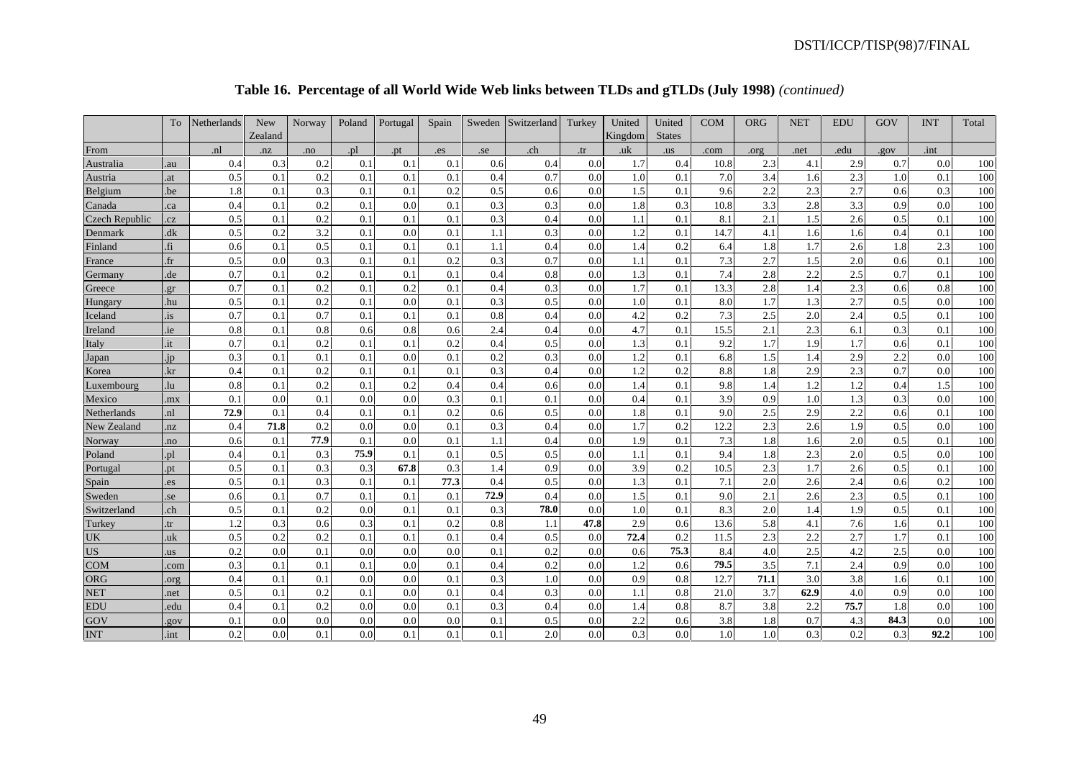## **Table 16. Percentage of all World Wide Web links between TLDs and gTLDs (July 1998)** *(continued)*

|                       | To     | Netherlands    | <b>New</b> | Norway | Poland | Portugal | Spain | Sweden | Switzerland | Turkey | United  | United        | <b>COM</b> | <b>ORG</b> | <b>NET</b> | <b>EDU</b> | GOV  | <b>INT</b> | Total |
|-----------------------|--------|----------------|------------|--------|--------|----------|-------|--------|-------------|--------|---------|---------------|------------|------------|------------|------------|------|------------|-------|
|                       |        |                | Zealand    |        |        |          |       |        |             |        | Kingdom | <b>States</b> |            |            |            |            |      |            |       |
| From                  |        | n <sup>1</sup> | nz         | .no    | .pl    | .pt      | .es   | .5e    | .ch         | .tr    | .uk     | .us           | .com       | .org       | .net       | .edu       | .gov | .int       |       |
| Australia             | .au    | 0.4            | 0.3        | 0.2    | 0.1    | 0.1      | 0.1   | 0.6    | 0.4         | 0.0    | 1.7     | 0.4           | 10.8       | 2.3        | 4.1        | 2.9        | 0.7  | 0.0        | 100   |
| Austria               | .at    | 0.5            | 0.1        | 0.2    | 0.1    | 0.1      | 0.1   | 0.4    | 0.7         | 0.0    | 1.0     | 0.1           | 7.0        | 3.4        | 1.6        | 2.3        | 1.0  | 0.1        | 100   |
| Belgium               | .be    | 1.8            | 0.1        | 0.3    | 0.1    | 0.1      | 0.2   | 0.5    | 0.6         | 0.0    | 1.5     | 0.1           | 9.6        | 2.2        | 2.3        | 2.7        | 0.6  | 0.3        | 100   |
| Canada                | .ca    | 0.4            | 0.1        | 0.2    | 0.1    | 0.0      | 0.1   | 0.3    | 0.3         | 0.0    | 1.8     | 0.3           | 10.8       | 3.3        | 2.8        | 3.3        | 0.9  | 0.0        | 100   |
| <b>Czech Republic</b> | .cz    | 0.5            | 0.1        | 0.2    | 0.1    | 0.1      | 0.1   | 0.3    | 0.4         | 0.0    | 1.1     | 0.1           | 8.1        | 2.1        | 1.5        | 2.6        | 0.5  | 0.1        | 100   |
| Denmark               | .dk    | 0.5            | 0.2        | 3.2    | 0.1    | 0.0      | 0.1   | 1.1    | 0.3         | 0.0    | 1.2     | 0.1           | 14.7       | 4.1        | 1.6        | 1.6        | 0.4  | 0.1        | 100   |
| Finland               | .fi    | 0.6            | 0.1        | 0.5    | 0.1    | 0.1      | 0.1   | 1.1    | 0.4         | 0.0    | 1.4     | 0.2           | 6.4        | 1.8        | 1.7        | 2.6        | 1.8  | 2.3        | 100   |
| France                | $.$ fr | 0.5            | 0.0        | 0.3    | 0.1    | 0.1      | 0.2   | 0.3    | 0.7         | 0.0    | 1.1     | 0.1           | 7.3        | 2.7        | 1.5        | 2.0        | 0.6  | 0.1        | 100   |
| Germany               | .de    | 0.7            | 0.1        | 0.2    | 0.1    | 0.1      | 0.1   | 0.4    | 0.8         | 0.0    | 1.3     | 0.1           | 7.4        | 2.8        | 2.2        | 2.5        | 0.7  | 0.1        | 100   |
| Greece                | .gr    | 0.7            | 0.1        | 0.2    | 0.1    | 0.2      | 0.1   | 0.4    | 0.3         | 0.0    | 1.7     | 0.1           | 13.3       | 2.8        | 1.4        | 2.3        | 0.6  | 0.8        | 100   |
| Hungary               | .hu    | 0.5            | 0.1        | 0.2    | 0.1    | 0.0      | 0.1   | 0.3    | 0.5         | 0.0    | 1.0     | 0.1           | 8.0        | 1.7        | 1.3        | 2.7        | 0.5  | 0.0        | 100   |
| Iceland               | .is    | 0.7            | 0.1        | 0.7    | 0.1    | 0.1      | 0.1   | 0.8    | 0.4         | 0.0    | 4.2     | 0.2           | 7.3        | 2.5        | 2.0        | 2.4        | 0.5  | 0.1        | 100   |
| Ireland               | .ie    | 0.8            | 0.1        | 0.8    | 0.6    | 0.8      | 0.6   | 2.4    | 0.4         | 0.0    | 4.7     | 0.1           | 15.5       | 2.1        | 2.3        | 6.1        | 0.3  | 0.1        | 100   |
| Italy                 | .it    | 0.7            | 0.1        | 0.2    | 0.1    | 0.1      | 0.2   | 0.4    | 0.5         | 0.0    | 1.3     | 0.1           | 9.2        | 1.7        | 1.9        | 1.7        | 0.6  | 0.1        | 100   |
| Japan                 | .jp    | 0.3            | 0.1        | 0.1    | 0.1    | 0.0      | 0.1   | 0.2    | 0.3         | 0.0    | 1.2     | 0.1           | 6.8        | $1.5\,$    | 1.4        | 2.9        | 2.2  | 0.0        | 100   |
| Korea                 | .kr    | 0.4            | 0.1        | 0.2    | 0.1    | 0.1      | 0.1   | 0.3    | 0.4         | 0.0    | 1.2     | 0.2           | 8.8        | 1.8        | 2.9        | 2.3        | 0.7  | 0.0        | 100   |
| Luxembourg            | .lu    | 0.8            | 0.1        | 0.2    | 0.1    | 0.2      | 0.4   | 0.4    | 0.6         | 0.0    | 1.4     | 0.1           | 9.8        | 1.4        | 1.2        | 1.2        | 0.4  | 1.5        | 100   |
| Mexico                | .mx    | 0.1            | 0.0        | 0.1    | 0.0    | 0.0      | 0.3   | 0.1    | 0.1         | 0.0    | 0.4     | 0.1           | 3.9        | 0.9        | 1.0        | 1.3        | 0.3  | 0.0        | 100   |
| Netherlands           | .nl    | 72.9           | 0.1        | 0.4    | 0.1    | 0.1      | 0.2   | 0.6    | 0.5         | 0.0    | 1.8     | 0.1           | 9.0        | $2.5\,$    | 2.9        | 2.2        | 0.6  | 0.1        | 100   |
| New Zealand           | .nz    | 0.4            | 71.8       | 0.2    | 0.0    | 0.0      | 0.1   | 0.3    | 0.4         | 0.0    | 1.7     | 0.2           | 12.2       | 2.3        | 2.6        | 1.9        | 0.5  | 0.0        | 100   |
| Norway                | .no    | 0.6            | 0.1        | 77.9   | 0.1    | 0.0      | 0.1   | 1.1    | 0.4         | 0.0    | 1.9     | 0.1           | 7.3        | 1.8        | 1.6        | 2.0        | 0.5  | 0.1        | 100   |
| Poland                | .pl    | 0.4            | 0.1        | 0.3    | 75.9   | 0.1      | 0.1   | 0.5    | 0.5         | 0.0    | 1.1     | 0.1           | 9.4        | 1.8        | 2.3        | 2.0        | 0.5  | 0.0        | 100   |
| Portugal              | .pt    | 0.5            | 0.1        | 0.3    | 0.3    | 67.8     | 0.3   | 1.4    | 0.9         | 0.0    | 3.9     | 0.2           | 10.5       | 2.3        | 1.7        | 2.6        | 0.5  | 0.1        | 100   |
| Spain                 | .es    | 0.5            | 0.1        | 0.3    | 0.1    | 0.1      | 77.3  | 0.4    | 0.5         | 0.0    | 1.3     | 0.1           | 7.1        | 2.0        | 2.6        | 2.4        | 0.6  | 0.2        | 100   |
| Sweden                | .se    | 0.6            | 0.1        | 0.7    | 0.1    | 0.1      | 0.1   | 72.9   | 0.4         | 0.0    | 1.5     | 0.1           | 9.0        | 2.1        | 2.6        | 2.3        | 0.5  | 0.1        | 100   |
| Switzerland           | .ch    | 0.5            | 0.1        | 0.2    | 0.0    | 0.1      | 0.1   | 0.3    | 78.0        | 0.0    | 1.0     | 0.1           | 8.3        | 2.0        | 1.4        | 1.9        | 0.5  | 0.1        | 100   |
| Turkey                | .tr    | 1.2            | 0.3        | 0.6    | 0.3    | 0.1      | 0.2   | 0.8    | 1.1         | 47.8   | 2.9     | 0.6           | 13.6       | 5.8        | 4.1        | 7.6        | 1.6  | 0.1        | 100   |
| UK                    | .uk    | 0.5            | 0.2        | 0.2    | 0.1    | 0.1      | 0.1   | 0.4    | 0.5         | 0.0    | 72.4    | 0.2           | 11.5       | 2.3        | 2.2        | 2.7        | 1.7  | 0.1        | 100   |
| <b>US</b>             | .us    | 0.2            | 0.0        | 0.1    | 0.0    | 0.0      | 0.0   | 0.1    | 0.2         | 0.0    | 0.6     | 75.3          | 8.4        | 4.0        | 2.5        | 4.2        | 2.5  | 0.0        | 100   |
| <b>COM</b>            | .com   | 0.3            | 0.1        | 0.1    | 0.1    | 0.0      | 0.1   | 0.4    | 0.2         | 0.0    | 1.2     | 0.6           | 79.5       | 3.5        | 7.1        | 2.4        | 0.9  | 0.0        | 100   |
| ORG                   | .org   | 0.4            | 0.1        | 0.1    | 0.0    | 0.0      | 0.1   | 0.3    | 1.0         | 0.0    | 0.9     | 0.8           | 12.7       | 71.1       | 3.0        | 3.8        | 1.6  | 0.1        | 100   |
| <b>NET</b>            | .net   | 0.5            | 0.1        | 0.2    | 0.1    | 0.0      | 0.1   | 0.4    | 0.3         | 0.0    | 1.1     | 0.8           | 21.0       | 3.7        | 62.9       | 4.0        | 0.9  | 0.0        | 100   |
| <b>EDU</b>            | .edu   | 0.4            | 0.1        | 0.2    | 0.0    | 0.0      | 0.1   | 0.3    | 0.4         | 0.0    | 1.4     | 0.8           | 8.7        | 3.8        | 2.2        | 75.7       | 1.8  | 0.0        | 100   |
| GOV                   | .gov   | 0.1            | 0.0        | 0.0    | 0.0    | 0.0      | 0.0   | 0.1    | 0.5         | 0.0    | 2.2     | 0.6           | 3.8        | 1.8        | 0.7        | 4.3        | 84.3 | 0.0        | 100   |
| <b>INT</b>            | .int   | 0.2            | 0.0        | 0.1    | 0.0    | 0.1      | 0.1   | 0.1    | 2.0         | 0.0    | 0.3     | 0.0           | 1.0        | 1.0        | 0.3        | 0.2        | 0.3  | 92.2       | 100   |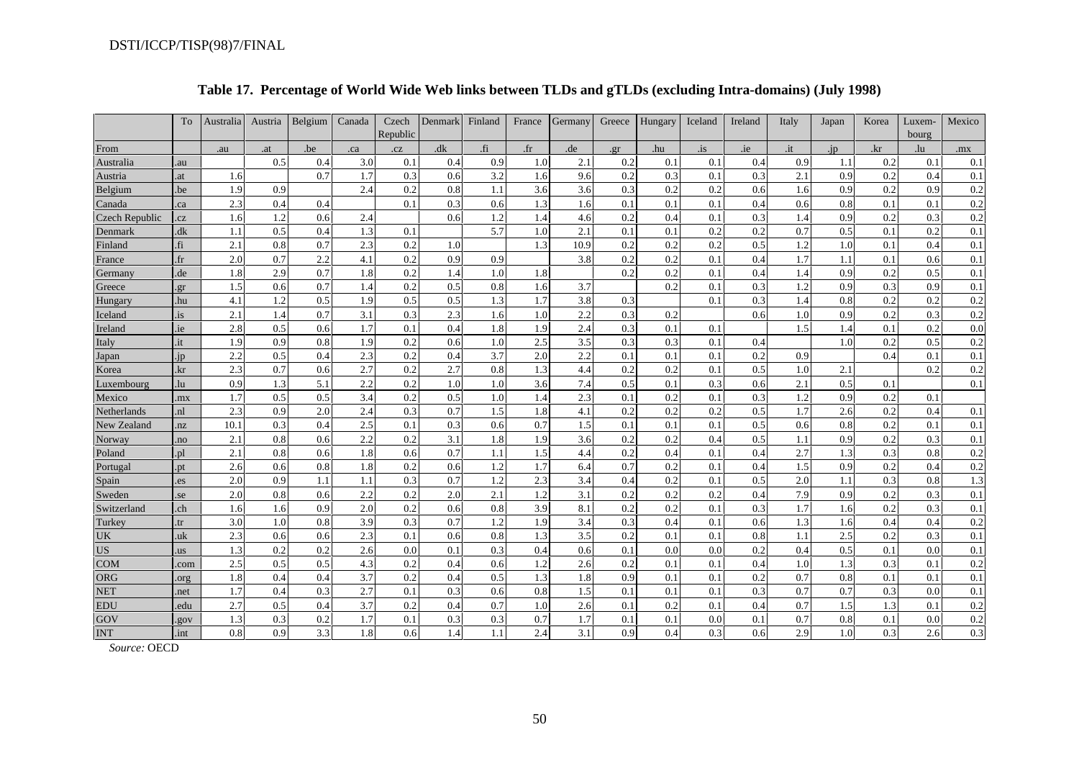|                       | To           | Australia | Austria | Belgium | Canada | Czech<br>Republic | Denmark | Finland | France | Germany | Greece | Hungary | Iceland      | Ireland | Italy | Japan | Korea | Luxem-<br>bourg | Mexico |
|-----------------------|--------------|-----------|---------|---------|--------|-------------------|---------|---------|--------|---------|--------|---------|--------------|---------|-------|-------|-------|-----------------|--------|
| From                  |              | .au       | .at     | .be     | .ca    | .cz               | dk      | .fi     | $.$ fr | .de     | .gr    | .hu     | $\mathbf{a}$ | .ie     | .it   | .jp   | .kr   | .lu             | .mx    |
| Australia             | .au          |           | 0.5     | 0.4     | 3.0    | 0.1               | 0.4     | 0.9     | 1.0    | 2.1     | 0.2    | 0.1     | 0.1          | 0.4     | 0.9   | 1.1   | 0.2   | 0.1             | 0.1    |
| Austria               | .at          | 1.6       |         | 0.7     | 1.7    | 0.3               | 0.6     | 3.2     | 1.6    | 9.6     | 0.2    | 0.3     | 0.1          | 0.3     | 2.1   | 0.9   | 0.2   | 0.4             | 0.1    |
| Belgium               | .be          | 1.9       | 0.9     |         | 2.4    | 0.2               | 0.8     | 1.1     | 3.6    | 3.6     | 0.3    | 0.2     | 0.2          | 0.6     | 1.6   | 0.9   | 0.2   | 0.9             | 0.2    |
| Canada                | .ca          | 2.3       | 0.4     | 0.4     |        | 0.1               | 0.3     | 0.6     | 1.3    | 1.6     | 0.1    | 0.1     | 0.1          | 0.4     | 0.6   | 0.8   | 0.1   | 0.1             | 0.2    |
| <b>Czech Republic</b> | .cz          | 1.6       | 1.2     | 0.6     | 2.4    |                   | 0.6     | 1.2     | 1.4    | 4.6     | 0.2    | 0.4     | 0.1          | 0.3     | 1.4   | 0.9   | 0.2   | 0.3             | 0.2    |
| Denmark               | dk           | 1.1       | 0.5     | 0.4     | 1.3    | 0.1               |         | 5.7     | 1.0    | 2.1     | 0.1    | 0.1     | 0.2          | 0.2     | 0.7   | 0.5   | 0.1   | 0.2             | 0.1    |
| Finland               | fi.          | 2.1       | 0.8     | 0.7     | 2.3    | 0.2               | 1.0     |         | 1.3    | 10.9    | 0.2    | 0.2     | 0.2          | 0.5     | 1.2   | 1.0   | 0.1   | 0.4             | 0.1    |
| France                | $\mathbf{f}$ | 2.0       | 0.7     | 2.2     | 4.1    | 0.2               | 0.9     | 0.9     |        | 3.8     | 0.2    | 0.2     | 0.1          | 0.4     | 1.7   | 1.1   | 0.1   | 0.6             | 0.1    |
| Germany               | .de          | 1.8       | 2.9     | 0.7     | 1.8    | 0.2               | 1.4     | 1.0     | 1.8    |         | 0.2    | 0.2     | 0.1          | 0.4     | 1.4   | 0.9   | 0.2   | 0.5             | 0.1    |
| Greece                | er           | 1.5       | 0.6     | 0.7     | 1.4    | 0.2               | 0.5     | 0.8     | 1.6    | 3.7     |        | 0.2     | 0.1          | 0.3     | 1.2   | 0.9   | 0.3   | 0.9             | 0.1    |
| Hungary               | .hu          | 4.1       | 1.2     | 0.5     | 1.9    | 0.5               | 0.5     | 1.3     | 1.7    | 3.8     | 0.3    |         | 0.1          | 0.3     | 1.4   | 0.8   | 0.2   | 0.2             | 0.2    |
| Iceland               | .is          | 2.1       | 1.4     | 0.7     | 3.1    | 0.3               | 2.3     | 1.6     | 1.0    | 2.2     | 0.3    | 0.2     |              | 0.6     | 1.0   | 0.9   | 0.2   | 0.3             | 0.2    |
| Ireland               | .ie          | 2.8       | 0.5     | 0.6     | 1.7    | 0.1               | 0.4     | 1.8     | 1.9    | 2.4     | 0.3    | 0.1     | 0.1          |         | 1.5   |       | 0.1   | 0.2             | 0.0    |
| Italy                 | .it          | 1.9       | 0.9     | 0.8     | 1.9    | 0.2               | 0.6     | 1.0     | 2.5    | 3.5     | 0.3    | 0.3     | 0.1          | 0.4     |       | 1.0   | 0.2   | 0.5             | 0.2    |
| Japan                 | .jp          | 2.2       | 0.5     | 0.4     | 2.3    | 0.2               | 0.4     | 3.7     | 2.0    | 2.2     | 0.1    | 0.1     | 0.1          | 0.2     | 0.9   |       | 0.4   | 0.1             | 0.1    |
| Korea                 | .kr          | 2.3       | 0.7     | 0.6     | 2.7    | 0.2               | 2.7     | 0.8     | 1.3    | 4.4     | 0.2    | 0.2     | 0.1          | 0.5     | 1.0   | 2.1   |       | 0.2             | 0.2    |
| Luxembourg            | .lu          | 0.9       | 1.3     | 5.1     | 2.2    | 0.2               | 1.0     | 1.0     | 3.6    | 7.4     | 0.5    | 0.1     | 0.3          | 0.6     | 2.1   | 0.5   | 0.1   |                 | 0.1    |
| Mexico                | .mx          | 1.7       | 0.5     | 0.5     | 3.4    | 0.2               | 0.5     | 1.0     | 1.4    | 2.3     | 0.1    | 0.2     | 0.1          | 0.3     | 1.2   | 0.9   | 0.2   | 0.1             |        |
| Netherlands           | .nl          | 2.3       | 0.9     | 2.0     | 2.4    | 0.3               | 0.7     | 1.5     | 1.8    | 4.1     | 0.2    | 0.2     | 0.2          | 0.5     | 1.7   | 2.6   | 0.2   | 0.4             | 0.1    |
| New Zealand           | .nz          | 10.1      | 0.3     | 0.4     | 2.5    | 0.1               | 0.3     | 0.6     | 0.7    | 1.5     | 0.1    | 0.1     | 0.1          | 0.5     | 0.6   | 0.8   | 0.2   | 0.1             | 0.1    |
| Norway                | .no          | 2.1       | 0.8     | 0.6     | 2.2    | 0.2               | 3.1     | 1.8     | 1.9    | 3.6     | 0.2    | 0.2     | 0.4          | 0.5     | 1.1   | 0.9   | 0.2   | 0.3             | 0.1    |
| Poland                | .pl          | 2.1       | 0.8     | 0.6     | 1.8    | 0.6               | 0.7     | 1.1     | 1.5    | 4.4     | 0.2    | 0.4     | 0.1          | 0.4     | 2.7   | 1.3   | 0.3   | 0.8             | 0.2    |
| Portugal              | .pt          | 2.6       | 0.6     | 0.8     | 1.8    | 0.2               | 0.6     | 1.2     | 1.7    | 6.4     | 0.7    | 0.2     | 0.1          | 0.4     | 1.5   | 0.9   | 0.2   | 0.4             | 0.2    |
| Spain                 | .es          | 2.0       | 0.9     | 1.1     | 1.1    | 0.3               | 0.7     | 1.2     | 2.3    | 3.4     | 0.4    | 0.2     | 0.1          | 0.5     | 2.0   | 1.1   | 0.3   | 0.8             | 1.3    |
| Sweden                | .se          | 2.0       | 0.8     | 0.6     | 2.2    | 0.2               | 2.0     | 2.1     | 1.2    | 3.1     | 0.2    | 0.2     | 0.2          | 0.4     | 7.9   | 0.9   | 0.2   | 0.3             | 0.1    |
| Switzerland           | .ch          | 1.6       | 1.6     | 0.9     | 2.0    | 0.2               | 0.6     | 0.8     | 3.9    | 8.1     | 0.2    | 0.2     | 0.1          | 0.3     | 1.7   | 1.6   | 0.2   | 0.3             | 0.1    |
| Turkey                | .tr          | 3.0       | 1.0     | 0.8     | 3.9    | 0.3               | 0.7     | 1.2     | 1.9    | 3.4     | 0.3    | 0.4     | 0.1          | 0.6     | 1.3   | 1.6   | 0.4   | 0.4             | 0.2    |
| UK                    | .uk          | 2.3       | 0.6     | 0.6     | 2.3    | 0.1               | 0.6     | 0.8     | 1.3    | 3.5     | 0.2    | 0.1     | 0.1          | 0.8     | 1.1   | 2.5   | 0.2   | 0.3             | 0.1    |
| <b>US</b>             | .us          | 1.3       | 0.2     | 0.2     | 2.6    | 0.0               | 0.1     | 0.3     | 0.4    | 0.6     | 0.1    | 0.0     | 0.0          | 0.2     | 0.4   | 0.5   | 0.1   | 0.0             | 0.1    |
| <b>COM</b>            | .com         | 2.5       | 0.5     | 0.5     | 4.3    | 0.2               | 0.4     | 0.6     | 1.2    | 2.6     | 0.2    | 0.1     | 0.1          | 0.4     | 1.0   | 1.3   | 0.3   | 0.1             | 0.2    |
| <b>ORG</b>            | .org         | 1.8       | 0.4     | 0.4     | 3.7    | 0.2               | 0.4     | 0.5     | 1.3    | 1.8     | 0.9    | 0.1     | 0.1          | 0.2     | 0.7   | 0.8   | 0.1   | 0.1             | 0.1    |
| <b>NET</b>            | .net         | 1.7       | 0.4     | 0.3     | 2.7    | 0.1               | 0.3     | 0.6     | 0.8    | 1.5     | 0.1    | 0.1     | 0.1          | 0.3     | 0.7   | 0.7   | 0.3   | 0.0             | 0.1    |
| EDU                   | .edu         | 2.7       | 0.5     | 0.4     | 3.7    | 0.2               | 0.4     | 0.7     | 1.0    | 2.6     | 0.1    | 0.2     | 0.1          | 0.4     | 0.7   | 1.5   | 1.3   | 0.1             | 0.2    |
| GOV                   | .gov         | 1.3       | 0.3     | 0.2     | 1.7    | 0.1               | 0.3     | 0.3     | 0.7    | 1.7     | 0.1    | 0.1     | 0.0          | 0.1     | 0.7   | 0.8   | 0.1   | 0.0             | 0.2    |
| <b>INT</b>            | .int         | 0.8       | 0.9     | 3.3     | 1.8    | 0.6               | 1.4     | 1.1     | 2.4    | 3.1     | 0.9    | 0.4     | 0.3          | 0.6     | 2.9   | 1.0   | 0.3   | 2.6             | 0.3    |

## **Table 17. Percentage of World Wide Web links between TLDs and gTLDs (excluding Intra-domains) (July 1998)**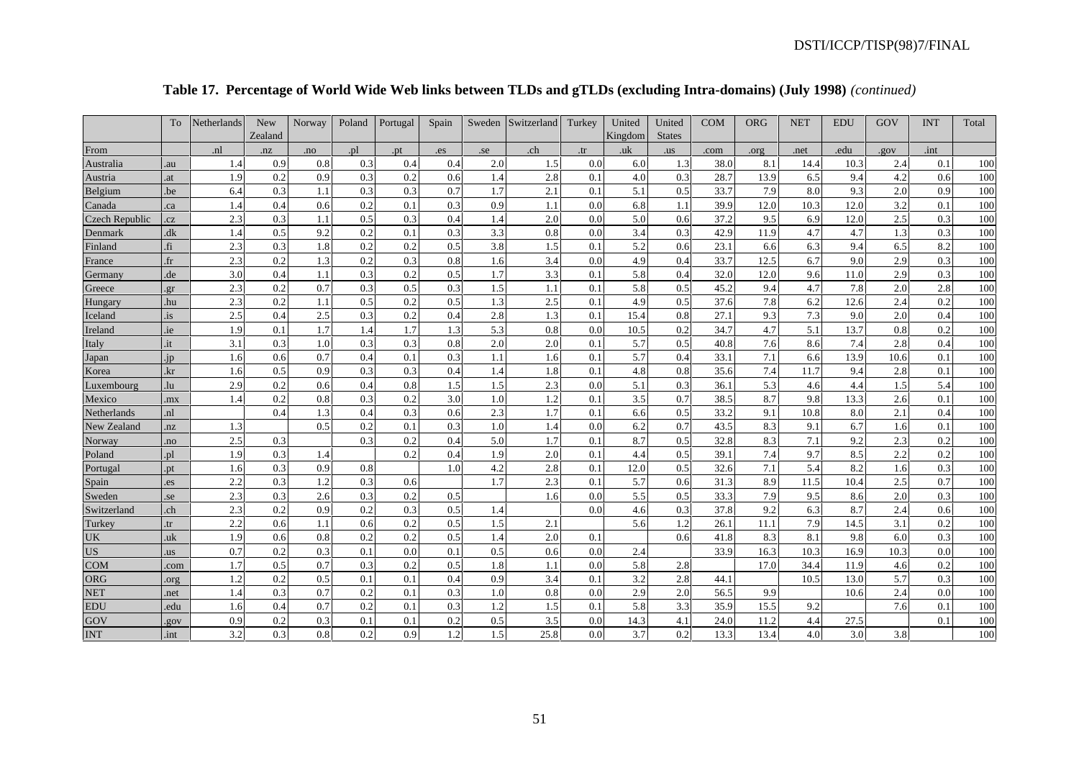|  | Table 17. Percentage of World Wide Web links between TLDs and gTLDs (excluding Intra-domains) (July 1998) (continued) |  |  |
|--|-----------------------------------------------------------------------------------------------------------------------|--|--|
|  |                                                                                                                       |  |  |

|                       | To             | Netherlands    | New     | Norway | Poland | Portugal | Spain | Sweden | Switzerland | Turkey | United  | United        | <b>COM</b> | <b>ORG</b> | <b>NET</b> | <b>EDU</b> | GOV  | <b>INT</b> | Total |
|-----------------------|----------------|----------------|---------|--------|--------|----------|-------|--------|-------------|--------|---------|---------------|------------|------------|------------|------------|------|------------|-------|
|                       |                |                | Zealand |        |        |          |       |        |             |        | Kingdom | <b>States</b> |            |            |            |            |      |            |       |
| From                  |                | n <sup>1</sup> | .nz     | .no    | .pl    | .pt      | . es  | .se    | .ch         | .tr    | .uk     | .us           | .com       | .org       | .net       | .edu       | .gov | .int       |       |
| Australia             | .au            | 1.4            | 0.9     | 0.8    | 0.3    | 0.4      | 0.4   | 2.0    | 1.5         | 0.0    | 6.0     | 1.3           | 38.0       | 8.1        | 14.4       | 10.3       | 2.4  | 0.1        | 100   |
| Austria               | .at            | 1.9            | 0.2     | 0.9    | 0.3    | 0.2      | 0.6   | 1.4    | 2.8         | 0.1    | 4.0     | 0.3           | 28.7       | 13.9       | 6.5        | 9.4        | 4.2  | 0.6        | 100   |
| Belgium               | .be            | 6.4            | 0.3     | 1.1    | 0.3    | 0.3      | 0.7   | 1.7    | 2.1         | 0.1    | 5.1     | 0.5           | 33.7       | 7.9        | 8.0        | 9.3        | 2.0  | 0.9        | 100   |
| Canada                | ca.            | 1.4            | 0.4     | 0.6    | 0.2    | 0.1      | 0.3   | 0.9    | 1.1         | 0.0    | 6.8     | 1.1           | 39.9       | 12.0       | 10.3       | 12.0       | 3.2  | 0.1        | 100   |
| <b>Czech Republic</b> | .cz            | 2.3            | 0.3     | 1.1    | 0.5    | 0.3      | 0.4   | 1.4    | 2.0         | 0.0    | 5.0     | 0.6           | 37.2       | 9.5        | 6.9        | 12.0       | 2.5  | 0.3        | 100   |
| Denmark               | .dk            | 1.4            | 0.5     | 9.2    | 0.2    | 0.1      | 0.3   | 3.3    | 0.8         | 0.0    | 3.4     | 0.3           | 42.9       | 11.9       | 4.7        | 4.7        | 1.3  | 0.3        | 100   |
| Finland               | fi             | 2.3            | 0.3     | 1.8    | 0.2    | 0.2      | 0.5   | 3.8    | 1.5         | 0.1    | 5.2     | 0.6           | 23.1       | 6.6        | 6.3        | 9.4        | 6.5  | 8.2        | 100   |
| France                | .fr            | 2.3            | 0.2     | 1.3    | 0.2    | 0.3      | 0.8   | 1.6    | 3.4         | 0.0    | 4.9     | 0.4           | 33.7       | 12.5       | 6.7        | 9.0        | 2.9  | 0.3        | 100   |
| Germany               | .de            | 3.0            | 0.4     | 1.1    | 0.3    | 0.2      | 0.5   | 1.7    | 3.3         | 0.1    | 5.8     | 0.4           | 32.0       | 12.0       | 9.6        | 11.0       | 2.9  | 0.3        | 100   |
| Greece                | .gr            | 2.3            | 0.2     | 0.7    | 0.3    | 0.5      | 0.3   | 1.5    | 1.1         | 0.1    | 5.8     | 0.5           | 45.2       | 9.4        | 4.7        | 7.8        | 2.0  | 2.8        | 100   |
| Hungary               | .hu            | 2.3            | 0.2     | 1.1    | 0.5    | 0.2      | 0.5   | 1.3    | 2.5         | 0.1    | 4.9     | 0.5           | 37.6       | 7.8        | 6.2        | 12.6       | 2.4  | 0.2        | 100   |
| Iceland               | .is            | 2.5            | 0.4     | 2.5    | 0.3    | 0.2      | 0.4   | 2.8    | 1.3         | 0.1    | 15.4    | 0.8           | 27.1       | 9.3        | 7.3        | 9.0        | 2.0  | 0.4        | 100   |
| Ireland               | <i>ie</i>      | 1.9            | 0.1     | 1.7    | 1.4    | 1.7      | 1.3   | 5.3    | 0.8         | 0.0    | 10.5    | 0.2           | 34.7       | 4.7        | 5.1        | 13.7       | 0.8  | 0.2        | 100   |
| Italy                 | it             | 3.1            | 0.3     | 1.0    | 0.3    | 0.3      | 0.8   | 2.0    | 2.0         | 0.1    | 5.7     | 0.5           | 40.8       | 7.6        | 8.6        | 7.4        | 2.8  | 0.4        | 100   |
| Japan                 | .jp            | 1.6            | 0.6     | 0.7    | 0.4    | 0.1      | 0.3   | 1.1    | 1.6         | 0.1    | 5.7     | 0.4           | 33.1       | 7.1        | 6.6        | 13.9       | 10.6 | 0.1        | 100   |
| Korea                 | .kr            | 1.6            | 0.5     | 0.9    | 0.3    | 0.3      | 0.4   | 1.4    | 1.8         | 0.1    | 4.8     | 0.8           | 35.6       | 7.4        | 11.7       | 9.4        | 2.8  | 0.1        | 100   |
| Luxembourg            | .lu            | 2.9            | 0.2     | 0.6    | 0.4    | 0.8      | 1.5   | 1.5    | 2.3         | 0.0    | 5.1     | 0.3           | 36.1       | 5.3        | 4.6        | 4.4        | 1.5  | 5.4        | 100   |
| Mexico                | m <sub>x</sub> | 1.4            | 0.2     | 0.8    | 0.3    | 0.2      | 3.0   | 1.0    | 1.2         | 0.1    | 3.5     | 0.7           | 38.5       | 8.7        | 9.8        | 13.3       | 2.6  | 0.1        | 100   |
| Netherlands           | <sub>n1</sub>  |                | 0.4     | 1.3    | 0.4    | 0.3      | 0.6   | 2.3    | 1.7         | 0.1    | 6.6     | 0.5           | 33.2       | 9.1        | 10.8       | 8.0        | 2.1  | 0.4        | 100   |
| New Zealand           | nz             | 1.3            |         | 0.5    | 0.2    | 0.1      | 0.3   | 1.0    | 1.4         | 0.0    | 6.2     | 0.7           | 43.5       | 8.3        | 9.1        | 6.7        | 1.6  | 0.1        | 100   |
| Norway                | no.            | 2.5            | 0.3     |        | 0.3    | 0.2      | 0.4   | 5.0    | 1.7         | 0.1    | 8.7     | 0.5           | 32.8       | 8.3        | 7.1        | 9.2        | 2.3  | 0.2        | 100   |
| Poland                | .pl            | 1.9            | 0.3     | 1.4    |        | 0.2      | 0.4   | 1.9    | 2.0         | 0.1    | 4.4     | 0.5           | 39.1       | 7.4        | 9.7        | 8.5        | 2.2  | 0.2        | 100   |
| Portugal              | .pt            | 1.6            | 0.3     | 0.9    | 0.8    |          | 1.0   | 4.2    | 2.8         | 0.1    | 12.0    | 0.5           | 32.6       | 7.1        | 5.4        | 8.2        | 1.6  | 0.3        | 100   |
| Spain                 | es.            | 2.2            | 0.3     | 1.2    | 0.3    | 0.6      |       | 1.7    | 2.3         | 0.1    | 5.7     | 0.6           | 31.3       | 8.9        | 11.5       | 10.4       | 2.5  | 0.7        | 100   |
| Sweden                | se.            | 2.3            | 0.3     | 2.6    | 0.3    | 0.2      | 0.5   |        | 1.6         | 0.0    | 5.5     | 0.5           | 33.3       | 7.9        | 9.5        | 8.6        | 2.0  | 0.3        | 100   |
| Switzerland           | .ch            | 2.3            | 0.2     | 0.9    | 0.2    | 0.3      | 0.5   | 1.4    |             | 0.0    | 4.6     | 0.3           | 37.8       | 9.2        | 6.3        | 8.7        | 2.4  | 0.6        | 100   |
| Turkey                | tr.            | 2.2            | 0.6     | 1.1    | 0.6    | 0.2      | 0.5   | 1.5    | 2.1         |        | 5.6     | 1.2           | 26.1       | 11.1       | 7.9        | 14.5       | 3.1  | 0.2        | 100   |
| UK                    | .uk            | 1.9            | 0.6     | 0.8    | 0.2    | 0.2      | 0.5   | 1.4    | 2.0         | 0.1    |         | 0.6           | 41.8       | 8.3        | 8.1        | 9.8        | 6.0  | 0.3        | 100   |
| <b>US</b>             | us.            | 0.7            | 0.2     | 0.3    | 0.1    | 0.0      | 0.1   | 0.5    | 0.6         | 0.0    | 2.4     |               | 33.9       | 16.3       | 10.3       | 16.9       | 10.3 | 0.0        | 100   |
| <b>COM</b>            | .com           | 1.7            | 0.5     | 0.7    | 0.3    | 0.2      | 0.5   | 1.8    | 1.1         | 0.0    | 5.8     | 2.8           |            | 17.0       | 34.4       | 11.9       | 4.6  | 0.2        | 100   |
| <b>ORG</b>            | org            | 1.2            | 0.2     | 0.5    | 0.1    | 0.1      | 0.4   | 0.9    | 3.4         | 0.1    | 3.2     | 2.8           | 44.1       |            | 10.5       | 13.0       | 5.7  | 0.3        | 100   |
| <b>NET</b>            | net.           | 1.4            | 0.3     | 0.7    | 0.2    | 0.1      | 0.3   | 1.0    | 0.8         | 0.0    | 2.9     | 2.0           | 56.5       | 9.9        |            | 10.6       | 2.4  | 0.0        | 100   |
| EDU                   | .edu           | 1.6            | 0.4     | 0.7    | 0.2    | 0.1      | 0.3   | 1.2    | 1.5         | 0.1    | 5.8     | 3.3           | 35.9       | 15.5       | 9.2        |            | 7.6  | 0.1        | 100   |
| GOV                   | .gov           | 0.9            | 0.2     | 0.3    | 0.1    | 0.1      | 0.2   | 0.5    | 3.5         | 0.0    | 14.3    | 4.1           | 24.0       | 11.2       | 4.4        | 27.5       |      | 0.1        | 100   |
| <b>INT</b>            | int            | 3.2            | 0.3     | 0.8    | 0.2    | 0.9      | 1.2   | 1.5    | 25.8        | 0.0    | 3.7     | 0.2           | 13.3       | 13.4       | 4.0        | 3.0        | 3.8  |            | 100   |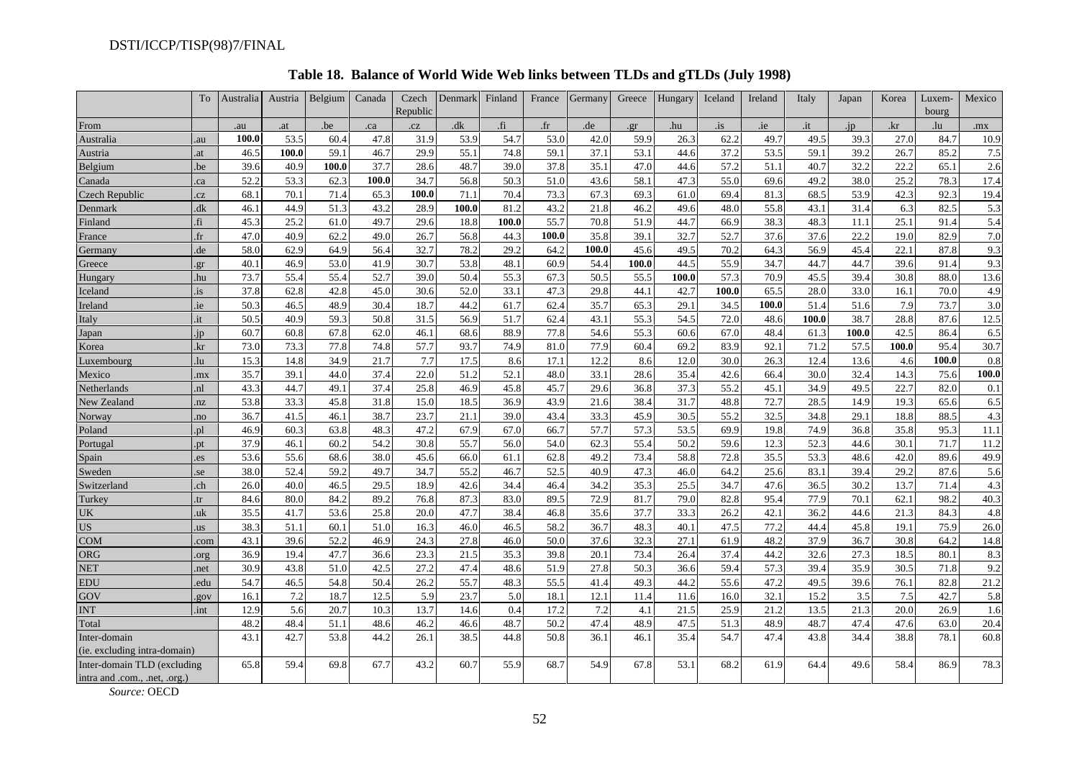|                               | To                      | Australia | Austria | Belgium | Canada | Czech<br>Republic | Denmark | Finland | France      | Germany | Greece | Hungary | Iceland | Ireland | Italy | Japan | Korea | Luxem-<br>bourg | Mexico |
|-------------------------------|-------------------------|-----------|---------|---------|--------|-------------------|---------|---------|-------------|---------|--------|---------|---------|---------|-------|-------|-------|-----------------|--------|
| From                          |                         | .au       | .at     | .be     | .ca    | .cz               | .dk     | fi.     | $_{\rm fr}$ | .de     | .gr    | .hu     | .is     | .ie     | .it   | .jp   | .kr   | .lu             | .mx    |
| Australia                     | .au                     | 100.0     | 53.5    | 60.4    | 47.8   | 31.9              | 53.9    | 54.7    | 53.0        | 42.0    | 59.9   | 26.3    | 62.2    | 49.7    | 49.5  | 39.3  | 27.0  | 84.7            | 10.9   |
| Austria                       | .at                     | 46.5      | 100.0   | 59.1    | 46.7   | 29.9              | 55.1    | 74.8    | 59.1        | 37.1    | 53.1   | 44.6    | 37.2    | 53.5    | 59.1  | 39.2  | 26.7  | 85.2            | 7.5    |
| Belgium                       | .be                     | 39.6      | 40.9    | 100.0   | 37.7   | 28.6              | 48.7    | 39.0    | 37.8        | 35.1    | 47.0   | 44.6    | 57.2    | 51.1    | 40.7  | 32.2  | 22.2  | 65.1            | 2.6    |
| Canada                        | ca                      | 52.2      | 53.3    | 62.3    | 100.0  | 34.7              | 56.8    | 50.3    | 51.0        | 43.6    | 58.1   | 47.3    | 55.0    | 69.6    | 49.2  | 38.0  | 25.2  | 78.3            | 17.4   |
| Czech Republic                | cz                      | 68.1      | 70.1    | 71.4    | 65.3   | 100.0             | 71.1    | 70.4    | 73.3        | 67.3    | 69.3   | 61.0    | 69.4    | 81.3    | 68.5  | 53.9  | 42.3  | 92.3            | 19.4   |
| Denmark                       | dk                      | 46.1      | 44.9    | 51.3    | 43.2   | 28.9              | 100.0   | 81.2    | 43.2        | 21.8    | 46.2   | 49.6    | 48.0    | 55.8    | 43.1  | 31.4  | 6.3   | 82.5            | 5.3    |
| Finland                       | fi                      | 45.3      | 25.2    | 61.0    | 49.7   | 29.6              | 18.8    | 100.0   | 55.7        | 70.8    | 51.9   | 44.7    | 66.9    | 38.3    | 48.3  | 11.1  | 25.1  | 91.4            | 5.4    |
| France                        | f(r)                    | 47.0      | 40.9    | 62.2    | 49.0   | 26.7              | 56.8    | 44.3    | 100.0       | 35.8    | 39.1   | 32.7    | 52.7    | 37.6    | 37.6  | 22.2  | 19.0  | 82.9            | 7.0    |
| Germany                       | .de                     | 58.0      | 62.9    | 64.9    | 56.4   | 32.7              | 78.2    | 29.2    | 64.2        | 100.0   | 45.6   | 49.5    | 70.2    | 64.3    | 56.9  | 45.4  | 22.1  | 87.8            | 9.3    |
| Greece                        | gr                      | 40.1      | 46.9    | 53.0    | 41.9   | 30.7              | 53.8    | 48.1    | 60.9        | 54.4    | 100.0  | 44.5    | 55.9    | 34.7    | 44.7  | 44.7  | 39.6  | 91.4            | 9.3    |
| Hungary                       | .hu                     | 73.7      | 55.4    | 55.4    | 52.7   | 39.0              | 50.4    | 55.3    | 67.3        | 50.5    | 55.5   | 100.0   | 57.3    | 70.9    | 45.5  | 39.4  | 30.8  | 88.0            | 13.6   |
| Iceland                       | <i>is</i> .             | 37.8      | 62.8    | 42.8    | 45.0   | 30.6              | 52.0    | 33.1    | 47.3        | 29.8    | 44.1   | 42.7    | 100.0   | 65.5    | 28.0  | 33.0  | 16.1  | 70.0            | 4.9    |
| Ireland                       | ie                      | 50.3      | 46.5    | 48.9    | 30.4   | 18.7              | 44.2    | 61.7    | 62.4        | 35.7    | 65.3   | 29.1    | 34.5    | 100.0   | 51.4  | 51.6  | 7.9   | 73.7            | 3.0    |
| Italy                         | it                      | 50.5      | 40.9    | 59.3    | 50.8   | 31.5              | 56.9    | 51.7    | 62.4        | 43.1    | 55.3   | 54.5    | 72.0    | 48.6    | 100.0 | 38.7  | 28.8  | 87.6            | 12.5   |
| Japan                         | ip                      | 60.7      | 60.8    | 67.8    | 62.0   | 46.1              | 68.6    | 88.9    | 77.8        | 54.6    | 55.3   | 60.6    | 67.0    | 48.4    | 61.3  | 100.0 | 42.5  | 86.4            | 6.5    |
| Korea                         | .kr                     | 73.0      | 73.3    | 77.8    | 74.8   | 57.7              | 93.7    | 74.9    | 81.0        | 77.9    | 60.4   | 69.2    | 83.9    | 92.1    | 71.2  | 57.5  | 100.0 | 95.4            | 30.7   |
| <i>d</i> uxembourg            | .lu                     | 15.3      | 14.8    | 34.9    | 21.7   | 7.7               | 17.5    | 8.6     | 17.1        | 12.2    | 8.6    | 12.0    | 30.0    | 26.3    | 12.4  | 13.6  | 4.6   | 100.0           | 0.8    |
| Mexico                        | mx                      | 35.7      | 39.1    | 44.0    | 37.4   | 22.0              | 51.2    | 52.1    | 48.0        | 33.1    | 28.6   | 35.4    | 42.6    | 66.4    | 30.0  | 32.4  | 14.3  | 75.6            | 100.0  |
| Netherlands                   | .nl                     | 43.3      | 44.7    | 49.1    | 37.4   | 25.8              | 46.9    | 45.8    | 45.7        | 29.6    | 36.8   | 37.3    | 55.2    | 45.1    | 34.9  | 49.5  | 22.7  | 82.0            | 0.1    |
| New Zealand                   | nz                      | 53.8      | 33.3    | 45.8    | 31.8   | 15.0              | 18.5    | 36.9    | 43.9        | 21.6    | 38.4   | 31.7    | 48.8    | 72.7    | 28.5  | 14.9  | 19.3  | 65.6            | 6.5    |
| Norway                        | no.                     | 36.7      | 41.5    | 46.1    | 38.7   | 23.7              | 21.1    | 39.0    | 43.4        | 33.3    | 45.9   | 30.5    | 55.2    | 32.5    | 34.8  | 29.1  | 18.8  | 88.5            | 4.3    |
| Poland                        | .pl                     | 46.9      | 60.3    | 63.8    | 48.3   | 47.2              | 67.9    | 67.0    | 66.7        | 57.7    | 57.3   | 53.5    | 69.9    | 19.8    | 74.9  | 36.8  | 35.8  | 95.3            | 11.1   |
| Portugal                      | .pt                     | 37.9      | 46.1    | 60.2    | 54.2   | 30.8              | 55.7    | 56.0    | 54.0        | 62.3    | 55.4   | 50.2    | 59.6    | 12.3    | 52.3  | 44.6  | 30.1  | 71.7            | 11.2   |
| Spain                         | .es                     | 53.6      | 55.6    | 68.6    | 38.0   | 45.6              | 66.0    | 61.1    | 62.8        | 49.2    | 73.4   | 58.8    | 72.8    | 35.5    | 53.3  | 48.6  | 42.0  | 89.6            | 49.9   |
| Sweden                        | se.                     | 38.0      | 52.4    | 59.2    | 49.7   | 34.7              | 55.2    | 46.7    | 52.5        | 40.9    | 47.3   | 46.0    | 64.2    | 25.6    | 83.1  | 39.4  | 29.2  | 87.6            | 5.6    |
| Switzerland                   | ch.                     | 26.0      | 40.0    | 46.5    | 29.5   | 18.9              | 42.6    | 34.4    | 46.4        | 34.2    | 35.3   | 25.5    | 34.7    | 47.6    | 36.5  | 30.2  | 13.7  | 71.4            | 4.3    |
| Turkey                        | tr.                     | 84.6      | 80.0    | 84.2    | 89.2   | 76.8              | 87.3    | 83.0    | 89.5        | 72.9    | 81.7   | 79.0    | 82.8    | 95.4    | 77.9  | 70.1  | 62.1  | 98.2            | 40.3   |
| UK                            | uk                      | 35.5      | 41.7    | 53.6    | 25.8   | 20.0              | 47.7    | 38.4    | 46.8        | 35.6    | 37.7   | 33.3    | 26.2    | 42.1    | 36.2  | 44.6  | 21.3  | 84.3            | 4.8    |
| <b>US</b>                     | $\overline{\mathbf{u}}$ | 38.3      | 51.1    | 60.1    | 51.0   | 16.3              | 46.0    | 46.5    | 58.2        | 36.7    | 48.3   | 40.1    | 47.5    | 77.2    | 44.4  | 45.8  | 19.1  | 75.9            | 26.0   |
| <b>COM</b>                    | com                     | 43.1      | 39.6    | 52.2    | 46.9   | 24.3              | 27.8    | 46.0    | 50.0        | 37.6    | 32.3   | 27.1    | 61.9    | 48.2    | 37.9  | 36.7  | 30.8  | 64.2            | 14.8   |
| ORG                           | org                     | 36.9      | 19.4    | 47.7    | 36.6   | 23.3              | 21.5    | 35.3    | 39.8        | 20.1    | 73.4   | 26.4    | 37.4    | 44.2    | 32.6  | 27.3  | 18.5  | 80.1            | 8.3    |
| <b>NET</b>                    | net                     | 30.9      | 43.8    | 51.0    | 42.5   | 27.2              | 47.4    | 48.6    | 51.9        | 27.8    | 50.3   | 36.6    | 59.4    | 57.3    | 39.4  | 35.9  | 30.5  | 71.8            | 9.2    |
| <b>EDU</b>                    | edu                     | 54.7      | 46.5    | 54.8    | 50.4   | 26.2              | 55.7    | 48.3    | 55.5        | 41.4    | 49.3   | 44.2    | 55.6    | 47.2    | 49.5  | 39.6  | 76.1  | 82.8            | 21.2   |
| GOV                           | gov                     | 16.1      | 7.2     | 18.7    | 12.5   | 5.9               | 23.7    | 5.0     | 18.1        | 12.1    | 11.4   | 11.6    | 16.0    | 32.1    | 15.2  | 3.5   | 7.5   | 42.7            | 5.8    |
| <b>INT</b>                    | .int                    | 12.9      | 5.6     | 20.7    | 10.3   | 13.7              | 14.6    | 0.4     | 17.2        | 7.2     | 4.1    | 21.5    | 25.9    | 21.2    | 13.5  | 21.3  | 20.0  | 26.9            | 1.6    |
| Total                         |                         | 48.2      | 48.4    | 51.1    | 48.6   | 46.2              | 46.6    | 48.7    | 50.2        | 47.4    | 48.9   | 47.5    | 51.3    | 48.9    | 48.7  | 47.4  | 47.6  | 63.0            | 20.4   |
| Inter-domain                  |                         | 43.1      | 42.7    | 53.8    | 44.2   | 26.1              | 38.5    | 44.8    | 50.8        | 36.1    | 46.1   | 35.4    | 54.7    | 47.4    | 43.8  | 34.4  | 38.8  | 78.1            | 60.8   |
| (ie. excluding intra-domain)  |                         |           |         |         |        |                   |         |         |             |         |        |         |         |         |       |       |       |                 |        |
| Inter-domain TLD (excluding   |                         | 65.8      | 59.4    | 69.8    | 67.7   | 43.2              | 60.7    | 55.9    | 68.7        | 54.9    | 67.8   | 53.1    | 68.2    | 61.9    | 64.4  | 49.6  | 58.4  | 86.9            | 78.3   |
| intra and .com., .net, .org.) |                         |           |         |         |        |                   |         |         |             |         |        |         |         |         |       |       |       |                 |        |

# **Table 18. Balance of World Wide Web links between TLDs and gTLDs (July 1998)**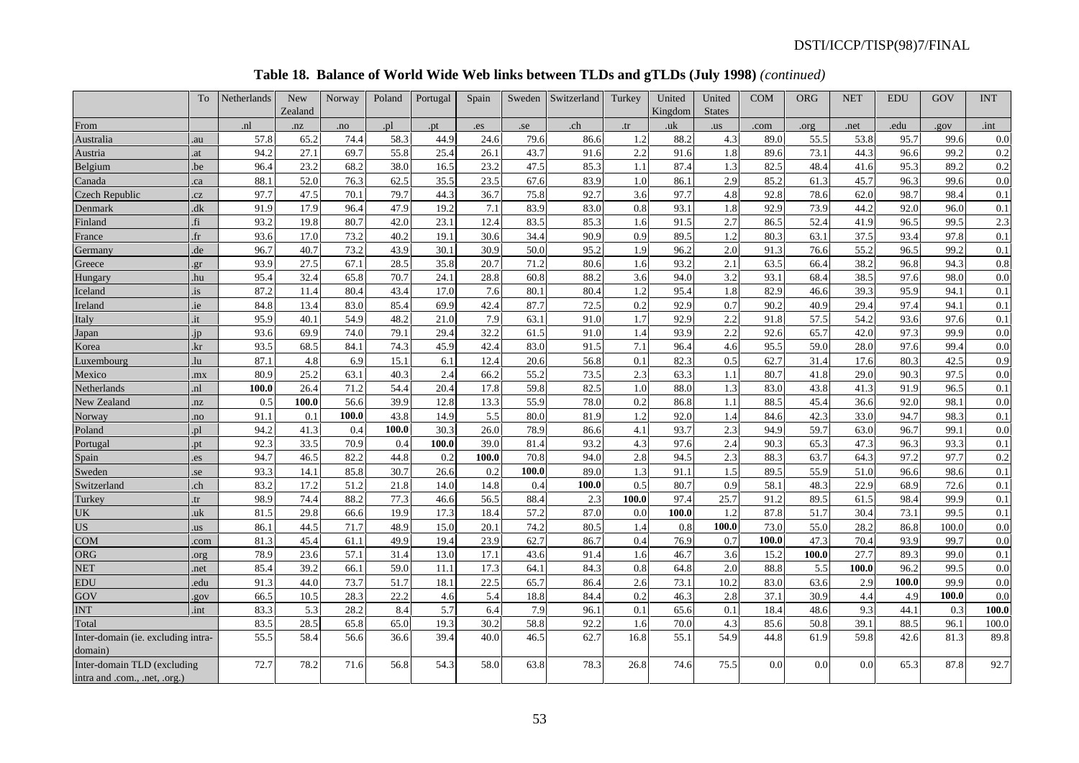## **Table 18. Balance of World Wide Web links between TLDs and gTLDs (July 1998)** *(continued)*

|                                                              | To             | Netherlands | New<br>Zealand | Norway | Poland | Portugal | Spain | Sweden | Switzerland | Turkey | United<br>Kingdom | United<br><b>States</b> | <b>COM</b> | <b>ORG</b> | <b>NET</b> | <b>EDU</b> | GOV   | <b>INT</b> |
|--------------------------------------------------------------|----------------|-------------|----------------|--------|--------|----------|-------|--------|-------------|--------|-------------------|-------------------------|------------|------------|------------|------------|-------|------------|
| From                                                         |                | .nl         | .nz            | .no    | .pl    | .pt      | .es   | .se    | .ch         | .tr    | .uk               | .us                     | .com       | .org       | .net       | .edu       | .gov  | .int       |
| Australia                                                    | au             | 57.8        | 65.2           | 74.4   | 58.3   | 44.9     | 24.6  | 79.6   | 86.6        | 1.2    | 88.2              | 4.3                     | 89.0       | 55.5       | 53.8       | 95.7       | 99.6  | 0.0        |
| Austria                                                      | .at            | 94.2        | 27.1           | 69.7   | 55.8   | 25.4     | 26.1  | 43.7   | 91.6        | 2.2    | 91.6              | 1.8                     | 89.6       | 73.1       | 44.3       | 96.6       | 99.2  | 0.2        |
| Belgium                                                      | .be            | 96.4        | 23.2           | 68.2   | 38.0   | 16.5     | 23.2  | 47.5   | 85.3        | 1.1    | 87.4              | 1.3                     | 82.5       | 48.4       | 41.6       | 95.3       | 89.2  | 0.2        |
| Canada                                                       | ca             | 88.1        | 52.0           | 76.3   | 62.5   | 35.5     | 23.5  | 67.6   | 83.9        | 1.0    | 86.1              | 2.9                     | 85.2       | 61.3       | 45.7       | 96.3       | 99.6  | 0.0        |
| Czech Republic                                               | .cz            | 97.7        | 47.5           | 70.1   | 79.7   | 44.3     | 36.7  | 75.8   | 92.7        | 3.6    | 97.7              | 4.8                     | 92.8       | 78.6       | 62.0       | 98.7       | 98.4  | 0.1        |
| Denmark                                                      | dk             | 91.9        | 17.9           | 96.4   | 47.9   | 19.2     | 7.1   | 83.9   | 83.0        | 0.8    | 93.1              | 1.8                     | 92.9       | 73.9       | 44.2       | 92.0       | 96.0  | 0.1        |
| Finland                                                      | fi             | 93.2        | 19.8           | 80.7   | 42.0   | 23.1     | 12.4  | 83.5   | 85.3        | 1.6    | 91.5              | 2.7                     | 86.5       | 52.4       | 41.9       | 96.5       | 99.5  | 2.3        |
| France                                                       | f <sub>r</sub> | 93.6        | 17.0           | 73.2   | 40.2   | 19.1     | 30.6  | 34.4   | 90.9        | 0.9    | 89.5              | 1.2                     | 80.3       | 63.1       | 37.5       | 93.4       | 97.8  | 0.1        |
| Germany                                                      | .de            | 96.7        | 40.7           | 73.2   | 43.9   | 30.1     | 30.9  | 50.0   | 95.2        | 1.9    | 96.2              | 2.0                     | 91.3       | 76.6       | 55.2       | 96.5       | 99.2  | 0.1        |
| Greece                                                       | .gr            | 93.9        | 27.5           | 67.1   | 28.5   | 35.8     | 20.7  | 71.2   | 80.6        | 1.6    | 93.2              | 2.1                     | 63.5       | 66.4       | 38.2       | 96.8       | 94.3  | 0.8        |
| <b>Hungary</b>                                               | .hu            | 95.4        | 32.4           | 65.8   | 70.7   | 24.1     | 28.8  | 60.8   | 88.2        | 3.6    | 94.0              | 3.2                     | 93.1       | 68.4       | 38.5       | 97.6       | 98.0  | 0.0        |
| Iceland                                                      | .is            | 87.2        | 11.4           | 80.4   | 43.4   | 17.0     | 7.6   | 80.1   | 80.4        | 1.2    | 95.4              | 1.8                     | 82.9       | 46.6       | 39.3       | 95.9       | 94.1  | 0.1        |
| Ireland                                                      | .ie            | 84.8        | 13.4           | 83.0   | 85.4   | 69.9     | 42.4  | 87.7   | 72.5        | 0.2    | 92.9              | 0.7                     | 90.2       | 40.9       | 29.4       | 97.4       | 94.1  | 0.1        |
| Italy                                                        | .it            | 95.9        | 40.1           | 54.9   | 48.2   | 21.0     | 7.9   | 63.1   | 91.0        | 1.7    | 92.9              | 2.2                     | 91.8       | 57.5       | 54.2       | 93.6       | 97.6  | 0.1        |
| Japan                                                        | jp             | 93.6        | 69.9           | 74.0   | 79.1   | 29.4     | 32.2  | 61.5   | 91.0        | 1.4    | 93.9              | 2.2                     | 92.6       | 65.7       | 42.0       | 97.3       | 99.9  | 0.0        |
| Korea                                                        | kr             | 93.5        | 68.5           | 84.1   | 74.3   | 45.9     | 42.4  | 83.0   | 91.5        | 7.1    | 96.4              | 4.6                     | 95.5       | 59.0       | 28.0       | 97.6       | 99.4  | 0.0        |
| Luxembourg                                                   | lu             | 87.1        | 4.8            | 6.9    | 15.1   | 6.1      | 12.4  | 20.6   | 56.8        | 0.1    | 82.3              | 0.5                     | 62.7       | 31.4       | 17.6       | 80.3       | 42.5  | 0.9        |
| Mexico                                                       | mx             | 80.9        | 25.2           | 63.1   | 40.3   | 2.4      | 66.2  | 55.2   | 73.5        | 2.3    | 63.3              | 1.1                     | 80.7       | 41.8       | 29.0       | 90.3       | 97.5  | 0.0        |
| Netherlands                                                  | .nl            | 100.0       | 26.4           | 71.2   | 54.4   | 20.4     | 17.8  | 59.8   | 82.5        | 1.0    | 88.0              | 1.3                     | 83.0       | 43.8       | 41.3       | 91.9       | 96.5  | 0.1        |
| New Zealand                                                  | nz             | 0.5         | 100.0          | 56.6   | 39.9   | 12.8     | 13.3  | 55.9   | 78.0        | 0.2    | 86.8              | 1.1                     | 88.5       | 45.4       | 36.6       | 92.0       | 98.1  | 0.0        |
| Norway                                                       | no.            | 91.1        | 0.1            | 100.0  | 43.8   | 14.9     | 5.5   | 80.0   | 81.9        | 1.2    | 92.0              | 1.4                     | 84.6       | 42.3       | 33.0       | 94.7       | 98.3  | 0.1        |
| Poland                                                       | p1             | 94.2        | 41.3           | 0.4    | 100.0  | 30.3     | 26.0  | 78.9   | 86.6        | 4.1    | 93.7              | 2.3                     | 94.9       | 59.7       | 63.0       | 96.7       | 99.1  | 0.0        |
| Portuga                                                      | pt             | 92.3        | 33.5           | 70.9   | 0.4    | 100.0    | 39.0  | 81.4   | 93.2        | 4.3    | 97.6              | 2.4                     | 90.3       | 65.3       | 47.3       | 96.3       | 93.3  | 0.1        |
| Spain                                                        | es             | 94.7        | 46.5           | 82.2   | 44.8   | 0.2      | 100.0 | 70.8   | 94.0        | 2.8    | 94.5              | 2.3                     | 88.3       | 63.7       | 64.3       | 97.2       | 97.7  | 0.2        |
| Sweden                                                       | se             | 93.3        | 14.1           | 85.8   | 30.7   | 26.6     | 0.2   | 100.0  | 89.0        | 1.3    | 91.1              | 1.5                     | 89.5       | 55.9       | 51.0       | 96.6       | 98.6  | 0.1        |
| Switzerland                                                  | ch             | 83.2        | 17.2           | 51.2   | 21.8   | 14.0     | 14.8  | 0.4    | 100.0       | 0.5    | 80.7              | 0.9                     | 58.1       | 48.3       | 22.9       | 68.9       | 72.6  | 0.1        |
| Turkey                                                       | tr             | 98.9        | 74.4           | 88.2   | 77.3   | 46.6     | 56.5  | 88.4   | 2.3         | 100.0  | 97.4              | 25.7                    | 91.2       | 89.5       | 61.5       | 98.4       | 99.9  | 0.1        |
| UK                                                           | uk             | 81.5        | 29.8           | 66.6   | 19.9   | 17.3     | 18.4  | 57.2   | 87.0        | 0.0    | 100.0             | 1.2                     | 87.8       | 51.7       | 30.4       | 73.1       | 99.5  | 0.1        |
| <b>US</b>                                                    | $\overline{u}$ | 86.1        | 44.5           | 71.7   | 48.9   | 15.0     | 20.1  | 74.2   | 80.5        | 1.4    | 0.8               | 100.0                   | 73.0       | 55.0       | 28.2       | 86.8       | 100.0 | 0.0        |
| <b>COM</b>                                                   | .com           | 81.3        | 45.4           | 61.1   | 49.9   | 19.4     | 23.9  | 62.7   | 86.7        | 0.4    | 76.9              | 0.7                     | 100.0      | 47.3       | 70.4       | 93.9       | 99.7  | 0.0        |
| <b>ORG</b>                                                   | org            | 78.9        | 23.6           | 57.1   | 31.4   | 13.0     | 17.1  | 43.6   | 91.4        | 1.6    | 46.7              | 3.6                     | 15.2       | 100.0      | 27.7       | 89.3       | 99.0  | 0.1        |
| <b>NET</b>                                                   | net            | 85.4        | 39.2           | 66.1   | 59.0   | 11.1     | 17.3  | 64.1   | 84.3        | 0.8    | 64.8              | 2.0                     | 88.8       | 5.5        | 100.0      | 96.2       | 99.5  | 0.0        |
| <b>EDU</b>                                                   | edu            | 91.3        | 44.0           | 73.7   | 51.7   | 18.1     | 22.5  | 65.7   | 86.4        | 2.6    | 73.1              | 10.2                    | 83.0       | 63.6       | 2.9        | 100.0      | 99.9  | 0.0        |
| GOV                                                          | gov            | 66.5        | 10.5           | 28.3   | 22.2   | 4.6      | 5.4   | 18.8   | 84.4        | 0.2    | 46.3              | 2.8                     | 37.1       | 30.9       | 4.4        | 4.9        | 100.0 | 0.0        |
| <b>INT</b>                                                   | .int           | 83.3        | 5.3            | 28.2   | 8.4    | 5.7      | 6.4   | 7.9    | 96.1        | 0.1    | 65.6              | 0.1                     | 18.4       | 48.6       | 9.3        | 44.1       | 0.3   | 100.0      |
| Total                                                        |                | 83.5        | 28.5           | 65.8   | 65.0   | 19.3     | 30.2  | 58.8   | 92.2        | 1.6    | 70.0              | 4.3                     | 85.6       | 50.8       | 39.1       | 88.5       | 96.1  | 100.0      |
| Inter-domain (ie. excluding intra-<br>domain)                |                | 55.5        | 58.4           | 56.6   | 36.6   | 39.4     | 40.0  | 46.5   | 62.7        | 16.8   | 55.1              | 54.9                    | 44.8       | 61.9       | 59.8       | 42.6       | 81.3  | 89.8       |
| Inter-domain TLD (excluding<br>intra and .com., .net, .org.) |                | 72.7        | 78.2           | 71.6   | 56.8   | 54.3     | 58.0  | 63.8   | 78.3        | 26.8   | 74.6              | 75.5                    | 0.0        | 0.0        | 0.0        | 65.3       | 87.8  | 92.7       |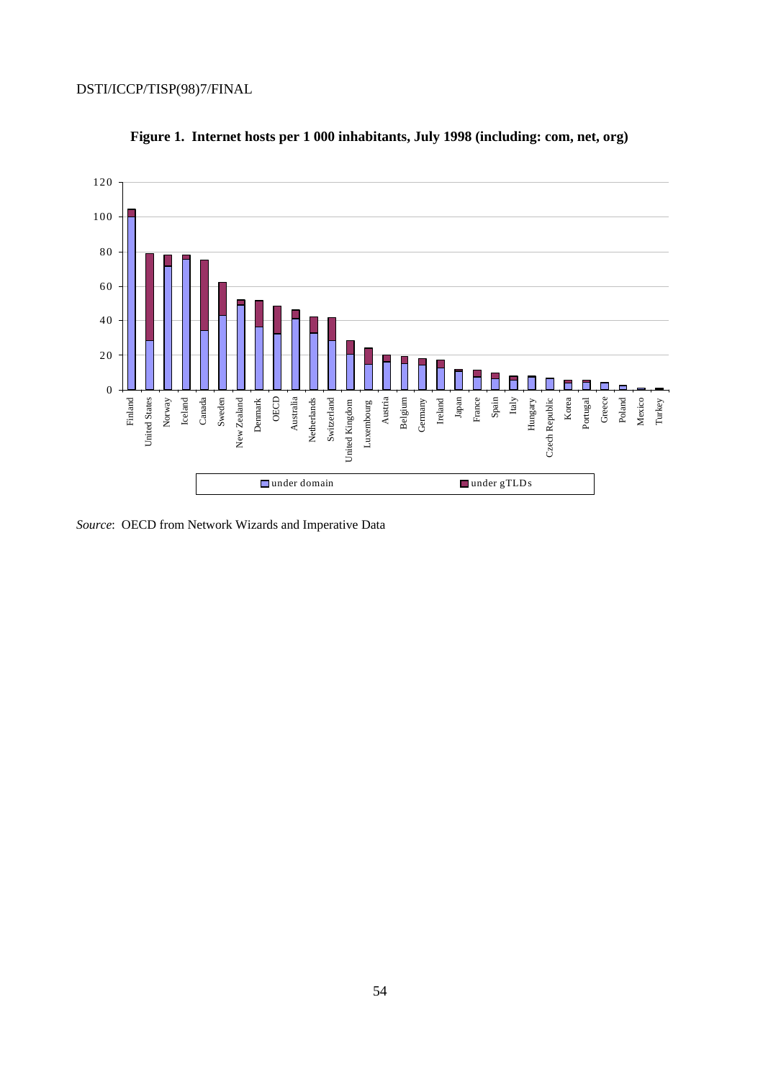

**Figure 1. Internet hosts per 1 000 inhabitants, July 1998 (including: com, net, org)**

*Source*: OECD from Network Wizards and Imperative Data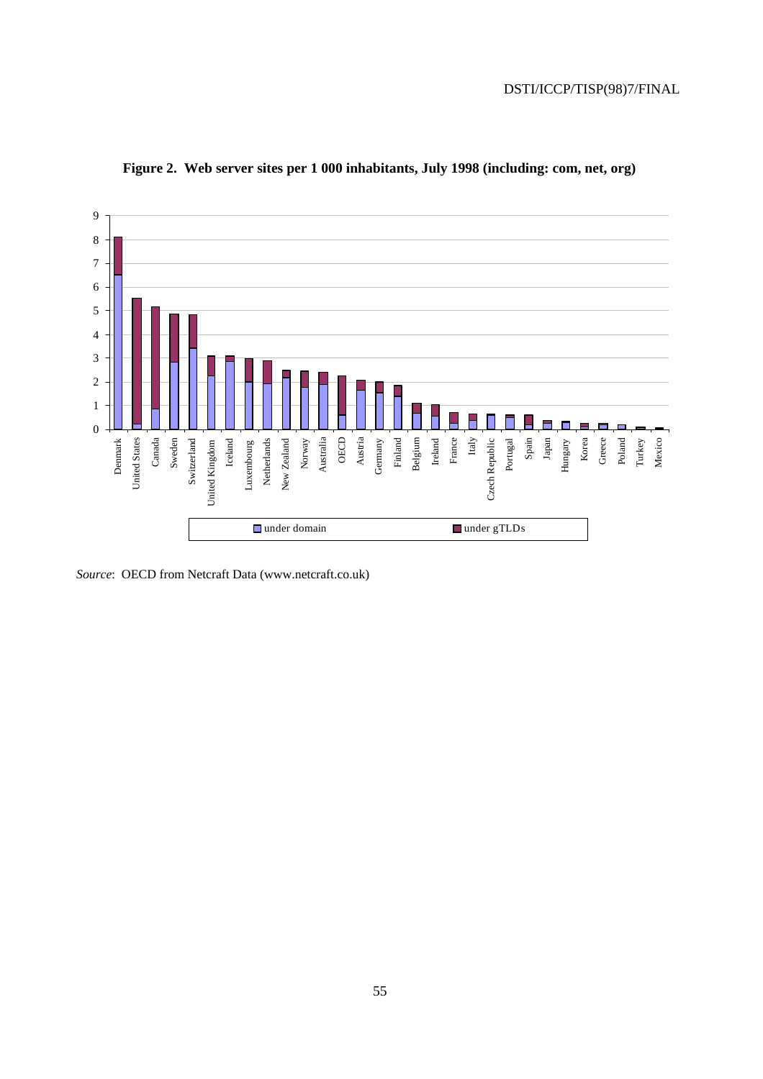

**Figure 2. Web server sites per 1 000 inhabitants, July 1998 (including: com, net, org)**

*Source*: OECD from Netcraft Data (www.netcraft.co.uk)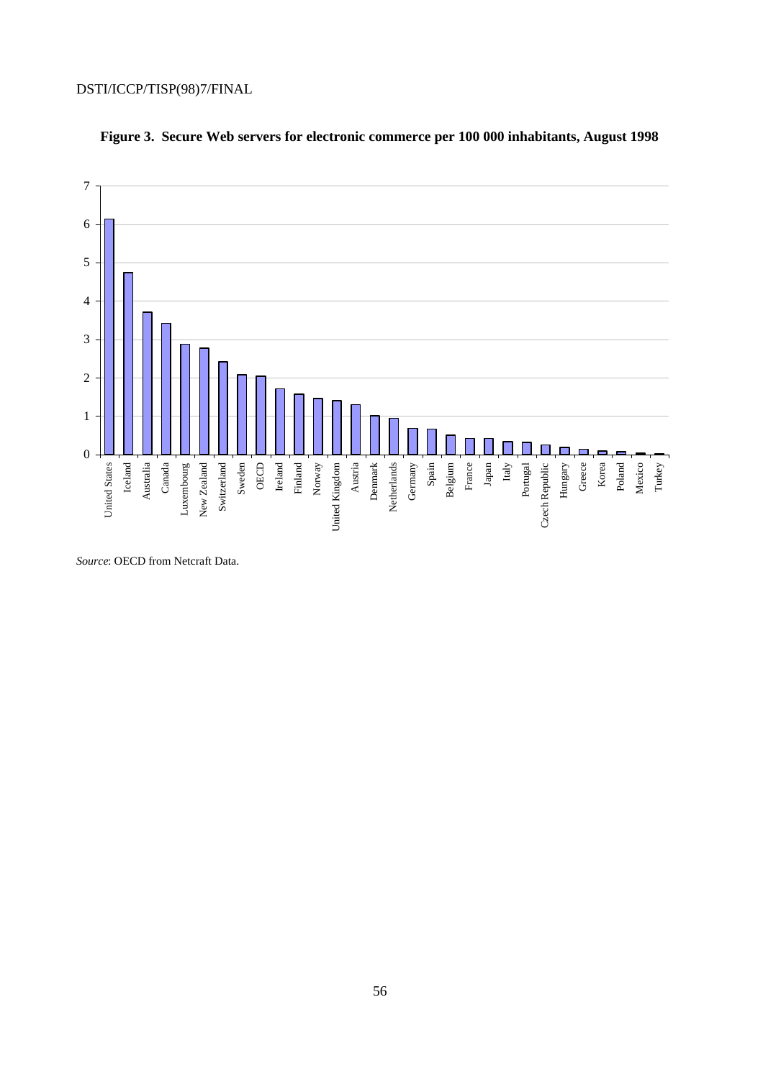

## **Figure 3. Secure Web servers for electronic commerce per 100 000 inhabitants, August 1998**

*Source*: OECD from Netcraft Data.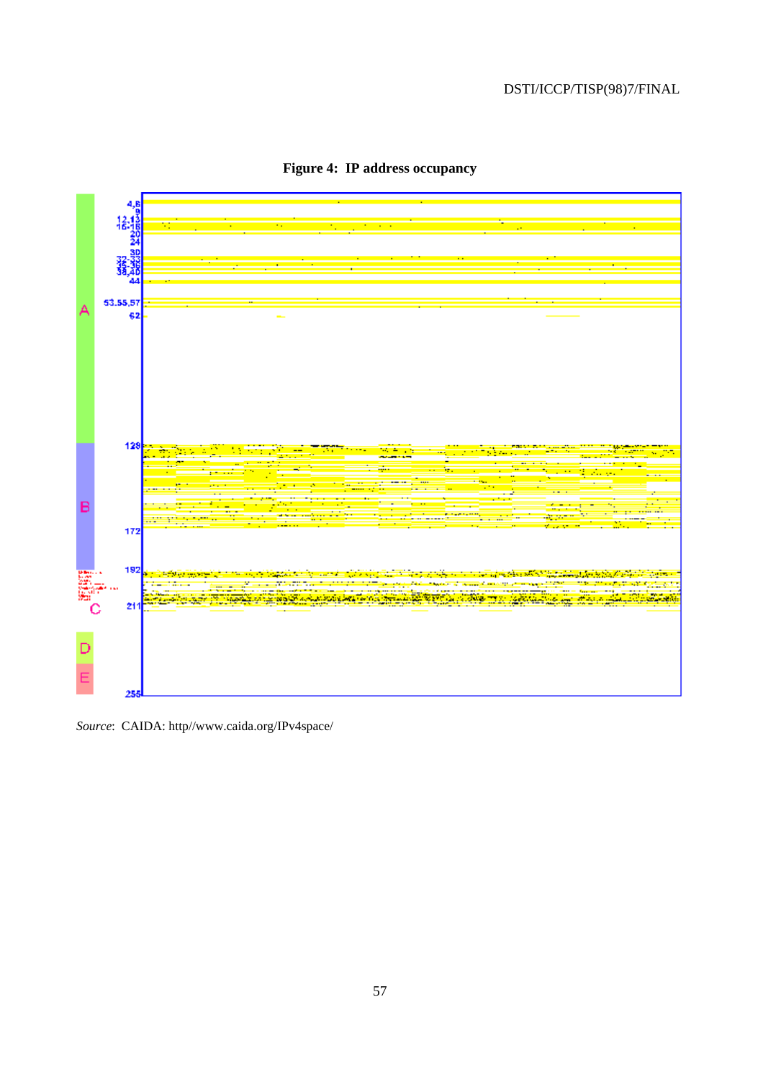

**Figure 4: IP address occupancy**

*Source*: CAIDA: http//www.caida.org/IPv4space/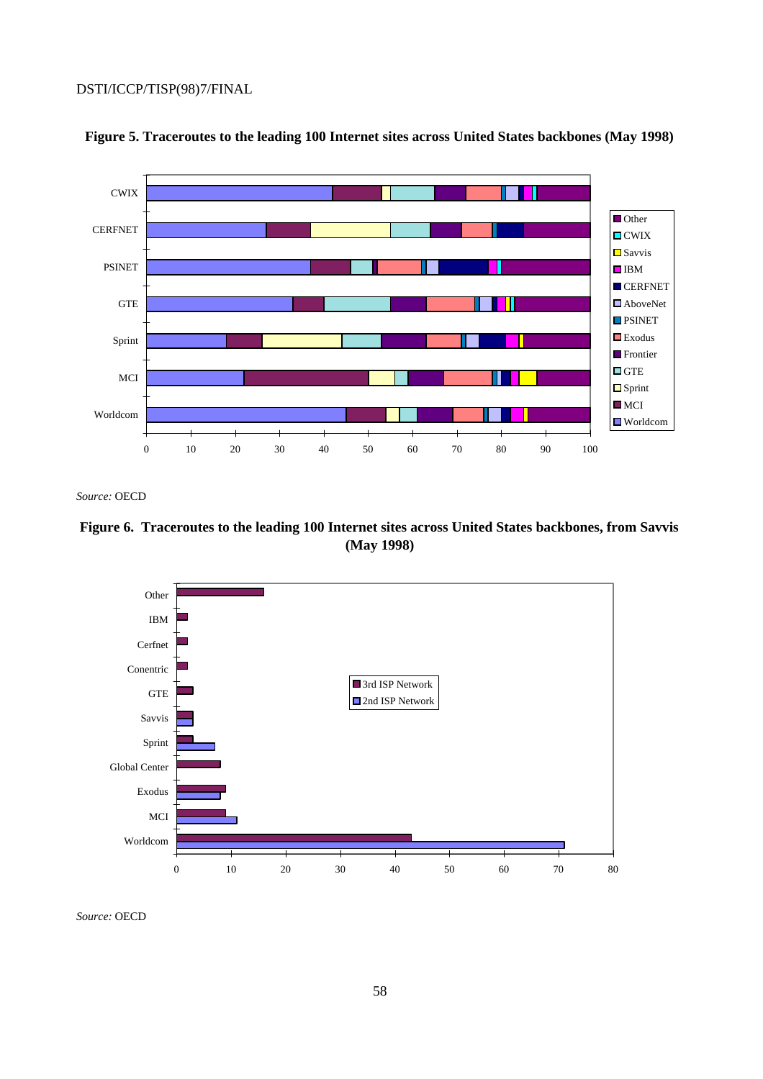

## **Figure 5. Traceroutes to the leading 100 Internet sites across United States backbones (May 1998)**

*Source:* OECD

## **Figure 6. Traceroutes to the leading 100 Internet sites across United States backbones, from Savvis (May 1998)**

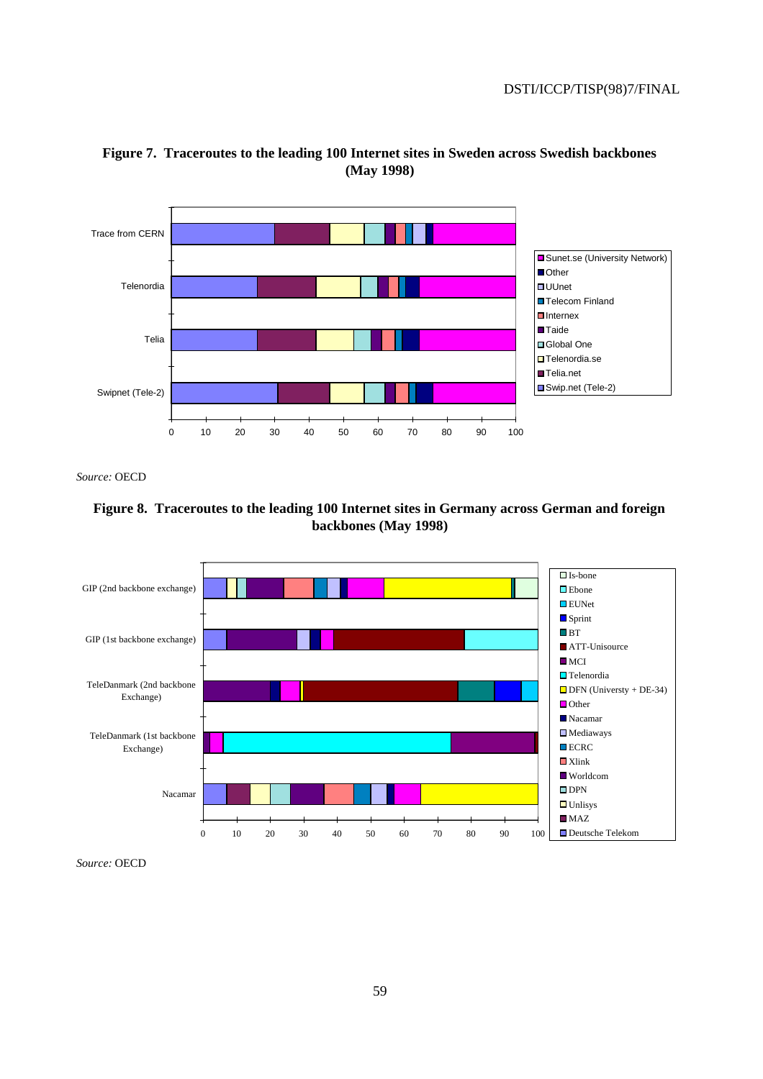



*Source:* OECD



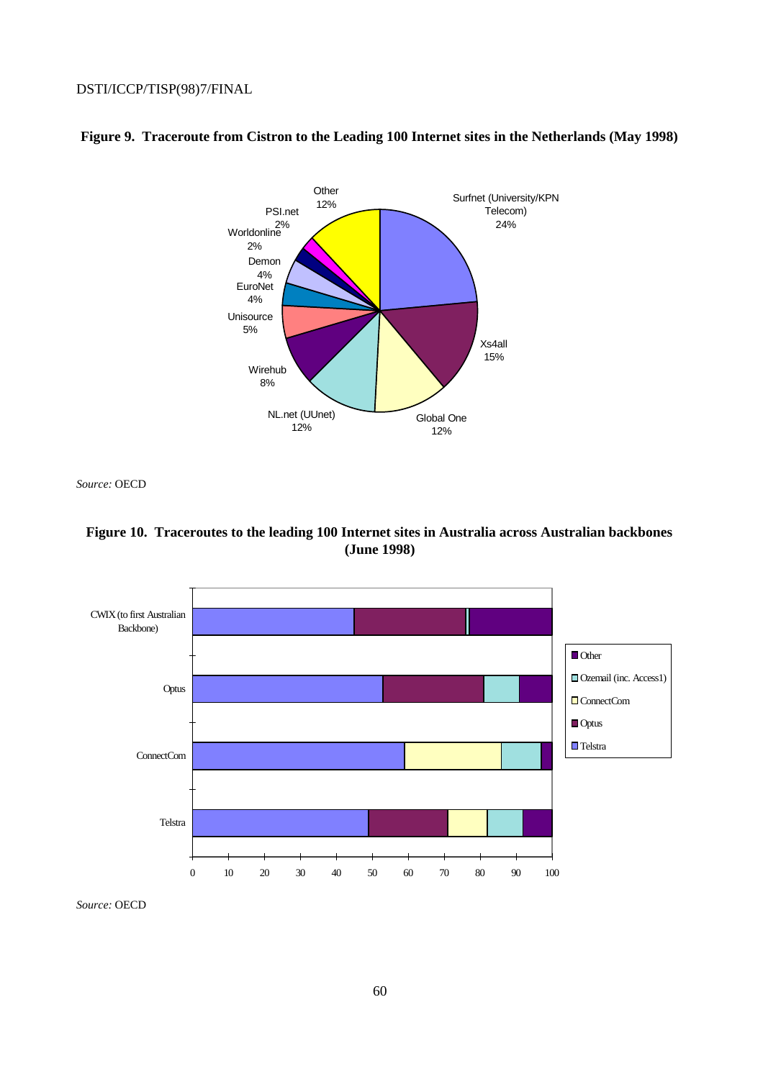

## **Figure 9. Traceroute from Cistron to the Leading 100 Internet sites in the Netherlands (May 1998)**

*Source:* OECD



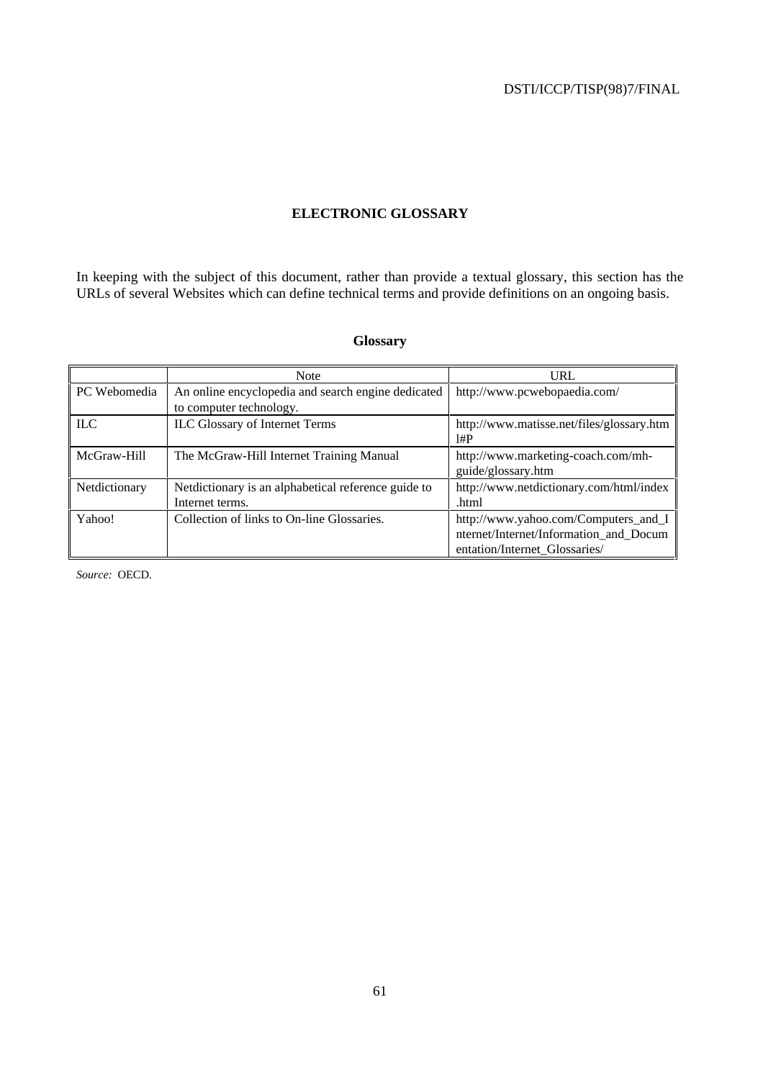### **ELECTRONIC GLOSSARY**

In keeping with the subject of this document, rather than provide a textual glossary, this section has the URLs of several Websites which can define technical terms and provide definitions on an ongoing basis.

## **Glossary**

|               | <b>Note</b>                                         | <b>URL</b>                                |
|---------------|-----------------------------------------------------|-------------------------------------------|
| PC Webomedia  | An online encyclopedia and search engine dedicated  | http://www.pcwebopaedia.com/              |
|               | to computer technology.                             |                                           |
| ILC           | <b>ILC Glossary of Internet Terms</b>               | http://www.matisse.net/files/glossary.htm |
|               |                                                     | 1#P                                       |
| McGraw-Hill   | The McGraw-Hill Internet Training Manual            | http://www.marketing-coach.com/mh-        |
|               |                                                     | guide/glossary.htm                        |
| Netdictionary | Netdictionary is an alphabetical reference guide to | http://www.netdictionary.com/html/index   |
|               | Internet terms.                                     | .html                                     |
| Yahoo!        | Collection of links to On-line Glossaries.          | http://www.yahoo.com/Computers_and_I      |
|               |                                                     | nternet/Internet/Information and Docum    |
|               |                                                     | entation/Internet Glossaries/             |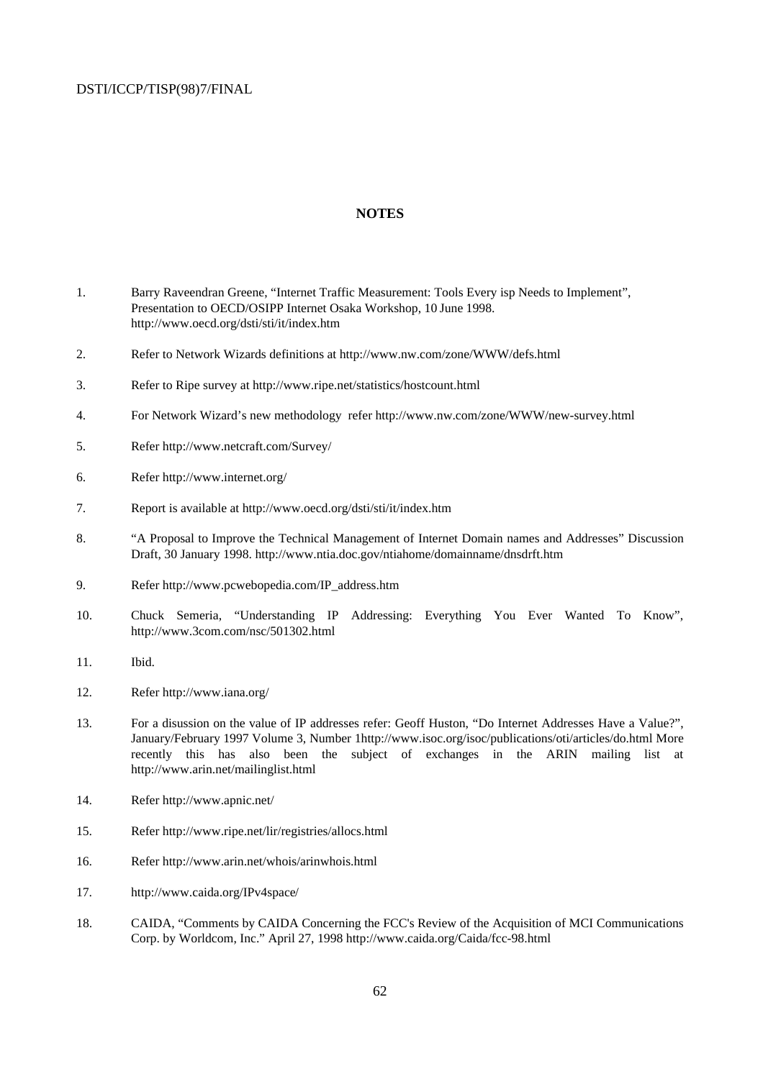#### **NOTES**

- 1. Barry Raveendran Greene, "Internet Traffic Measurement: Tools Every isp Needs to Implement", Presentation to OECD/OSIPP Internet Osaka Workshop, 10 June 1998. http://www.oecd.org/dsti/sti/it/index.htm
- 2. Refer to Network Wizards definitions at http://www.nw.com/zone/WWW/defs.html
- 3. Refer to Ripe survey at http://www.ripe.net/statistics/hostcount.html
- 4. For Network Wizard's new methodology refer http://www.nw.com/zone/WWW/new-survey.html
- 5. Refer http://www.netcraft.com/Survey/
- 6. Refer http://www.internet.org/
- 7. Report is available at http://www.oecd.org/dsti/sti/it/index.htm
- 8. "A Proposal to Improve the Technical Management of Internet Domain names and Addresses" Discussion Draft, 30 January 1998. http://www.ntia.doc.gov/ntiahome/domainname/dnsdrft.htm
- 9. Refer http://www.pcwebopedia.com/IP\_address.htm
- 10. Chuck Semeria, "Understanding IP Addressing: Everything You Ever Wanted To Know", http://www.3com.com/nsc/501302.html
- 11. Ibid.
- 12. Refer http://www.iana.org/
- 13. For a disussion on the value of IP addresses refer: Geoff Huston, "Do Internet Addresses Have a Value?", January/February 1997 Volume 3, Number 1http://www.isoc.org/isoc/publications/oti/articles/do.html More recently this has also been the subject of exchanges in the ARIN mailing list at http://www.arin.net/mailinglist.html
- 14. Refer http://www.apnic.net/
- 15. Refer http://www.ripe.net/lir/registries/allocs.html
- 16. Refer http://www.arin.net/whois/arinwhois.html
- 17. http://www.caida.org/IPv4space/
- 18. CAIDA, "Comments by CAIDA Concerning the FCC's Review of the Acquisition of MCI Communications Corp. by Worldcom, Inc." April 27, 1998 http://www.caida.org/Caida/fcc-98.html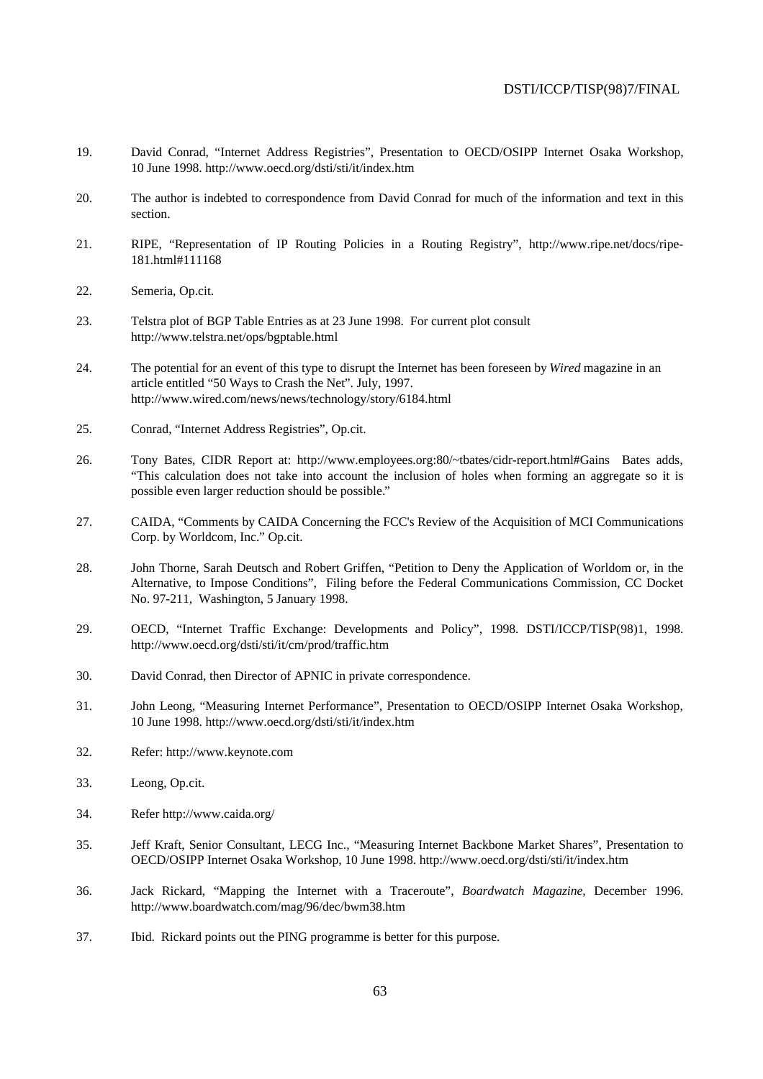- 19. David Conrad, "Internet Address Registries", Presentation to OECD/OSIPP Internet Osaka Workshop, 10 June 1998. http://www.oecd.org/dsti/sti/it/index.htm
- 20. The author is indebted to correspondence from David Conrad for much of the information and text in this section.
- 21. RIPE, "Representation of IP Routing Policies in a Routing Registry", http://www.ripe.net/docs/ripe-181.html#111168
- 22. Semeria, Op.cit.
- 23. Telstra plot of BGP Table Entries as at 23 June 1998. For current plot consult http://www.telstra.net/ops/bgptable.html
- 24. The potential for an event of this type to disrupt the Internet has been foreseen by *Wired* magazine in an article entitled "50 Ways to Crash the Net". July, 1997. http://www.wired.com/news/news/technology/story/6184.html
- 25. Conrad, "Internet Address Registries", Op.cit.
- 26. Tony Bates, CIDR Report at: http://www.employees.org:80/~tbates/cidr-report.html#Gains Bates adds, "This calculation does not take into account the inclusion of holes when forming an aggregate so it is possible even larger reduction should be possible."
- 27. CAIDA, "Comments by CAIDA Concerning the FCC's Review of the Acquisition of MCI Communications Corp. by Worldcom, Inc." Op.cit.
- 28. John Thorne, Sarah Deutsch and Robert Griffen, "Petition to Deny the Application of Worldom or, in the Alternative, to Impose Conditions", Filing before the Federal Communications Commission, CC Docket No. 97-211, Washington, 5 January 1998.
- 29. OECD, "Internet Traffic Exchange: Developments and Policy", 1998. DSTI/ICCP/TISP(98)1, 1998. http://www.oecd.org/dsti/sti/it/cm/prod/traffic.htm
- 30. David Conrad, then Director of APNIC in private correspondence.
- 31. John Leong, "Measuring Internet Performance", Presentation to OECD/OSIPP Internet Osaka Workshop, 10 June 1998. http://www.oecd.org/dsti/sti/it/index.htm
- 32. Refer: http://www.keynote.com
- 33. Leong, Op.cit.
- 34. Refer http://www.caida.org/
- 35. Jeff Kraft, Senior Consultant, LECG Inc., "Measuring Internet Backbone Market Shares", Presentation to OECD/OSIPP Internet Osaka Workshop, 10 June 1998. http://www.oecd.org/dsti/sti/it/index.htm
- 36. Jack Rickard, "Mapping the Internet with a Traceroute", *Boardwatch Magazine*, December 1996. http://www.boardwatch.com/mag/96/dec/bwm38.htm
- 37. Ibid. Rickard points out the PING programme is better for this purpose.